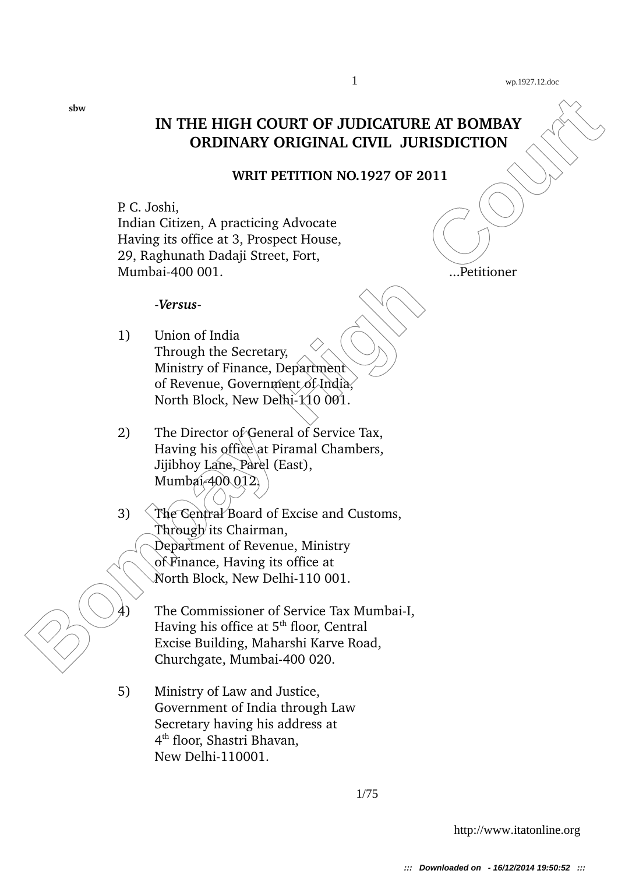# **IN THE HIGH COURT OF JUDICATURE AT BOMBAY ORDINARY ORIGINAL CIVIL JURISDICTION**

#### **WRIT PETITION NO.1927 OF 2011**

P. C. Joshi, Indian Citizen, A practicing Advocate Having its office at 3, Prospect House, 29, Raghunath Dadaji Street, Fort, Mumbai400 001. ...Petitioner

*Versus*-

- 1) Union of India Through the Secretary, Ministry of Finance, Department of Revenue, Government of India, North Block, New Delhi-110 001.
- 2) The Director of General of Service Tax, Having his office at Piramal Chambers, Jijibhoy Lane, Parel (East), Mumbai-400 012.
- **Bombay High Courtry Courtry Court (CIVIL JURISDICTION**<br> **BOLOGY OR COURT AT EXECUTE AND INSTRUCTION**<br> **BOLOGY ACCOUNT PERITITION NO.1927 OF 2011**<br> **BOLOGY ACCOUNT PERITIAL ACCOUNT ACCOUNT**<br> **BOLOGY EXECUTE:**<br> **BOLOGY ACCO** 3) The Central Board of Excise and Customs, Through its Chairman, Department of Revenue, Ministry of Finance, Having its office at North Block, New Delhi-110 001.
	- The Commissioner of Service Tax Mumbai-I, Having his office at  $5<sup>th</sup>$  floor, Central Excise Building, Maharshi Karve Road, Churchgate, Mumbai-400 020.
	- 5) Ministry of Law and Justice, Government of India through Law Secretary having his address at 4 th floor, Shastri Bhavan, New Delhi-110001.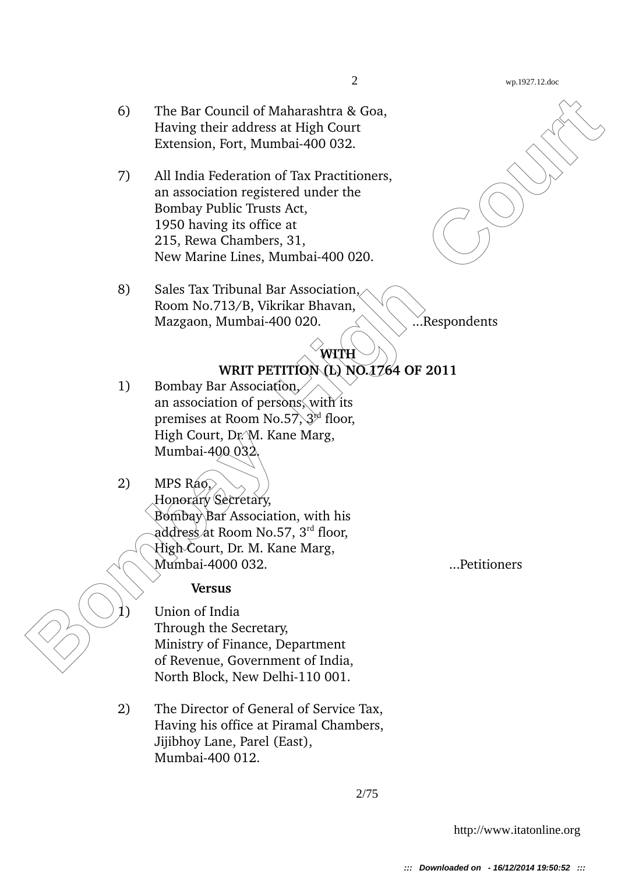#### 2 wp.1927.12.doc

- 6) The Bar Council of Maharashtra & Goa, Having their address at High Court Extension, Fort, Mumbai-400 032.
- 6) The Bar Council of Maharashtra & Goa,<br>
Having heir address at High Court<br>
Extension, Fort, Mumbai 400 032,<br>
7) All India Federation of Tax Practitioners,<br>
an association registered under the<br>
1950 having its office at<br> 7) All India Federation of Tax Practitioners, an association registered under the Bombay Public Trusts Act, 1950 having its office at 215, Rewa Chambers, 31, New Marine Lines, Mumbai-400 020.
	- 8) Sales Tax Tribunal Bar Association, Room No.713/B, Vikrikar Bhavan, Mazgaon, Mumbai-400 020.  $\Box$  ...Respondents

### **WITH WRIT PETITION (L) NO.1764 OF 2011**

- 1) Bombay Bar Association. an association of persons, with its premises at Room No.57,  $3^{nd}$  floor, High Court, Dr. M. Kane Marg, Mumbai-400 032.
- 2) MPS  $R46$ Honorary Secretary, Bombay Bar Association, with his address at Room No.57, 3rd floor, High Court, Dr. M. Kane Marg, Mumbai4000 032. ...Petitioners

## **Versus**

Union of India Through the Secretary, Ministry of Finance, Department of Revenue, Government of India, North Block, New Delhi-110 001.

2) The Director of General of Service Tax, Having his office at Piramal Chambers, Jijibhoy Lane, Parel (East), Mumbai-400 012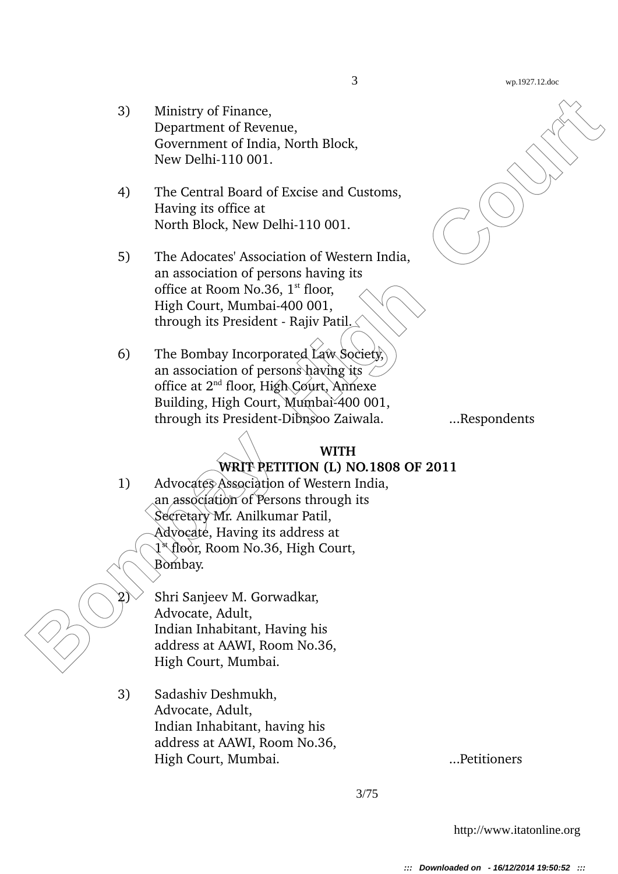- 3) Ministry of Finance, Department of Revenue, Government of India, North Block, New Delhi-110 001.
- 4) The Central Board of Excise and Customs, Having its office at North Block, New Delhi-110 001.
- 5) The Adocates' Association of Western India, an association of persons having its office at Room No.36,  $1<sup>st</sup>$  floor, High Court, Mumbai-400 001, through its President - Rajiv Patil. $\angle$
- 6) The Bombay Incorporated Law Society, an association of persons having its  $\angle$ office at 2nd floor, High Court, Annexe Building, High Court, Mumbai-400 001, through its PresidentDibnsoo Zaiwala. ...Respondents

## **WITH WRIT PETITION (L) NO.1808 OF 2011**

3) Ministry of Finance,<br>
Department of Revenue,<br>
Government of Revision, North Block,<br>
New Delhi-110 001.<br>
4) The Central Roard of Excise and Customs,<br>
Having its office at<br>
North Block, New Delhi-110 001.<br>
5) The Adocates 1) Advocates Association of Western India, an association of Persons through its Secretary Mr. Anilkumar Patil, Advocate, Having its address at 1 st floor, Room No.36, High Court, Bombay.

2) Shri Sanjeev M. Gorwadkar, Advocate, Adult, Indian Inhabitant, Having his address at AAWI, Room No.36, High Court, Mumbai.

3) Sadashiv Deshmukh, Advocate, Adult, Indian Inhabitant, having his address at AAWI, Room No.36, High Court, Mumbai. ...Petitioners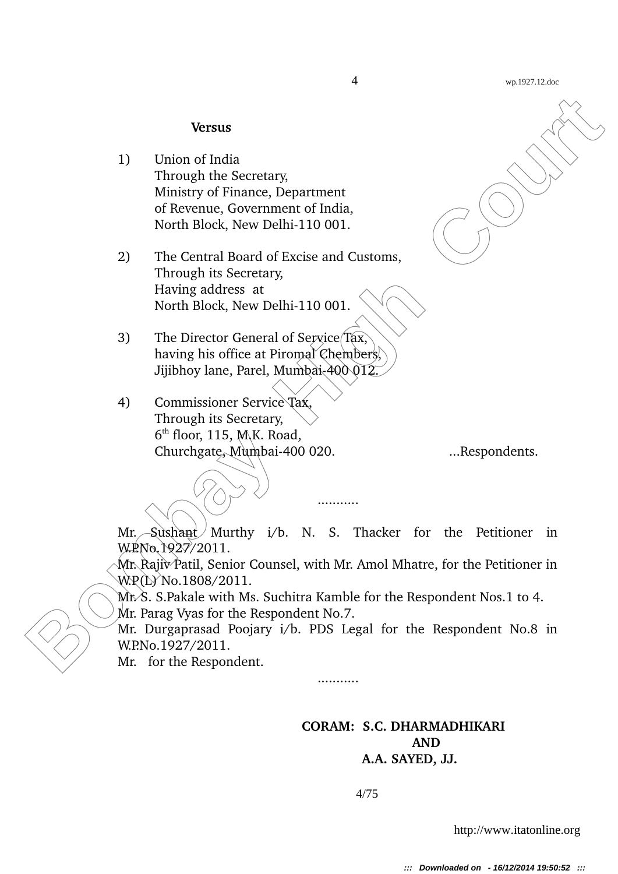#### **Versus**

- 1) Union of India Through the Secretary, Ministry of Finance, Department of Revenue, Government of India, North Block, New Delhi-110 001.
- 2) The Central Board of Excise and Customs, Through its Secretary, Having address at North Block, New Delhi-110 001.
- 3) The Director General of Service Tax, having his office at Piromal Chembers, Jijibhoy lane, Parel, Mumbai-400 012.

**Bombay High Court (Finance, Department**<br> **Bombay High Content (Finance, Covernment of India,**<br> **Bombay of Finance, Department of India,**<br> **Bombay High Court (Finance All Court (Finance All Court)**<br> **Bombay High Court 2** 4) Commissioner Service Tax, Through its Secretary, 6 th floor, 115, M.K. Road, Churchgate, Mumbai400 020. ...Respondents.

 $Mr.$  Sushant Murthy i/b. N. S. Thacker for the Petitioner in W.P.No.1927/2011.

...........

Mr. Rajiv Patil, Senior Counsel, with Mr. Amol Mhatre, for the Petitioner in W.P(L) No.1808/2011.

 $Mx$ . S. Pakale with Ms. Suchitra Kamble for the Respondent Nos.1 to 4.

Mr. Parag Vyas for the Respondent No.7.

Mr. Durgaprasad Poojary i/b. PDS Legal for the Respondent No.8 in W.P.No.1927/2011.

...........

Mr. for the Respondent.

### **CORAM: S.C. DHARMADHIKARI AND A.A. SAYED, JJ.**

4/75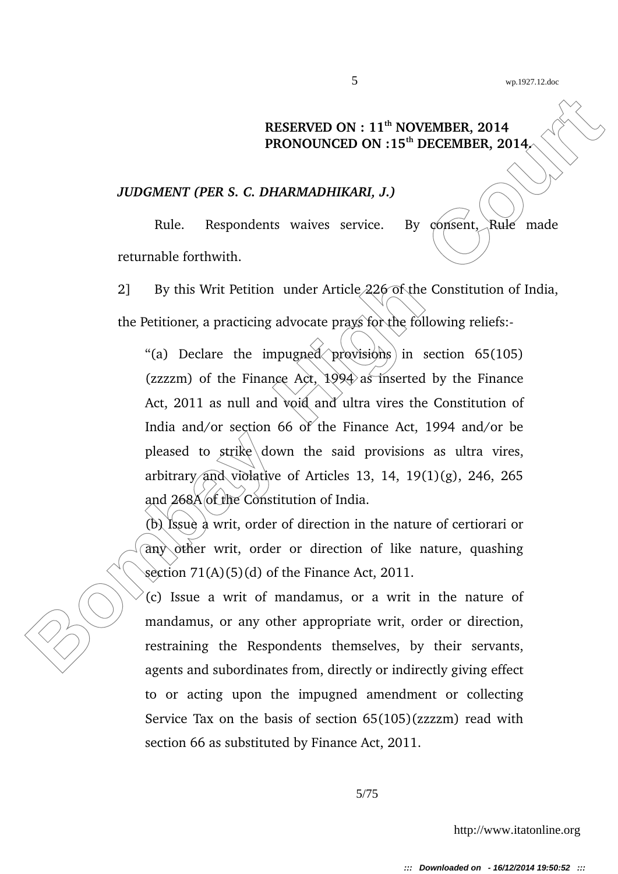## **RESERVED ON : 11th NOVEMBER, 2014 PRONOUNCED ON :15th DECEMBER, 2014.**

#### *JUDGMENT (PER S. C. DHARMADHIKARI, J.)*

Rule. Respondents waives service. By  $\zeta$   $\zeta$   $\zeta$   $\zeta$   $\zeta$   $\zeta$   $\zeta$   $\zeta$   $\zeta$   $\zeta$   $\zeta$   $\zeta$ returnable forthwith.

2] By this Writ Petition under Article 226 of the Constitution of India, the Petitioner, a practicing advocate prays for the following reliefs:

**BESERVED ON : 11<sup>th</sup> NOVEMBER, 2014<br>
PRONOUNCED ON :15<sup>th</sup> DECEMBER, 2014<br>
<b>BOMOUNCED ON :15<sup>th</sup> DECEMBER, 2014**<br> **BOMOUNCED ON :15<sup>th</sup> DECEMBER, 2014**<br> **BOMOUNCED ON :15<sup>th</sup> DECEMBER, 2014**<br> **EUR**<br> **BULE** Respondents wai "(a) Declare the impugned  $\propto$  provisions in section 65(105) (zzzzm) of the Finance Act,  $1994$  as inserted by the Finance Act, 2011 as null and void and ultra vires the Constitution of India and/or section 66 of the Finance Act, 1994 and/or be pleased to  $strik$ e down the said provisions as ultra vires, arbitrary and violative of Articles 13, 14,  $19(1)(g)$ , 246, 265 and 268A of the Constitution of India.

(b) Issue a writ, order of direction in the nature of certiorari or  $\partial$ any  $\partial$ ther writ, order or direction of like nature, quashing section  $71(A)(5)(d)$  of the Finance Act, 2011.

(c) Issue a writ of mandamus, or a writ in the nature of mandamus, or any other appropriate writ, order or direction, restraining the Respondents themselves, by their servants, agents and subordinates from, directly or indirectly giving effect to or acting upon the impugned amendment or collecting Service Tax on the basis of section 65(105)(zzzzm) read with section 66 as substituted by Finance Act, 2011.

5/75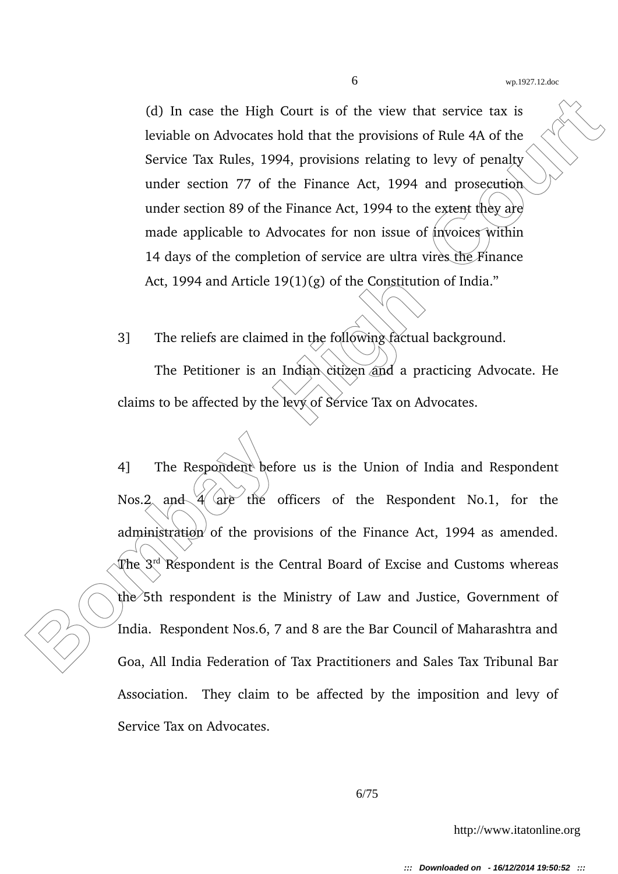(d) In case the High Court is of the view that service tax is leviable on Advocates hold that the provisions of Rule 4A of the Service Tax Rules, 1994, provisions relating to levy of penalty under section 77 of the Finance Act, 1994 and prosecution under section 89 of the Finance Act, 1994 to the extent they are made applicable to Advocates for non issue of invoices within 14 days of the completion of service are ultra vires the Finance Act, 1994 and Article 19(1)(g) of the Constitution of India."

3] The reliefs are claimed in the following factual background.

The Petitioner is an Indian citizen and a practicing Advocate. He claims to be affected by the levy of Service Tax on Advocates.

(d) In case the High Court is of the view that service tax is<br>
leviable on Advocates hold that the provisions of Rule 4A of the<br>
Service Tax Rules, 1994, provisions relating to levy of penalty<br>
under section 89 of the Fin 4] The Respondent before us is the Union of India and Respondent Nos.2 and  $4$   $\alpha$   $\epsilon$  the officers of the Respondent No.1, for the administration of the provisions of the Finance Act,  $1994$  as amended. The  $3<sup>rd</sup>$  Respondent is the Central Board of Excise and Customs whereas the  $\delta$ th respondent is the Ministry of Law and Justice, Government of India. Respondent Nos.6, 7 and 8 are the Bar Council of Maharashtra and Goa, All India Federation of Tax Practitioners and Sales Tax Tribunal Bar Association. They claim to be affected by the imposition and levy of Service Tax on Advocates.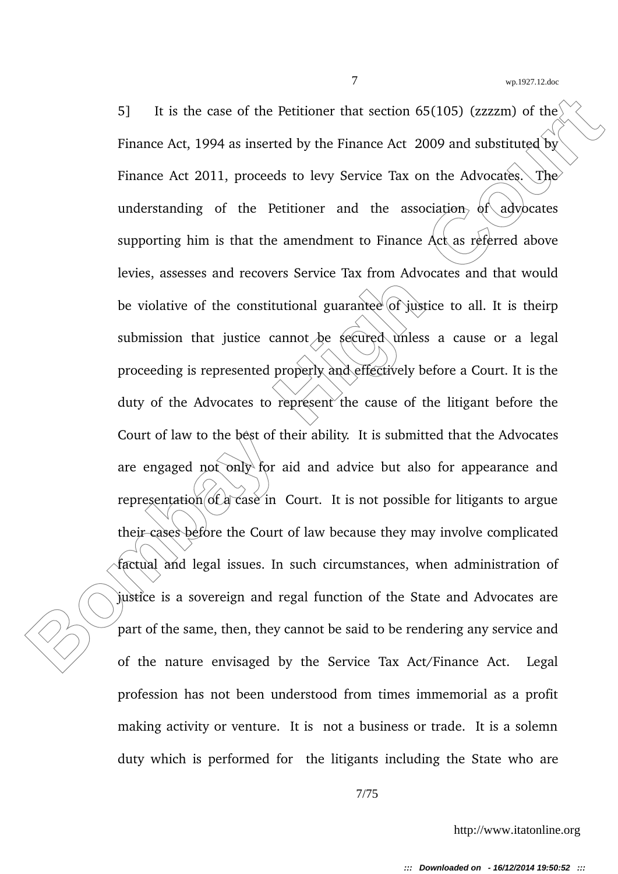5] It is the case of the Petitioner that section 65(105) (*EZZZ*m) of the<br> **Finance Act, 1994 as inserted by the Finance Act 2009 and substituted by**<br> **Finance Act 2011, proceds to levy Service Tax on the Advocates.**<br> **Bo** 5] It is the case of the Petitioner that section 65(105) (zzzzm) of the Finance Act, 1994 as inserted by the Finance Act 2009 and substituted by Finance Act 2011, proceeds to levy Service Tax on the Advocates. The understanding of the Petitioner and the association  $\phi f \cdot a \phi$  dy supporting him is that the amendment to Finance Act as referred above levies, assesses and recovers Service Tax from Advocates and that would be violative of the constitutional guarantee of justice to all. It is theirp submission that justice cannot be secured unless a cause or a legal proceeding is represented properly and effectively before a Court. It is the duty of the Advocates to represent the cause of the litigant before the Court of law to the best of their ability. It is submitted that the Advocates are engaged not only for aid and advice but also for appearance and representation of a case in Court. It is not possible for litigants to argue their cases before the Court of law because they may involve complicated factual and legal issues. In such circumstances, when administration of justice is a sovereign and regal function of the State and Advocates are part of the same, then, they cannot be said to be rendering any service and of the nature envisaged by the Service Tax Act/Finance Act. Legal profession has not been understood from times immemorial as a profit making activity or venture. It is not a business or trade. It is a solemn duty which is performed for the litigants including the State who are

7/75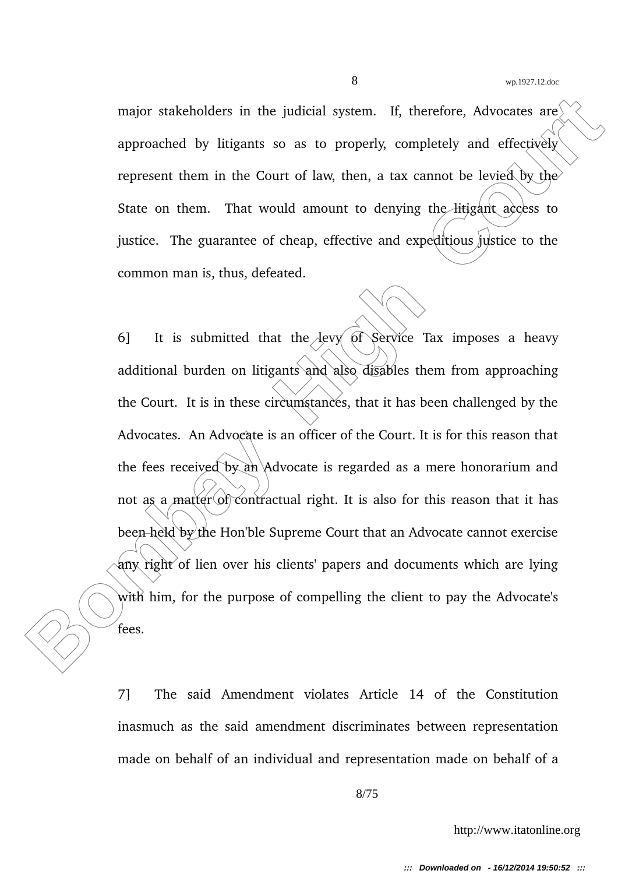major stakeholders in the judicial system. If, therefore, Advocates are approached by litigants so as to properly, completely and effectively represent them in the Court of law, then, a tax cannot be levied by the State on them. That would amount to denying the litigant access to justice. The guarantee of cheap, effective and expeditious justice to the common man is, thus, defeated.

major stakeholders in the judicial system. If, therefore, Advocates are<br>
approached by litigants so as to properly, completely and effectively<br>
represent them in the Court of law, then, a tax cannot be leviced by, the<br>
St 6] It is submitted that the  $A$ evy of Service Tax imposes a heavy additional burden on litigants and also disables them from approaching the Court. It is in these circumstances, that it has been challenged by the Advocates. An Advocate is an officer of the Court. It is for this reason that the fees received by an Advocate is regarded as a mere honorarium and not as a matter of contractual right. It is also for this reason that it has been held by the Hon'ble Supreme Court that an Advocate cannot exercise  $\partial f$  any right of lien over his clients' papers and documents which are lying with him, for the purpose of compelling the client to pay the Advocate's fees.

> 7] The said Amendment violates Article 14 of the Constitution inasmuch as the said amendment discriminates between representation made on behalf of an individual and representation made on behalf of a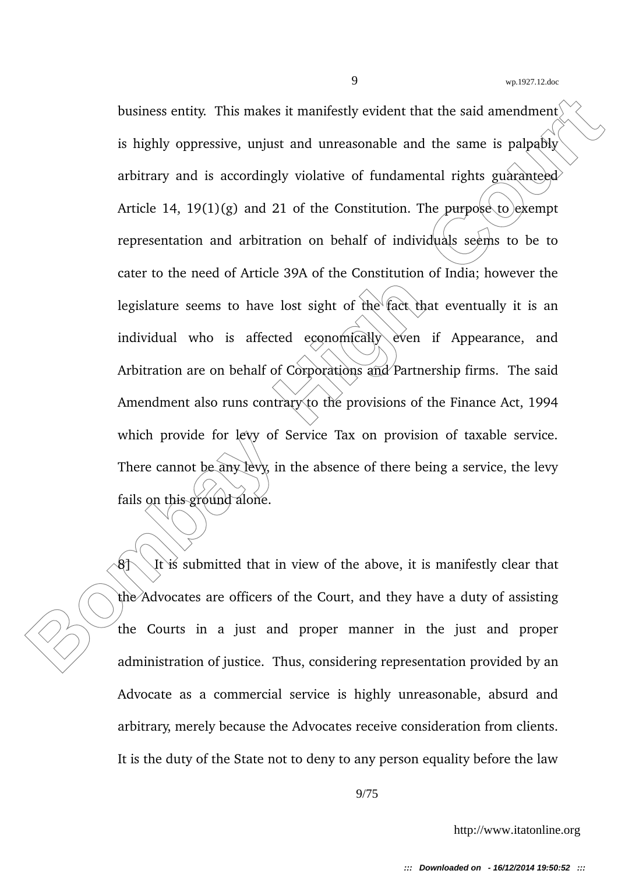business entity. This makes it manifestly evident that the said amendment<br> **Bombay on the same is pagably**<br> **Bombay and is accordingly violative of fundamental rights guaranteed**<br> **Article 14, 19(1)(g) and 21 of the Consti** business entity. This makes it manifestly evident that the said amendment is highly oppressive, unjust and unreasonable and the same is palpably arbitrary and is accordingly violative of fundamental rights guaranteed Article 14, 19(1)(g) and 21 of the Constitution. The purpose to exempt representation and arbitration on behalf of individuals seems to be to cater to the need of Article 39A of the Constitution of India; however the legislature seems to have lost sight of the fact that eventually it is an individual who is affected economically even if Appearance, and Arbitration are on behalf of Corporations and Partnership firms. The said Amendment also runs contrary to the provisions of the Finance Act, 1994 which provide for levy of Service Tax on provision of taxable service. There cannot be any levy, in the absence of there being a service, the levy fails on this ground alone.

 $8\text{N}$  It is submitted that in view of the above, it is manifestly clear that the Advocates are officers of the Court, and they have a duty of assisting the Courts in a just and proper manner in the just and proper administration of justice. Thus, considering representation provided by an Advocate as a commercial service is highly unreasonable, absurd and arbitrary, merely because the Advocates receive consideration from clients. It is the duty of the State not to deny to any person equality before the law

9/75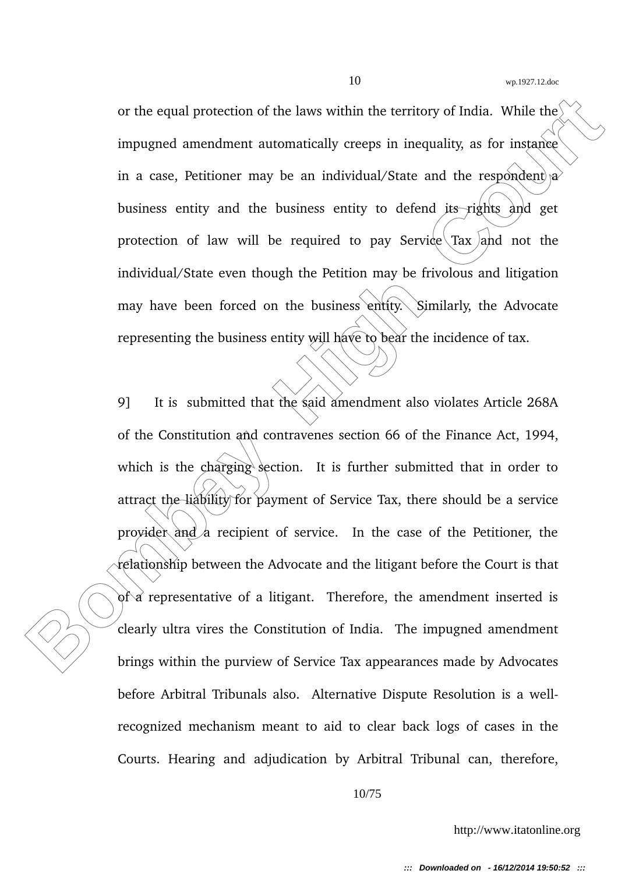or the equal protection of the laws within the territory of India. While the  $\ell$ impugned amendment automatically creeps in inequality, as for instance in a case, Petitioner may be an individual/State and the respondent  $\alpha$ business entity and the business entity to defend  $\lambda$ ts rights  $\lambda$ nd get protection of law will be required to pay Service  $\frac{1}{\alpha}$  and not the individual/State even though the Petition may be frivolous and litigation may have been forced on the business entity. Similarly, the Advocate representing the business entity will have to bear the incidence of tax.

or the equal protection of the laws within the territory of India. While the impugned amendment automatically creeps in inequality, as for instance in a case, Petritorer may be an individual/State and the respondent  $\hat{\rho}$ 9] It is submitted that the said amendment also violates Article 268A of the Constitution and contravenes section 66 of the Finance Act, 1994, which is the charging section. It is further submitted that in order to attract the liability for payment of Service Tax, there should be a service provider and a recipient of service. In the case of the Petitioner, the relationship between the Advocate and the litigant before the Court is that  $\delta$  a representative of a litigant. Therefore, the amendment inserted is clearly ultra vires the Constitution of India. The impugned amendment brings within the purview of Service Tax appearances made by Advocates before Arbitral Tribunals also. Alternative Dispute Resolution is a wellrecognized mechanism meant to aid to clear back logs of cases in the Courts. Hearing and adjudication by Arbitral Tribunal can, therefore,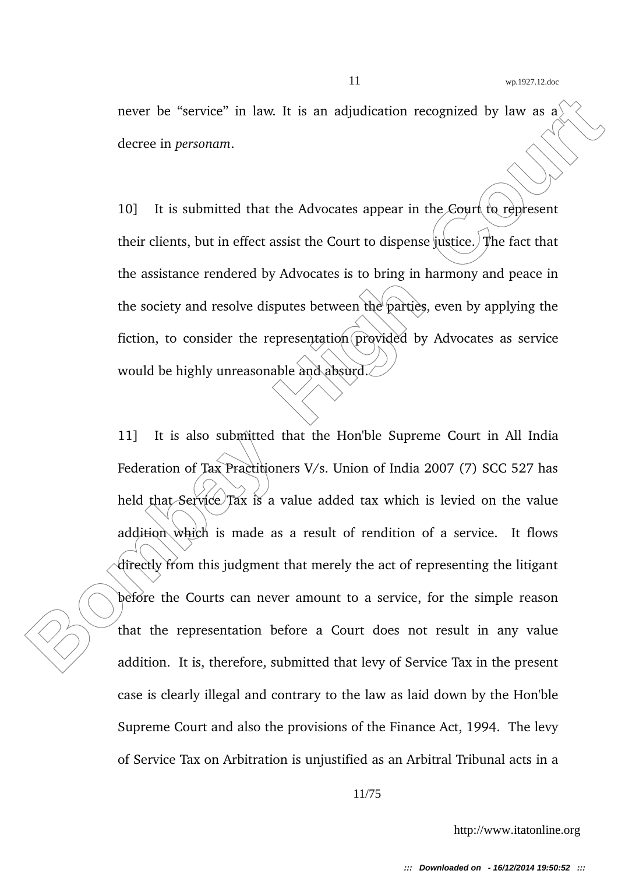never be "service" in law. It is an adjudication recognized by law as a decree in *personam*.

10] It is submitted that the Advocates appear in the Court to represent their clients, but in effect assist the Court to dispense justice. The fact that the assistance rendered by Advocates is to bring in harmony and peace in the society and resolve disputes between the parties, even by applying the fiction, to consider the representation provided by Advocates as service would be highly unreasonable and absurd.

**Bombay High Control Court is an adjudication recognized by law as a decree in personant.**<br> **Bombay High Court is absoluted that the Advocates appear in the Court (in represent<br>
their clients, but in effect assist the Cour** 11] It is also submitted that the Hon'ble Supreme Court in All India Federation of Tax Practitioners V/s. Union of India 2007 (7) SCC 527 has held that Service Tax is a value added tax which is levied on the value addition which is made as a result of rendition of a service. It flows directly from this judgment that merely the act of representing the litigant before the Courts can never amount to a service, for the simple reason that the representation before a Court does not result in any value addition. It is, therefore, submitted that levy of Service Tax in the present case is clearly illegal and contrary to the law as laid down by the Hon'ble Supreme Court and also the provisions of the Finance Act, 1994. The levy of Service Tax on Arbitration is unjustified as an Arbitral Tribunal acts in a

11/75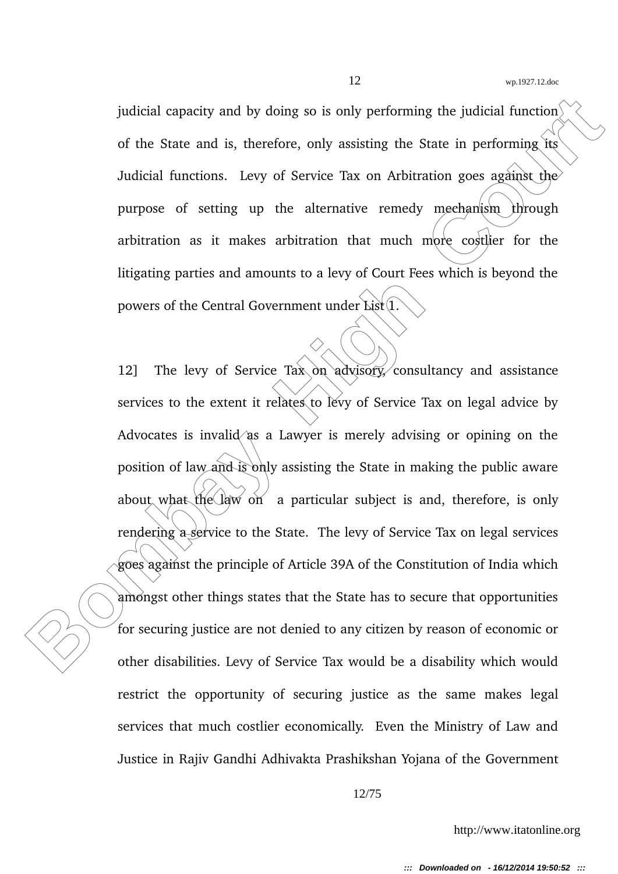judicial capacity and by doing so is only performing the judicial function of the State and is, therefore, only assisting the State in performing its Judicial functions. Levy of Service Tax on Arbitration goes against the purpose of setting up the alternative remedy mechanism through arbitration as it makes arbitration that much more costlier for the litigating parties and amounts to a levy of Court Fees which is beyond the powers of the Central Government under List<sup>(1)</sup>

judicial capacity and by doing so is only performing the judicial function<br>of the State and is, therefore, only assisting the State in performing its<br>Judicial functions. Levy of Service Tax on Arbitration goes against, the 12] The levy of Service Tax on advisory consultancy and assistance services to the extent it relates to levy of Service Tax on legal advice by Advocates is invalid as a Lawyer is merely advising or opining on the position of law and is only assisting the State in making the public aware about what the law on a particular subject is and, therefore, is only rendering a service to the State. The levy of Service Tax on legal services goes against the principle of Article 39A of the Constitution of India which amongst other things states that the State has to secure that opportunities for securing justice are not denied to any citizen by reason of economic or other disabilities. Levy of Service Tax would be a disability which would restrict the opportunity of securing justice as the same makes legal services that much costlier economically. Even the Ministry of Law and Justice in Rajiv Gandhi Adhivakta Prashikshan Yojana of the Government

12/75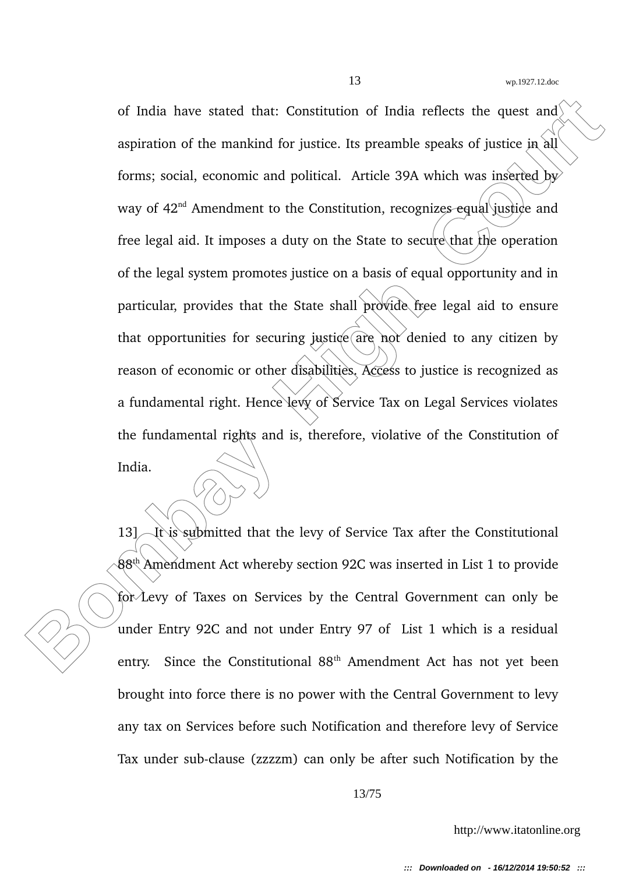of India have stated that: Constitution of India reflects the quest and<br>
aspiration of the mankind for justice. Its preamble speaks of justice in all<br>
forms; social, conomic and political. Article 39A which was inserted by of India have stated that: Constitution of India reflects the quest and aspiration of the mankind for justice. Its preamble speaks of justice in all forms; social, economic and political. Article 39A which was inserted by way of 42<sup>nd</sup> Amendment to the Constitution, recognizes equal justice and free legal aid. It imposes a duty on the State to secure that the operation of the legal system promotes justice on a basis of equal opportunity and in particular, provides that the State shall provide free legal aid to ensure that opportunities for securing justice  $\alpha$  are not denied to any citizen by reason of economic or other disabilities. Access to justice is recognized as a fundamental right. Hence levy of Service Tax on Legal Services violates the fundamental rights and is, therefore, violative of the Constitution of India.

13] It is submitted that the levy of Service Tax after the Constitutional  $88<sup>th</sup>$  Amendment Act whereby section 92C was inserted in List 1 to provide for Levy of Taxes on Services by the Central Government can only be under Entry 92C and not under Entry 97 of List 1 which is a residual entry. Since the Constitutional 88<sup>th</sup> Amendment Act has not yet been brought into force there is no power with the Central Government to levy any tax on Services before such Notification and therefore levy of Service Tax under sub-clause (zzzzm) can only be after such Notification by the

13/75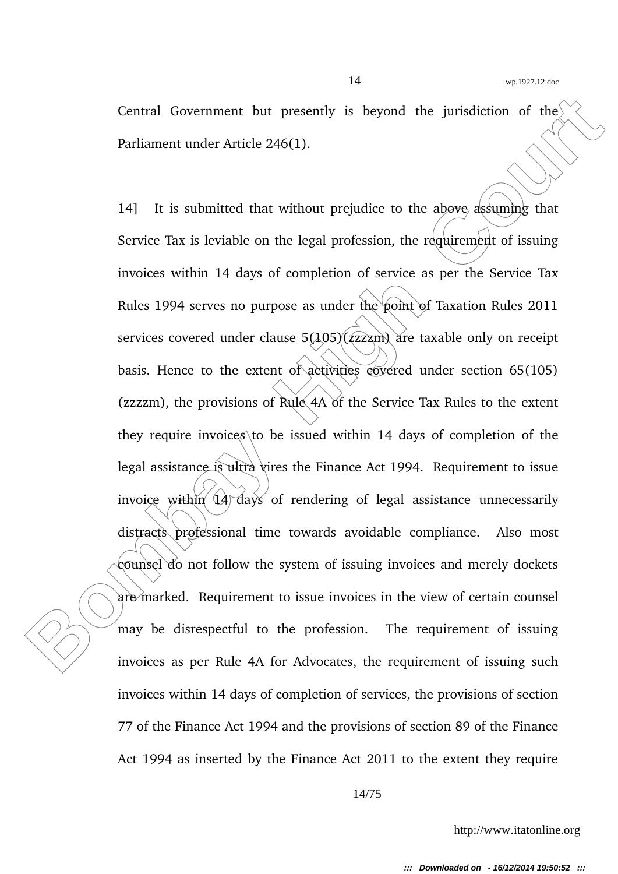Central Government but presently is beyond the jurisdiction of the Parliament under Article 246(1).

Central Government but presently is beyond the jurisdiction of the<br> **Parliament under Article 246(1).**<br> **Bombay High Court Court Court Court Court Court Court Court Court Court Court Court Court Court Court Court Court Cou** 14] It is submitted that without prejudice to the above assuming that Service Tax is leviable on the legal profession, the requirement of issuing invoices within 14 days of completion of service as per the Service Tax Rules 1994 serves no purpose as under the point of Taxation Rules 2011 services covered under clause  $5(105)(7222)$  are taxable only on receipt basis. Hence to the extent of activities covered under section 65(105) (zzzzm), the provisions of Rule  $4A$  of the Service Tax Rules to the extent they require invoices to be issued within 14 days of completion of the legal assistance is ultra vires the Finance Act 1994. Requirement to issue invoice within  $\left( \frac{1}{4} \right)$  days of rendering of legal assistance unnecessarily distracts professional time towards avoidable compliance. Also most counsel do not follow the system of issuing invoices and merely dockets are marked. Requirement to issue invoices in the view of certain counsel may be disrespectful to the profession. The requirement of issuing invoices as per Rule 4A for Advocates, the requirement of issuing such invoices within 14 days of completion of services, the provisions of section 77 of the Finance Act 1994 and the provisions of section 89 of the Finance Act 1994 as inserted by the Finance Act 2011 to the extent they require

14/75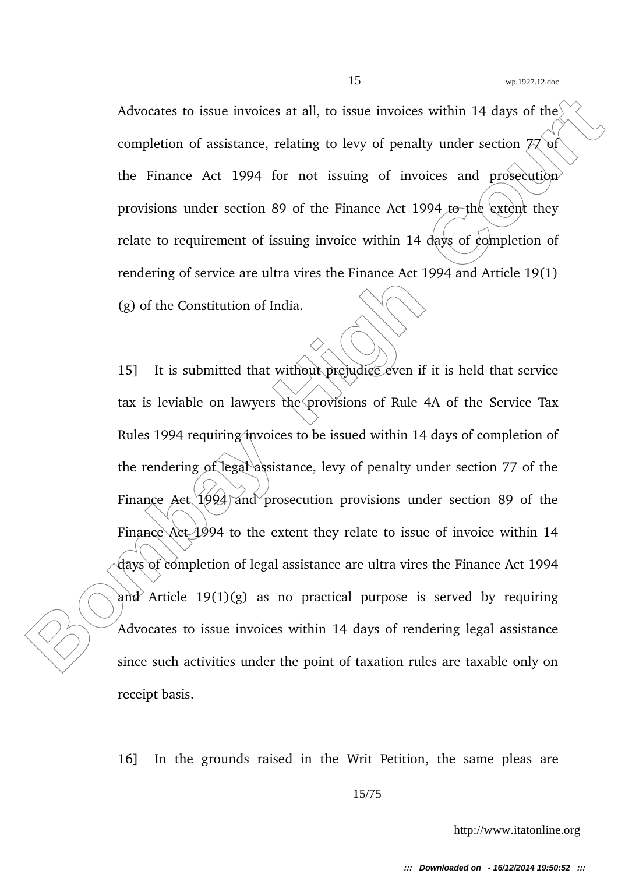Advocates to issue invoices at all, to issue invoices within 14 days of the completion of assistance, relating to levy of penalty under section  $77$  of the Finance Act 1994 for not issuing of invoices and prosecution provisions under section 89 of the Finance Act 1994 to the extent they relate to requirement of issuing invoice within 14 days of completion of rendering of service are ultra vires the Finance Act 1994 and Article 19(1) (g) of the Constitution of India.

Advocates to issue invoices at all, to issue invoices within 14 days of the<br>
completion of assistance, relating to levy of penalty under section *PC* of<br>
the Finance Act 1994 for not issuing of invoices and prosecution<br>
pr 15] It is submitted that without prejudice even if it is held that service tax is leviable on lawyers the provisions of Rule 4A of the Service Tax Rules 1994 requiring invoices to be issued within 14 days of completion of the rendering of legal assistance, levy of penalty under section 77 of the Finance Act  $1994$  and prosecution provisions under section 89 of the Finance Act  $1994$  to the extent they relate to issue of invoice within 14 days of completion of legal assistance are ultra vires the Finance Act 1994 and Article  $19(1)(g)$  as no practical purpose is served by requiring Advocates to issue invoices within 14 days of rendering legal assistance since such activities under the point of taxation rules are taxable only on receipt basis.

16] In the grounds raised in the Writ Petition, the same pleas are

15/75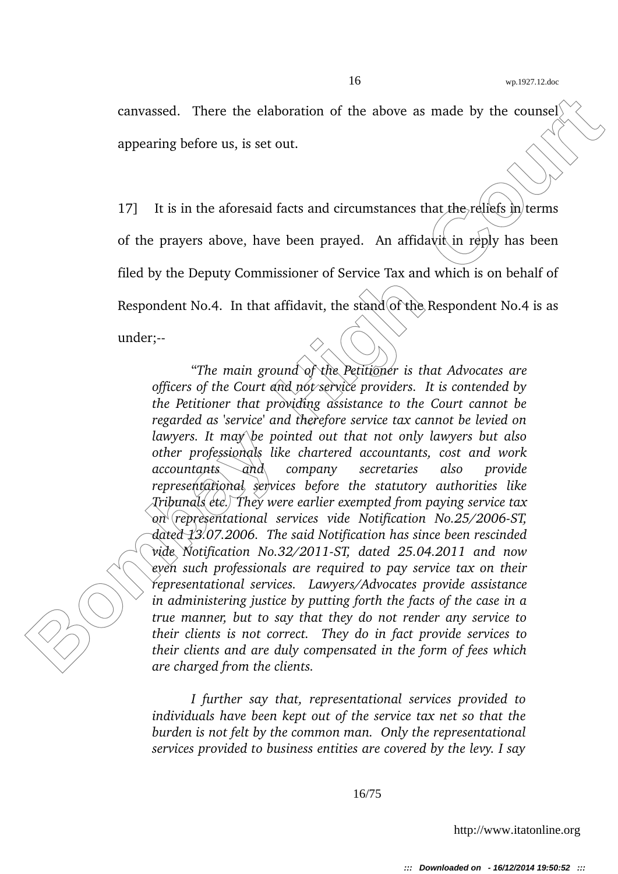canvassed. There the elaboration of the above as made by the counsel appearing before us, is set out.

17] It is in the aforesaid facts and circumstances that the reliefs  $\ln$  terms of the prayers above, have been prayed. An affidavit in reply has been filed by the Deputy Commissioner of Service Tax and which is on behalf of Respondent No.4. In that affidavit, the stand of the Respondent No.4 is as under;

can<br>vassed. There the claboration of the above as made by the coursed<br>
appearing before us, is set out.<br> **Bombay Equality Court is and controlled that the effects** in terms<br>
of the prayers above, have been prayed. An affi "*The main ground of the Petitioner is that Advocates are officers of the Court and not service providers. It is contended by the Petitioner that providing assistance to the Court cannot be regarded as 'service' and therefore service tax cannot be levied on lawyers. It may be pointed out that not only lawyers but also other professionals like chartered accountants, cost and work accountants and company secretaries also provide representational services before the statutory authorities like Tribunals etc. They were earlier exempted from paying service tax* on *representational services vide Notification No.25/2006-ST, dated 13.07.2006. The said Notification has since been rescinded vide Notification No.32/2011ST, dated 25.04.2011 and now even such professionals are required to pay service tax on their representational services. Lawyers/Advocates provide assistance in administering justice by putting forth the facts of the case in a true manner, but to say that they do not render any service to their clients is not correct. They do in fact provide services to their clients and are duly compensated in the form of fees which are charged from the clients.*

> *I further say that, representational services provided to individuals have been kept out of the service tax net so that the burden is not felt by the common man. Only the representational services provided to business entities are covered by the levy. I say*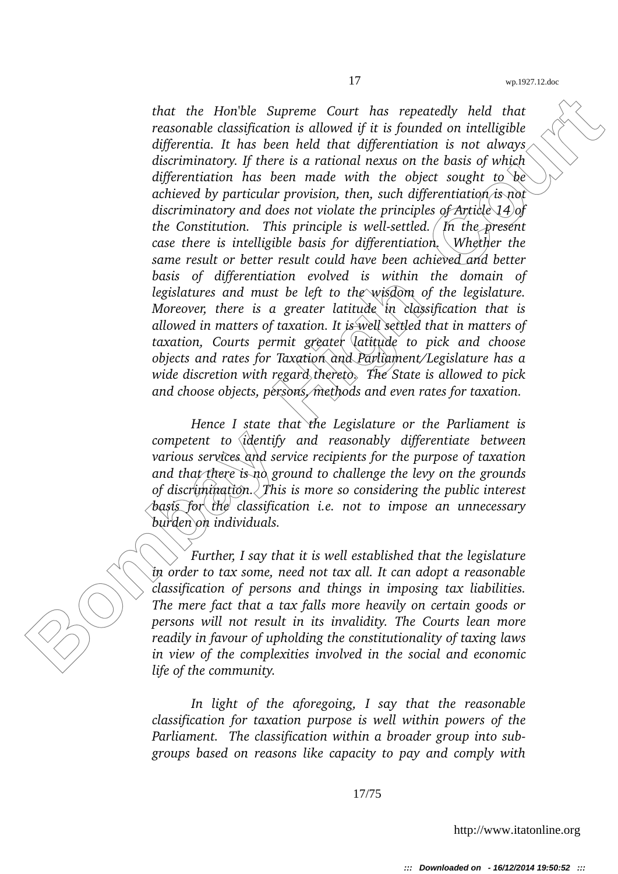that the Horible Supreme Court has repeatedly held that<br>reasonable classification is allowed if it is found on intelligible<br>differentia. It has been held that differentiation is not always<br>discriminatory. If there is a rat *that the Hon'ble Supreme Court has repeatedly held that reasonable classification is allowed if it is founded on intelligible differentia. It has been held that differentiation is not always discriminatory. If there is a rational nexus on the basis of which differentiation has been made with the object sought to be achieved by particular provision, then, such differentiation is not discriminatory and does not violate the principles of Article 14 of the Constitution. This principle is well-settled.* In the present *case there is intelligible basis for differentiation. Whether the same result or better result could have been achieved and better basis of differentiation evolved is within the domain of legislatures and must be left to the wisdom of the legislature. Moreover, there is a greater latitude in classification that is allowed in matters of taxation. It is well settled that in matters of taxation, Courts permit greater latitude to pick and choose objects and rates for Taxation and Parliament/Legislature has a wide discretion with regard thereto. The State is allowed to pick and choose objects, persons, methods and even rates for taxation.*

*Hence I state that the Legislature or the Parliament is competent to identify and reasonably differentiate between various services and service recipients for the purpose of taxation and that there is no ground to challenge the levy on the grounds of discrimination. This is more so considering the public interest basis for the classification i.e. not to impose an unnecessary burden on individuals.*

*Further, I say that it is well established that the legislature in order to tax some, need not tax all. It can adopt a reasonable classification of persons and things in imposing tax liabilities. The mere fact that a tax falls more heavily on certain goods or persons will not result in its invalidity. The Courts lean more readily in favour of upholding the constitutionality of taxing laws in view of the complexities involved in the social and economic life of the community.*

*In light of the aforegoing, I say that the reasonable classification for taxation purpose is well within powers of the Parliament. The classification within a broader group into subgroups based on reasons like capacity to pay and comply with*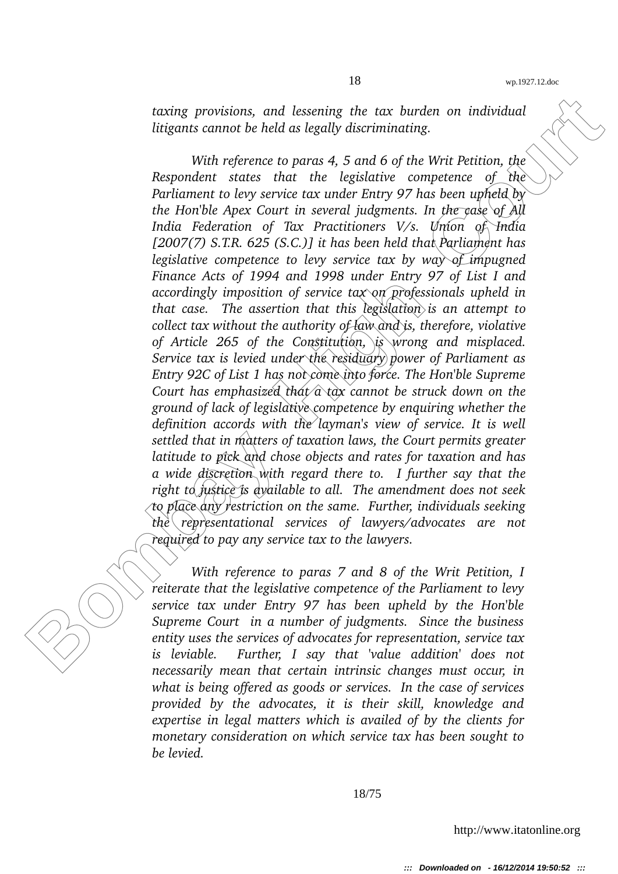*taxing provisions, and lessening the tax burden on individual litigants cannot be held as legally discriminating.*

**Early provisions, and lessening the tax burden on individual litigants cannot be held as legally discriminating.**<br>
With reference to para st, 5 and 6 of the Writ Petition, the Response of the stress of the transitions of *With reference to paras 4, 5 and 6 of the Writ Petition, the Respondent states that the legislative competence of the Parliament to levy service tax under Entry 97 has been upheld by the Hon'ble Apex Court in several judgments. In the case of All India Federation of Tax Practitioners V/s. Union of India [2007(7) S.T.R. 625 (S.C.)] it has been held that Parliament has legislative competence to levy service tax by way of impugned Finance Acts of 1994 and 1998 under Entry 97 of List I and accordingly imposition of service tax on professionals upheld in that case. The assertion that this legislation is an attempt to collect tax without the authority of law and is, therefore, violative of Article 265 of the Constitution, is wrong and misplaced. Service tax is levied under the residuary power of Parliament as Entry 92C of List 1 has not come into force. The Hon'ble Supreme Court has emphasized that a tax cannot be struck down on the ground of lack of legislative competence by enquiring whether the definition accords with the layman's view of service. It is well settled that in matters of taxation laws, the Court permits greater latitude to pick and chose objects and rates for taxation and has a wide discretion with regard there to. I further say that the right to justice is available to all. The amendment does not seek to place any restriction on the same. Further, individuals seeking the representational services of lawyers/advocates are not required to pay any service tax to the lawyers.*

*With reference to paras 7 and 8 of the Writ Petition, I reiterate that the legislative competence of the Parliament to levy service tax under Entry 97 has been upheld by the Hon'ble Supreme Court in a number of judgments. Since the business entity uses the services of advocates for representation, service tax is leviable. Further, I say that 'value addition' does not necessarily mean that certain intrinsic changes must occur, in what is being offered as goods or services. In the case of services provided by the advocates, it is their skill, knowledge and expertise in legal matters which is availed of by the clients for monetary consideration on which service tax has been sought to be levied.*

18/75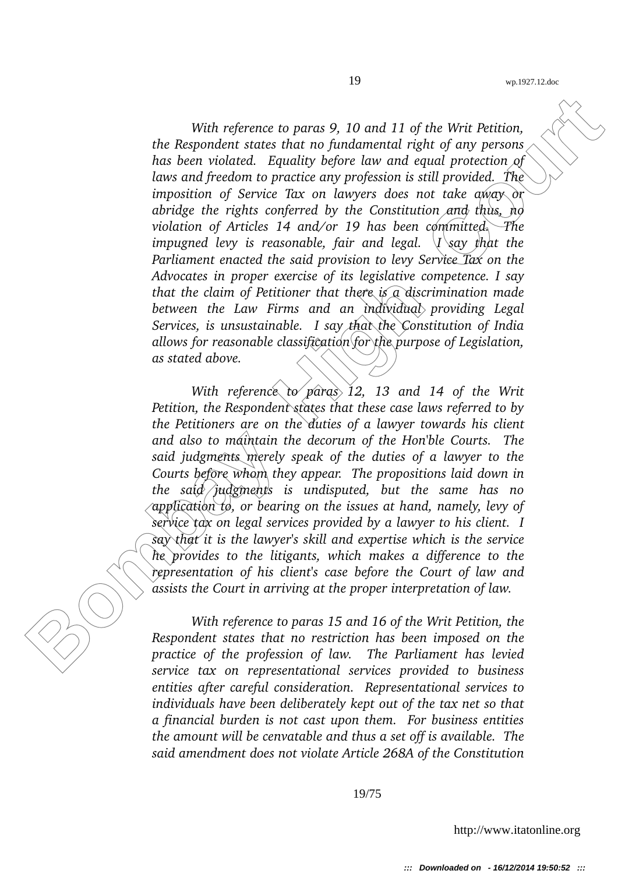With reference to paras 9, 10 and 11 of the Writ Petition,<br>the Respondent states that no fundamental right of any person<br>has been volated. Equality before law and equal procedion, contained in Equality and the distribution *With reference to paras 9, 10 and 11 of the Writ Petition, the Respondent states that no fundamental right of any persons has been violated. Equality before law and equal protection of laws and freedom to practice any profession is still provided. The imposition of Service Tax on lawyers does not take away or abridge the rights conferred by the Constitution and thus, no violation of Articles 14 and/or 19 has been committed. The impugned levy is reasonable, fair and legal. I say that the Parliament enacted the said provision to levy Service Tax on the Advocates in proper exercise of its legislative competence. I say that the claim of Petitioner that there is a discrimination made between the Law Firms and an individual providing Legal Services, is unsustainable. I say that the Constitution of India allows for reasonable classification for the purpose of Legislation, as stated above.*

*With reference to paras 12, 13 and 14 of the Writ Petition, the Respondent states that these case laws referred to by the Petitioners are on the duties of a lawyer towards his client and also to maintain the decorum of the Hon'ble Courts. The said judgments merely speak of the duties of a lawyer to the Courts before whom they appear. The propositions laid down in the said judgments is undisputed, but the same has no application to, or bearing on the issues at hand, namely, levy of service tax on legal services provided by a lawyer to his client. I say that it is the lawyer's skill and expertise which is the service he provides to the litigants, which makes a difference to the representation of his client's case before the Court of law and assists the Court in arriving at the proper interpretation of law.*

*With reference to paras 15 and 16 of the Writ Petition, the Respondent states that no restriction has been imposed on the practice of the profession of law. The Parliament has levied service tax on representational services provided to business entities after careful consideration. Representational services to individuals have been deliberately kept out of the tax net so that a financial burden is not cast upon them. For business entities the amount will be cenvatable and thus a set off is available. The said amendment does not violate Article 268A of the Constitution*

19/75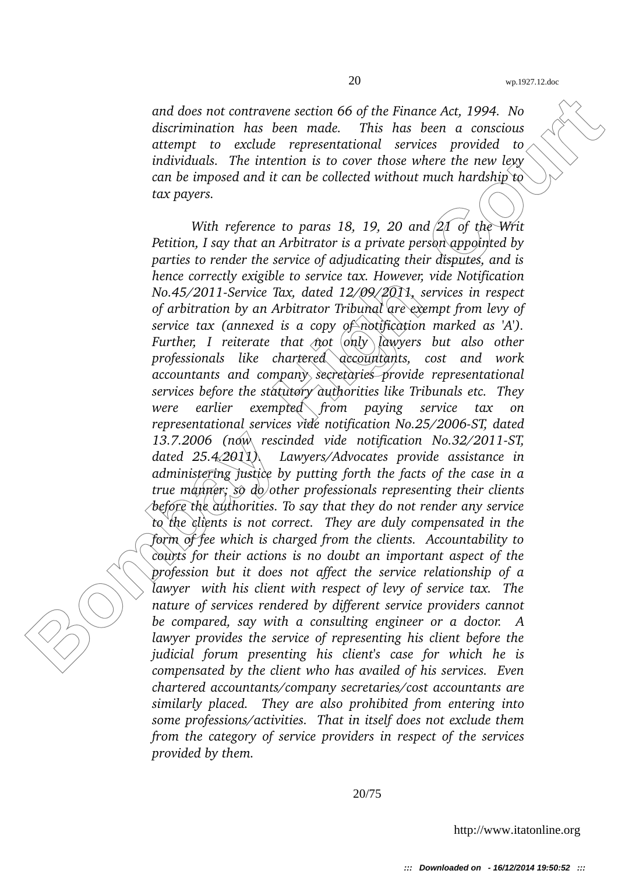*and does not contravene section 66 of the Finance Act, 1994. No discrimination has been made. This has been a conscious attempt to exclude representational services provided to individuals. The intention is to cover those where the new levy can be imposed and it can be collected without much hardship to tax payers.*

and does not contravene section 66 of the Finance Act, 1994. No<br>discrimination has been made. This has been the constolations of the matrix the dividuals are model in<br>the interpret of the interpret of the court of the pro *With reference to paras 18, 19, 20 and 21 of the Writ Petition, I say that an Arbitrator is a private person appointed by parties to render the service of adjudicating their disputes, and is hence correctly exigible to service tax. However, vide Notification No.45/2011-Service Tax, dated 12/09/2011, services in respect of arbitration by an Arbitrator Tribunal are exempt from levy of service tax (annexed is a copy of notification marked as 'A'). Further, I reiterate that not*  $\langle n_y \rangle$  *lawyers but also other professionals like chartered accountants, cost and work accountants and company secretaries provide representational services before the statutory authorities like Tribunals etc. They were earlier exempted from paying service tax on* representational services vide notification No.25/2006-ST, dated 13.7.2006 *(now rescinded vide notification No.32/2011-ST, dated 25.4.2011). Lawyers/Advocates provide assistance in administering justice by putting forth the facts of the case in a true manner; so do other professionals representing their clients before the authorities. To say that they do not render any service to the clients is not correct. They are duly compensated in the form of fee which is charged from the clients. Accountability to courts for their actions is no doubt an important aspect of the profession but it does not affect the service relationship of a lawyer with his client with respect of levy of service tax. The nature of services rendered by different service providers cannot be compared, say with a consulting engineer or a doctor. A lawyer provides the service of representing his client before the judicial forum presenting his client's case for which he is compensated by the client who has availed of his services. Even chartered accountants/company secretaries/cost accountants are similarly placed. They are also prohibited from entering into some professions/activities. That in itself does not exclude them from the category of service providers in respect of the services provided by them.*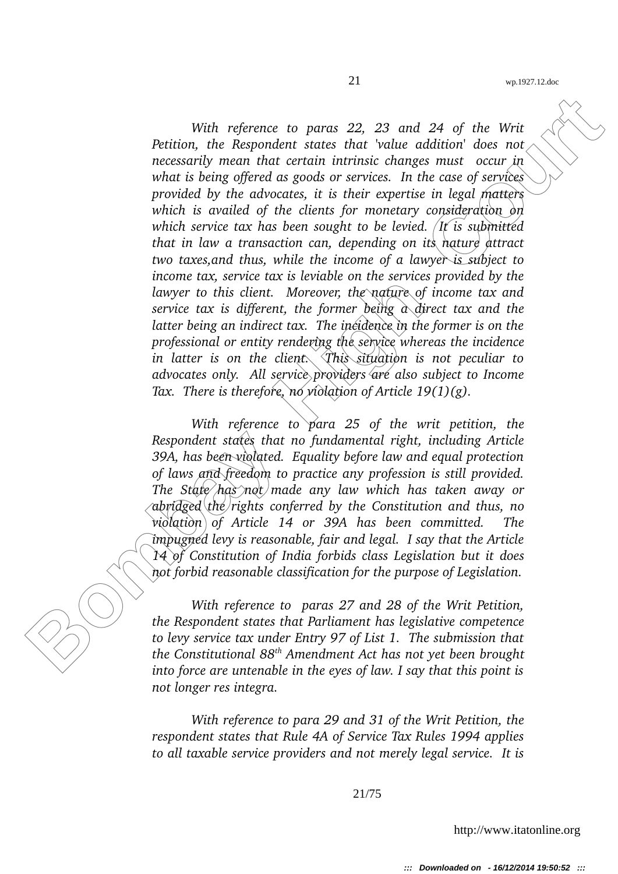With reference to paras 22, 23 and 24 of the Writ<br>
Petition, the Respondent states that 'volue addition' does no<br>
necessarily mean that textual intrinsic changes must occur in<br>
what is being offered as goods or services. I *With reference to paras 22, 23 and 24 of the Writ Petition, the Respondent states that 'value addition' does not necessarily mean that certain intrinsic changes must occur in what is being offered as goods or services. In the case of services provided by the advocates, it is their expertise in legal matters which is availed of the clients for monetary consideration on which service tax has been sought to be levied. It is submitted that in law a transaction can, depending on its nature attract two taxes,and thus, while the income of a lawyer is subject to income tax, service tax is leviable on the services provided by the lawyer to this client. Moreover, the nature of income tax and service tax is different, the former being a direct tax and the latter being an indirect tax. The incidence in the former is on the professional or entity rendering the service whereas the incidence in latter is on the client. This situation is not peculiar to advocates only. All service providers are also subject to Income Tax. There is therefore, no violation of Article 19(1)(g).*

*With reference to para 25 of the writ petition, the Respondent states that no fundamental right, including Article 39A, has been violated. Equality before law and equal protection of laws and freedom to practice any profession is still provided. The State has not made any law which has taken away or abridged the rights conferred by the Constitution and thus, no violation of Article 14 or 39A has been committed. The impugned levy is reasonable, fair and legal. I say that the Article 14 of Constitution of India forbids class Legislation but it does not forbid reasonable classification for the purpose of Legislation.*

*With reference to paras 27 and 28 of the Writ Petition, the Respondent states that Parliament has legislative competence to levy service tax under Entry 97 of List 1. The submission that the Constitutional 88th Amendment Act has not yet been brought into force are untenable in the eyes of law. I say that this point is not longer res integra.*

*With reference to para 29 and 31 of the Writ Petition, the respondent states that Rule 4A of Service Tax Rules 1994 applies to all taxable service providers and not merely legal service. It is*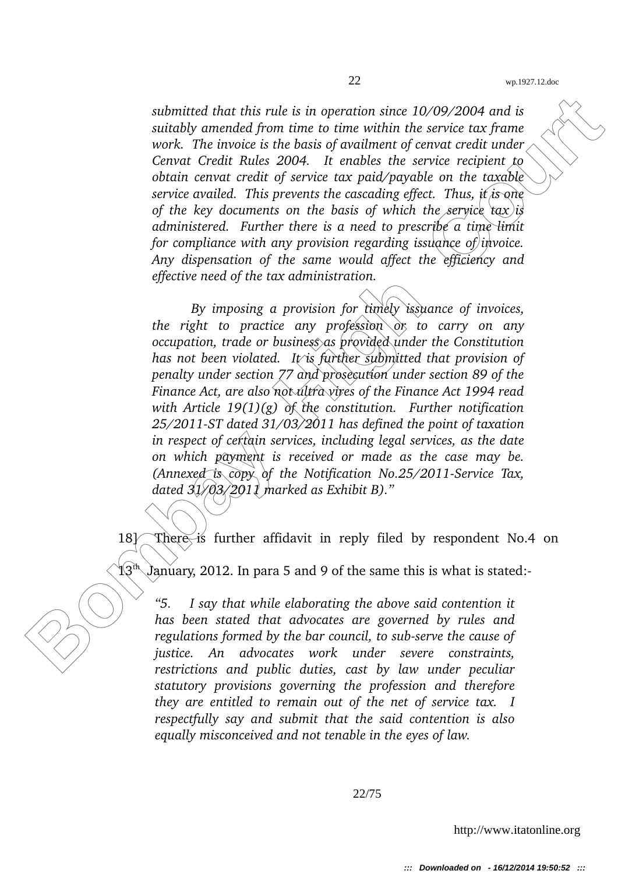*submitted that this rule is in operation since 10/09/2004 and is suitably amended from time to time within the service tax frame work. The invoice is the basis of availment of cenvat credit under Cenvat Credit Rules 2004. It enables the service recipient to obtain cenvat credit of service tax paid/payable on the taxable service availed. This prevents the cascading effect. Thus, it is one of the key documents on the basis of which the service tax is administered. Further there is a need to prescribe a time limit for compliance with any provision regarding issuance of invoice. Any dispensation of the same would affect the efficiency and effective need of the tax administration.*

**Bombay America** that this rule is in operation since 10/09/2004 and is<br>subably amended from three to time within the service tax from<br>work. The invoice is the basis of availment of cenvat credit unde<br>Cornect Coult Rules 2 *By imposing a provision for timely issuance of invoices, the right to practice any profession or to carry on any occupation, trade or business as provided under the Constitution has not been violated. It is further submitted that provision of penalty under section 77 and prosecution under section 89 of the Finance Act, are also not ultra vires of the Finance Act 1994 read with Article 19(1)(g) of the constitution. Further notification* 25/2011-ST dated 31/03/2011 has defined the point of taxation *in respect of certain services, including legal services, as the date on which payment is received or made as the case may be. (Annexed is copy of the Notification No.25/2011-Service Tax, dated 31/03/2011 marked as Exhibit B)."*

18] There is further affidavit in reply filed by respondent No.4 on

 $13<sup>th</sup>$  ) anuary, 2012. In para 5 and 9 of the same this is what is stated:

*"5. I say that while elaborating the above said contention it has been stated that advocates are governed by rules and* regulations formed by the bar council, to sub-serve the cause of *justice. An advocates work under severe constraints, restrictions and public duties, cast by law under peculiar statutory provisions governing the profession and therefore they are entitled to remain out of the net of service tax. I respectfully say and submit that the said contention is also equally misconceived and not tenable in the eyes of law.*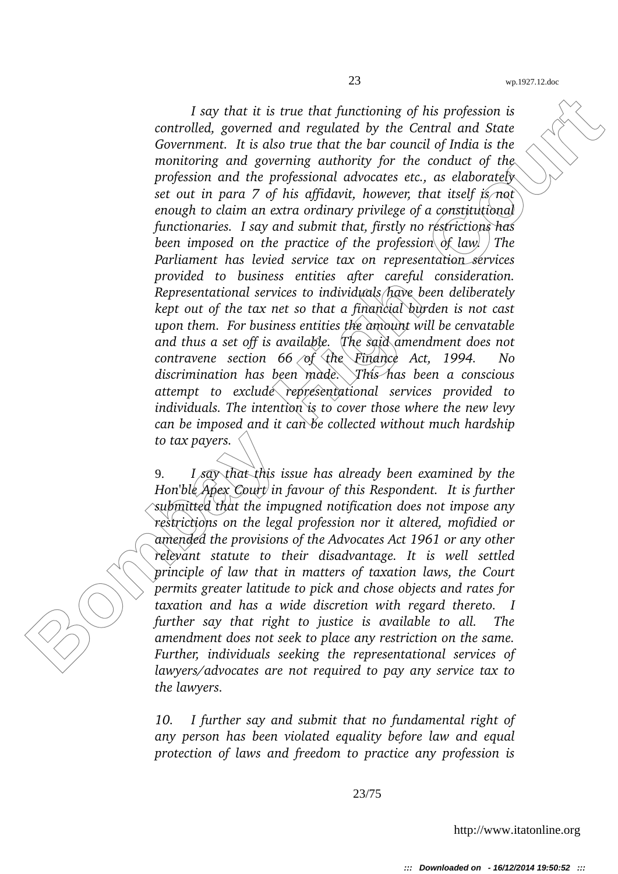**Box** that it is true that functioning of his profession is<br>convolubel, governed and regulated by the Central and State<br>Government. It is also true that the bar council of India is the<br>monitoring and governing authority f *I say that it is true that functioning of his profession is controlled, governed and regulated by the Central and State Government. It is also true that the bar council of India is the monitoring and governing authority for the conduct of the profession and the professional advocates etc., as elaborately set out in para 7 of his affidavit, however, that itself is not enough to claim an extra ordinary privilege of a constitutional functionaries. I say and submit that, firstly no restrictions has been imposed on the practice of the profession of law. The Parliament has levied service tax on representation services provided to business entities after careful consideration. Representational services to individuals have been deliberately kept out of the tax net so that a financial burden is not cast upon them. For business entities the amount will be cenvatable and thus a set off is available. The said amendment does not contravene section 66 of the Finance Act, 1994. No discrimination has been made. This has been a conscious attempt to exclude representational services provided to individuals. The intention is to cover those where the new levy can be imposed and it can be collected without much hardship to tax payers.*

9. *I say that this issue has already been examined by the Hon'ble Apex Court in favour of this Respondent. It is further submitted that the impugned notification does not impose any restrictions on the legal profession nor it altered, mofidied or amended the provisions of the Advocates Act 1961 or any other relevant statute to their disadvantage. It is well settled principle of law that in matters of taxation laws, the Court permits greater latitude to pick and chose objects and rates for taxation and has a wide discretion with regard thereto. I further say that right to justice is available to all. The amendment does not seek to place any restriction on the same. Further, individuals seeking the representational services of lawyers/advocates are not required to pay any service tax to the lawyers.*

*10. I further say and submit that no fundamental right of any person has been violated equality before law and equal protection of laws and freedom to practice any profession is*

23/75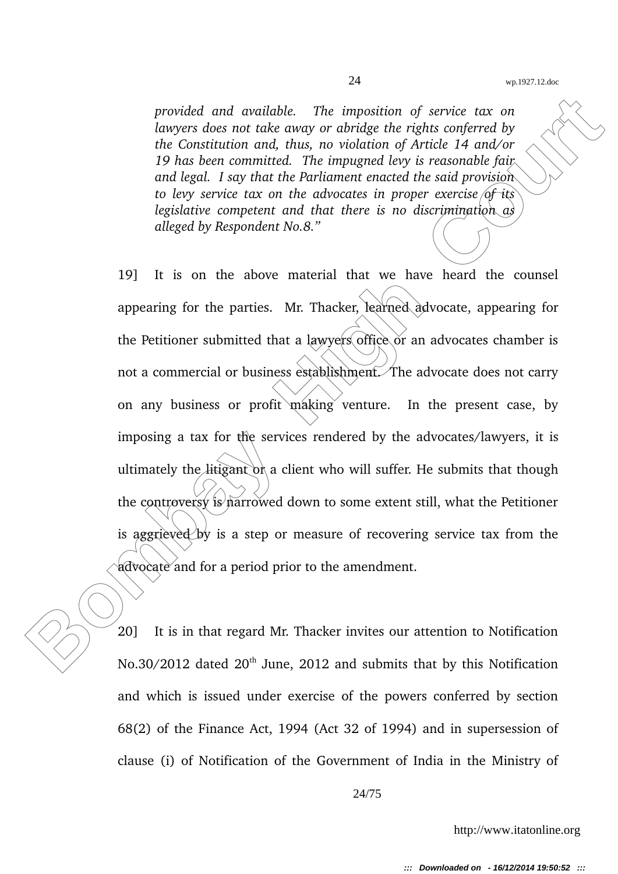*provided and available. The imposition of service tax on lawyers does not take away or abridge the rights conferred by the Constitution and, thus, no violation of Article 14 and/or 19 has been committed. The impugned levy is reasonable fair and legal. I say that the Parliament enacted the said provision to levy service tax on the advocates in proper exercise of its legislative competent and that there is no discrimination as alleged by Respondent No.8."*

provided and available. The imposition of service tax on<br>the Constitution and, thus, no abidge the rights conferred by<br>the Constitution and, thus, no violation of Article 14 and/or<br>19 has been committed. The impugned by i 19] It is on the above material that we have heard the counsel appearing for the parties. Mr. Thacker, learned advocate, appearing for the Petitioner submitted that a lawyers office or an advocates chamber is not a commercial or business establishment. The advocate does not carry on any business or profit  $m\lambda$  ing venture. In the present case, by imposing a tax for the services rendered by the advocates/lawyers, it is ultimately the litigant of a client who will suffer. He submits that though the controversy is narrowed down to some extent still, what the Petitioner is aggrieved by is a step or measure of recovering service tax from the advocate and for a period prior to the amendment.

20] It is in that regard Mr. Thacker invites our attention to Notification No.30/2012 dated 20<sup>th</sup> June, 2012 and submits that by this Notification and which is issued under exercise of the powers conferred by section 68(2) of the Finance Act, 1994 (Act 32 of 1994) and in supersession of clause (i) of Notification of the Government of India in the Ministry of

24/75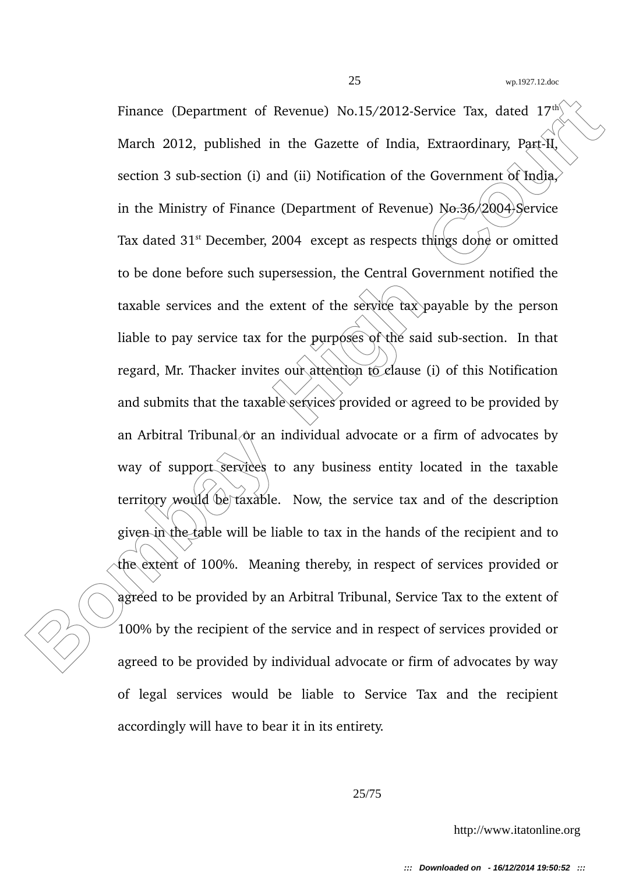Finance (Department of Revenue) No.15/2012-Service Tax, dated 17<sup>e/</sup><br>March 2012, published in the Gazette of India, Extraordinary, Part-II<br>section 3 sub-section (i) and (ii) Notification of the Government of Todia)<br>in the Finance (Department of Revenue) No.15/2012-Service Tax, dated  $17<sup>th</sup>$ March 2012, published in the Gazette of India, Extraordinary, Part-II, section 3 sub-section (i) and (ii) Notification of the Government of India, in the Ministry of Finance (Department of Revenue)  $N\sigma$ :36/2004 Service Tax dated  $31<sup>st</sup>$  December, 2004 except as respects things done or omitted to be done before such supersession, the Central Government notified the taxable services and the extent of the service tax payable by the person liable to pay service tax for the purposes of the said sub-section. In that regard, Mr. Thacker invites our attention to clause (i) of this Notification and submits that the taxable services provided or agreed to be provided by an Arbitral Tribunal  $\alpha$ r an individual advocate or a firm of advocates by way of support services to any business entity located in the taxable territory would be taxable. Now, the service tax and of the description given in the table will be liable to tax in the hands of the recipient and to the extent of 100%. Meaning thereby, in respect of services provided or agreed to be provided by an Arbitral Tribunal, Service Tax to the extent of 100% by the recipient of the service and in respect of services provided or agreed to be provided by individual advocate or firm of advocates by way of legal services would be liable to Service Tax and the recipient accordingly will have to bear it in its entirety.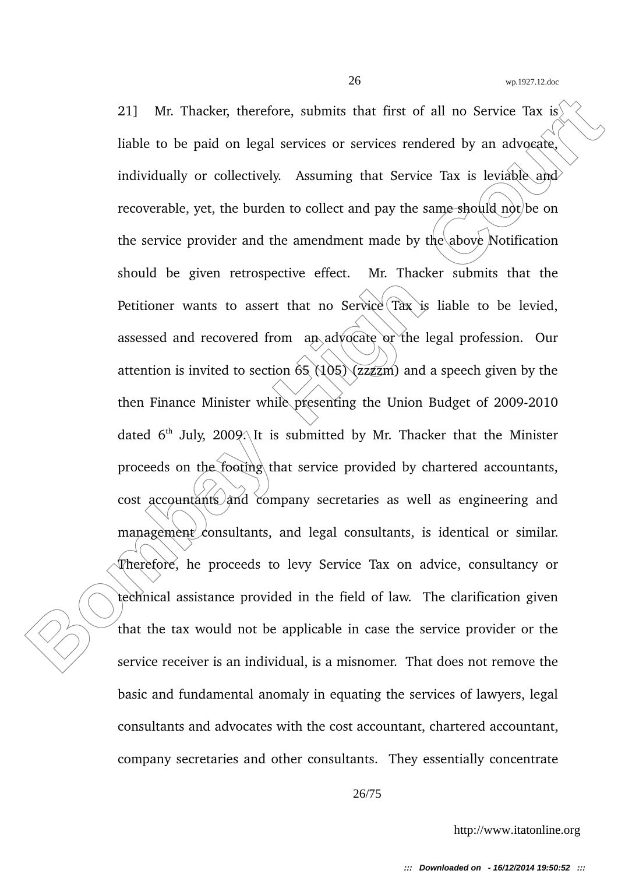21] Mr. Thacker, therefore, submits that first of all no Service Tax is<br>
liable to be paid on legal services or services rendered by an advocate<br>
individually or collectively. Assuming that Service Tax is leviable and<br>
re 21] Mr. Thacker, therefore, submits that first of all no Service Tax is liable to be paid on legal services or services rendered by an advocate, individually or collectively. Assuming that Service Tax is leviable and recoverable, yet, the burden to collect and pay the same should not be on the service provider and the amendment made by the above Notification should be given retrospective effect. Mr. Thacker submits that the Petitioner wants to assert that no Service  $\frac{d}{dx}$  is liable to be levied, assessed and recovered from  $a_n$  advocate or the legal profession. Our attention is invited to section  $\delta$ 5 (105) (zzzzm) and a speech given by the then Finance Minister while presenting the Union Budget of  $2009-2010$ dated  $6<sup>th</sup>$  July, 2009. It is submitted by Mr. Thacker that the Minister proceeds on the footing that service provided by chartered accountants, cost accountants and company secretaries as well as engineering and management consultants, and legal consultants, is identical or similar. Therefore, he proceeds to levy Service Tax on advice, consultancy or technical assistance provided in the field of law. The clarification given that the tax would not be applicable in case the service provider or the service receiver is an individual, is a misnomer. That does not remove the basic and fundamental anomaly in equating the services of lawyers, legal consultants and advocates with the cost accountant, chartered accountant, company secretaries and other consultants. They essentially concentrate

26/75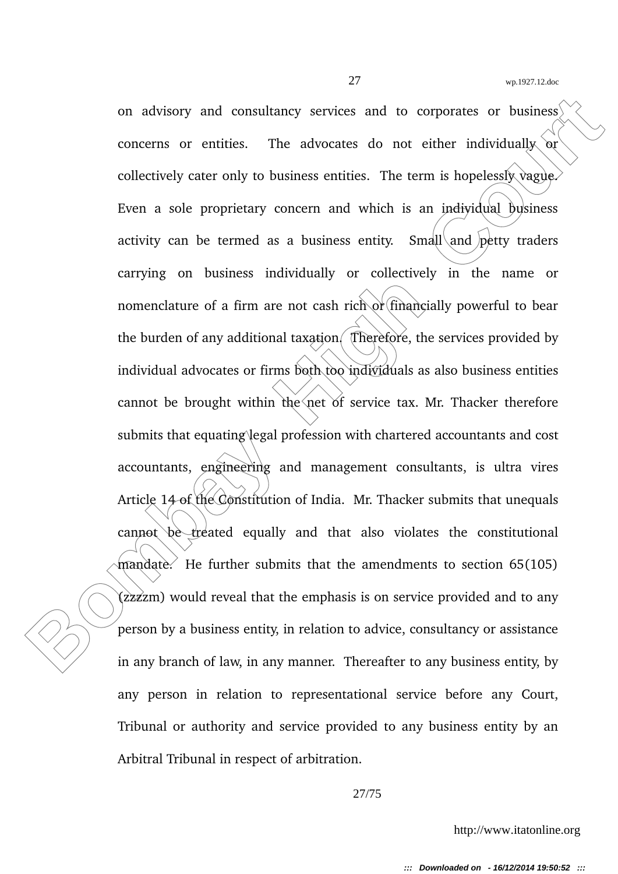on advisory and consultancy services and to corporates or business<br>
concerns or entities. The advocates do not either individually or<br>
collectively cater only to business entities. The term is hopedessly vague<br>
Even a sole on advisory and consultancy services and to corporates or business concerns or entities. The advocates do not either individually  $\alpha r$ collectively cater only to business entities. The term is hopelessly vague. Even a sole proprietary concern and which is an individual business activity can be termed as a business entity. Small and  $\text{p}$ etty traders carrying on business individually or collectively in the name or nomenclature of a firm are not cash rich or  $f$  financially powerful to bear the burden of any additional taxation. Therefore, the services provided by individual advocates or firms both too individuals as also business entities cannot be brought within the net of service tax. Mr. Thacker therefore submits that equating legal profession with chartered accountants and cost accountants, engineering and management consultants, is ultra vires Article 14 of the Constitution of India. Mr. Thacker submits that unequals  $\alpha$  cannot be treated equally and that also violates the constitutional  $\theta$  mandate. He further submits that the amendments to section 65(105) (zzzzm) would reveal that the emphasis is on service provided and to any person by a business entity, in relation to advice, consultancy or assistance in any branch of law, in any manner. Thereafter to any business entity, by any person in relation to representational service before any Court, Tribunal or authority and service provided to any business entity by an Arbitral Tribunal in respect of arbitration.

27/75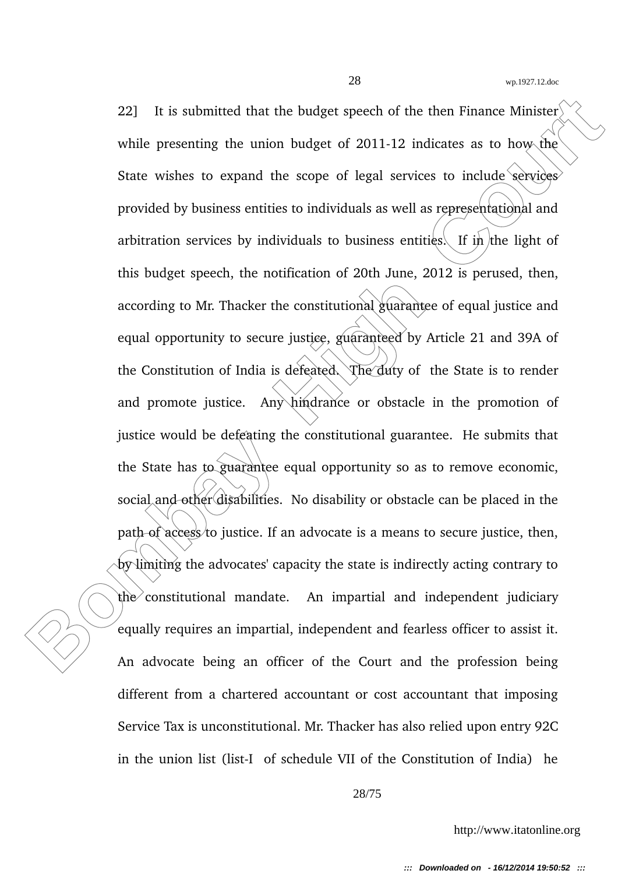22] It is submitted that the budget speech of the then Finance Minister<br>
while presenting the union budget of 2011-12 indicates as to how the<br>
State wishes to expand the scope of legal services to include services<br>
provide 22] It is submitted that the budget speech of the then Finance Minister while presenting the union budget of 2011-12 indicates as to how the State wishes to expand the scope of legal services to include services provided by business entities to individuals as well as representational and arbitration services by individuals to business entities. If in the light of this budget speech, the notification of 20th June, 2012 is perused, then, according to Mr. Thacker the constitutional guarantee of equal justice and equal opportunity to secure justice, guaranteed by Article 21 and 39A of the Constitution of India is defeated. The duty of the State is to render and promote justice. Any hindrance or obstacle in the promotion of justice would be defeating the constitutional guarantee. He submits that the State has to guarantee equal opportunity so as to remove economic, social and other disabilities. No disability or obstacle can be placed in the path of access/to justice. If an advocate is a means to secure justice, then, by limiting the advocates' capacity the state is indirectly acting contrary to  $the$  constitutional mandate. An impartial and independent judiciary equally requires an impartial, independent and fearless officer to assist it. An advocate being an officer of the Court and the profession being different from a chartered accountant or cost accountant that imposing Service Tax is unconstitutional. Mr. Thacker has also relied upon entry 92C in the union list (list-I of schedule VII of the Constitution of India) he

28/75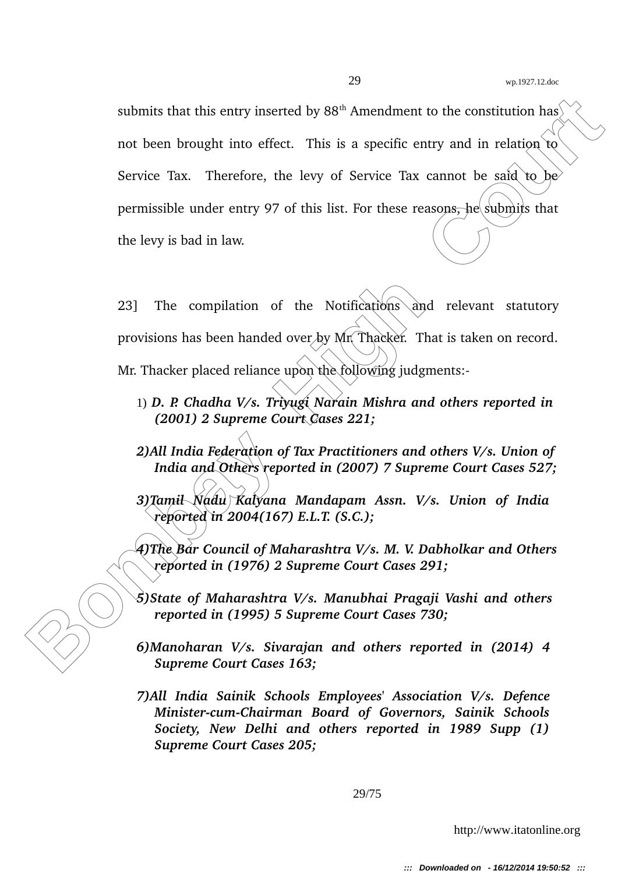**Bombay High Court School And The Court Court Court Court Court Court Court Court Court Court Court Court Court Court Court Court Court Court Court Court Court Court Court Court Court Court Court Court Court Court Court Co** submits that this entry inserted by  $88<sup>th</sup>$  Amendment to the constitution has not been brought into effect. This is a specific entry and in relation to Service Tax. Therefore, the levy of Service Tax cannot be said to be permissible under entry 97 of this list. For these reasons, he submits that the levy is bad in law.

23] The compilation of the Notifications and relevant statutory provisions has been handed over by Mr. Thacker. That is taken on record. Mr. Thacker placed reliance upon the following judgments:-

- 1) *D. P. Chadha V/s. Triyugi Narain Mishra and others reported in (2001) 2 Supreme Court Cases 221;*
- *2)All India Federation of Tax Practitioners and others V/s. Union of India and Others reported in (2007) 7 Supreme Court Cases 527;*

*3)Tamil Nadu Kalyana Mandapam Assn. V/s. Union of India reported in 2004(167) E.L.T. (S.C.);*

*4)The Bar Council of Maharashtra V/s. M. V. Dabholkar and Others reported in (1976) 2 Supreme Court Cases 291;*

*5)State of Maharashtra V/s. Manubhai Pragaji Vashi and others reported in (1995) 5 Supreme Court Cases 730;*

- *6)Manoharan V/s. Sivarajan and others reported in (2014) 4 Supreme Court Cases 163;*
- *7)All India Sainik Schools Employees' Association V/s. Defence Minister-cum-Chairman Board of Governors, Sainik Schools Society, New Delhi and others reported in 1989 Supp (1) Supreme Court Cases 205;*

29/75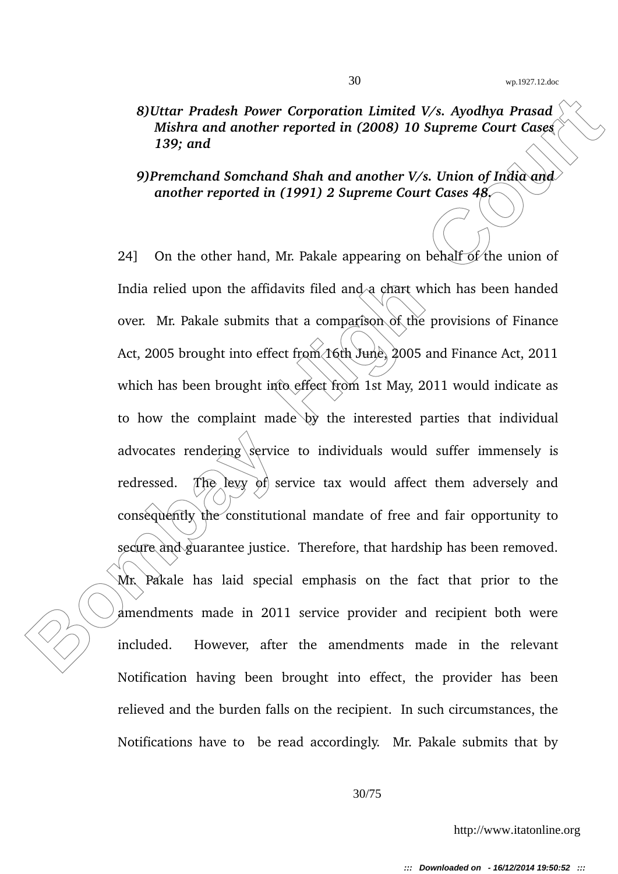*8)Uttar Pradesh Power Corporation Limited V/s. Ayodhya Prasad Mishra and another reported in (2008) 10 Supreme Court Cases 139; and*

### *9)Premchand Somchand Shah and another V/s. Union of India and another reported in (1991) 2 Supreme Court Cases 48.*

**Bother Pradesh Power Corporation Limited V/s. Ayodhya Prasad Mishra ond another reported in (2008) 10 Supreme Court Cases (1993) and another reported in (1991) 2 Supreme Court Cases (1993) and preme Court Cases (1993) and** 24] On the other hand, Mr. Pakale appearing on behalf of the union of India relied upon the affidavits filed and a chart which has been handed over. Mr. Pakale submits that a comparison of the provisions of Finance Act, 2005 brought into effect from 16th June, 2005 and Finance Act, 2011 which has been brought into effect from 1st May, 2011 would indicate as to how the complaint made  $\psi$  the interested parties that individual advocates rendering  $\sqrt{\frac{1}{2}}$  service to individuals would suffer immensely is redressed. The levy of service tax would affect them adversely and consequently the constitutional mandate of free and fair opportunity to secure and guarantee justice. Therefore, that hardship has been removed. Mr. Pakale has laid special emphasis on the fact that prior to the amendments made in 2011 service provider and recipient both were included. However, after the amendments made in the relevant Notification having been brought into effect, the provider has been relieved and the burden falls on the recipient. In such circumstances, the Notifications have to be read accordingly. Mr. Pakale submits that by

30/75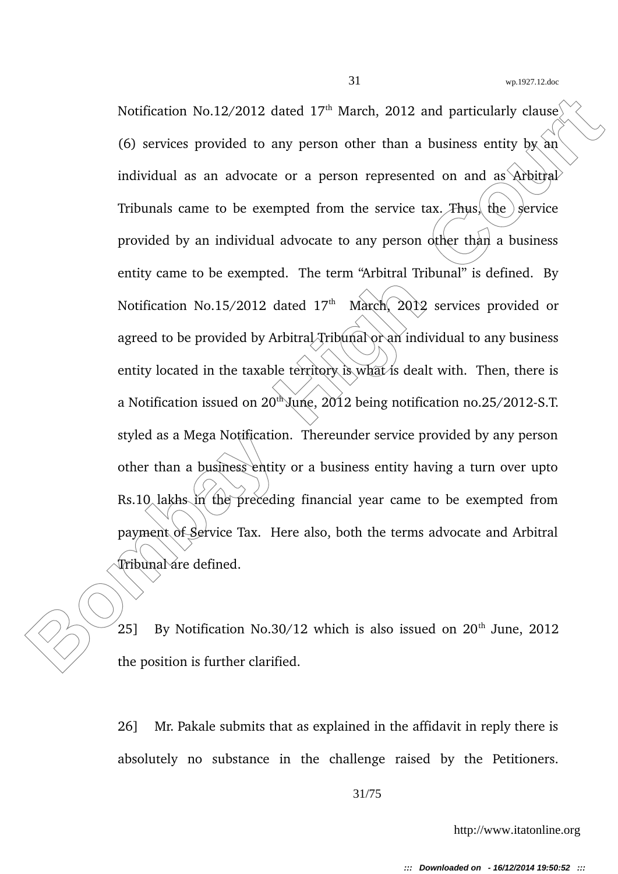Notification No.12/2012 dated 17<sup>th</sup> March, 2012 and particularly clause.<br>
(6) services provided to any person other than a business entity by anti-<br>
individual as an advocate or a person represented on and as Arbitral<br>
T Notification No.12/2012 dated 17<sup>th</sup> March, 2012 and particularly clause (6) services provided to any person other than a business entity by an individual as an advocate or a person represented on and as  $\Delta r$ bitral Tribunals came to be exempted from the service tax. Thus, the  $\frac{1}{2}$  service provided by an individual advocate to any person other than a business entity came to be exempted. The term "Arbitral Tribunal" is defined. By Notification No.15/2012 dated  $17<sup>th</sup>$  March, 2012 services provided or agreed to be provided by Arbitral Tribunal or an individual to any business entity located in the taxable territory is what is dealt with. Then, there is a Notification issued on  $20^{th}$  June,  $2012$  being notification no.25/2012-S.T. styled as a Mega Notification. Thereunder service provided by any person other than a business entity or a business entity having a turn over upto Rs.10 lakhs in the preceding financial year came to be exempted from payment of Service Tax. Here also, both the terms advocate and Arbitral Tribunal are defined.

25] By Notification No.30/12 which is also issued on  $20<sup>th</sup>$  June, 2012 the position is further clarified.

26] Mr. Pakale submits that as explained in the affidavit in reply there is absolutely no substance in the challenge raised by the Petitioners.

31/75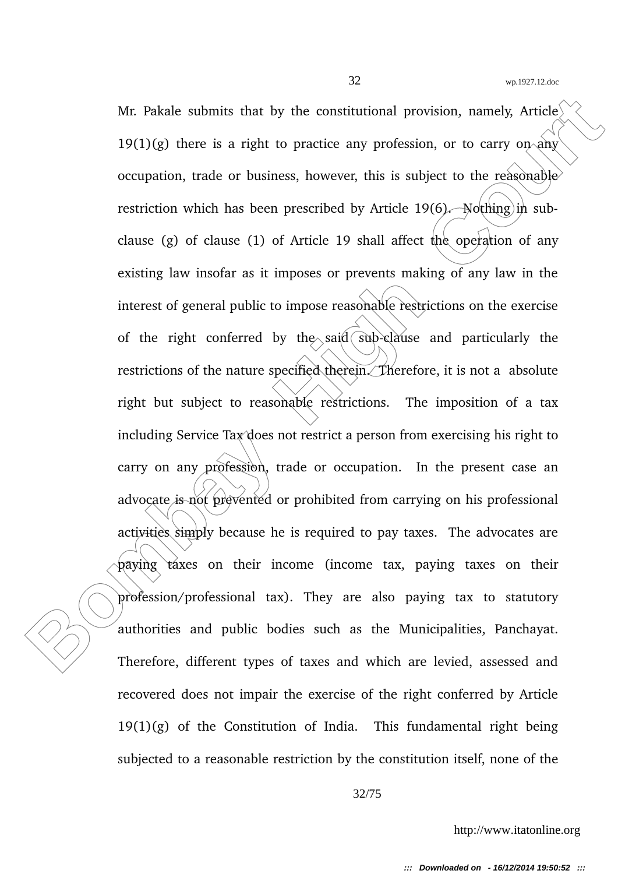Mr. Pakale submits that by the constitutional provision, namely, Article<sup>1</sup><br>19(1)(g) there is a right to practice any profession, or to carry on amo<br>occupation, trade or business, however, this is subject to the reaconable Mr. Pakale submits that by the constitutional provision, namely, Article<sup> $\langle$ </sup>  $19(1)(g)$  there is a right to practice any profession, or to carry on any occupation, trade or business, however, this is subject to the reasonable restriction which has been prescribed by Article  $19(6)$ . Nothing in subclause (g) of clause (1) of Article 19 shall affect the operation of any existing law insofar as it imposes or prevents making of any law in the interest of general public to impose reasonable restrictions on the exercise of the right conferred by the said  $\sinh$ -clause and particularly the restrictions of the nature specified therein. Therefore, it is not a absolute right but subject to reasonable restrictions. The imposition of a tax including Service Tax does not restrict a person from exercising his right to carry on any profession, trade or occupation. In the present case an advocate is not prevented or prohibited from carrying on his professional activities simply because he is required to pay taxes. The advocates are paying taxes on their income (income tax, paying taxes on their profession/professional tax). They are also paying tax to statutory authorities and public bodies such as the Municipalities, Panchayat. Therefore, different types of taxes and which are levied, assessed and recovered does not impair the exercise of the right conferred by Article  $19(1)(g)$  of the Constitution of India. This fundamental right being subjected to a reasonable restriction by the constitution itself, none of the

32/75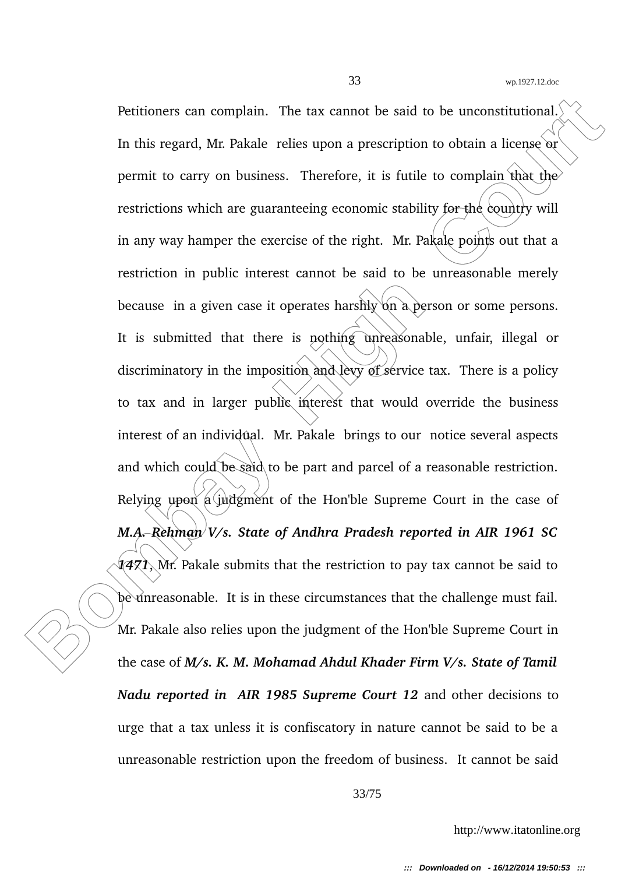Petitioners can complain. The tax cannot be said to be unconstitutional.<br>
In this regard, Mr. Pakale relies upon a prescription to obtain a license or<br>
permit to carry on business. Therefore, it is futile to complain that Petitioners can complain. The tax cannot be said to be unconstitutional. In this regard, Mr. Pakale relies upon a prescription to obtain a license or permit to carry on business. Therefore, it is futile to complain that the restrictions which are guaranteeing economic stability for the country will in any way hamper the exercise of the right. Mr. Pakale points out that a restriction in public interest cannot be said to be unreasonable merely because in a given case it operates harshly on a person or some persons. It is submitted that there is nothing unreasonable, unfair, illegal or discriminatory in the imposition and levy of service tax. There is a policy to tax and in larger public interest that would override the business interest of an individual. Mr. Pakale brings to our notice several aspects and which could be said to be part and parcel of a reasonable restriction. Relying upon a judgment of the Hon'ble Supreme Court in the case of *M.A. Rehman V/s. State of Andhra Pradesh reported in AIR 1961 SC 1471*, Mr. Pakale submits that the restriction to pay tax cannot be said to be unreasonable. It is in these circumstances that the challenge must fail. Mr. Pakale also relies upon the judgment of the Hon'ble Supreme Court in the case of *M/s. K. M. Mohamad Ahdul Khader Firm V/s. State of Tamil Nadu reported in AIR 1985 Supreme Court 12* and other decisions to urge that a tax unless it is confiscatory in nature cannot be said to be a unreasonable restriction upon the freedom of business. It cannot be said

33/75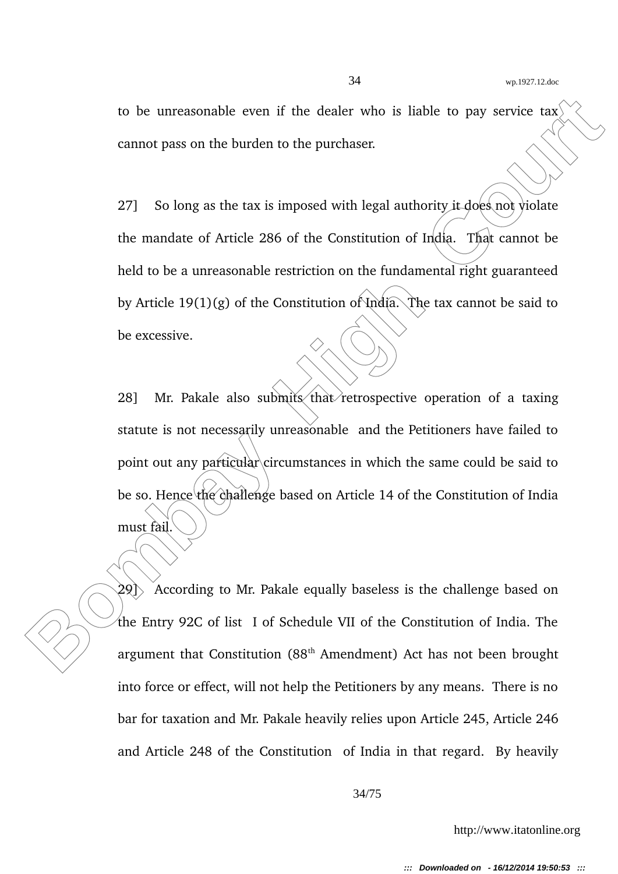to be unreasonable even if the dealer who is liable to pay service tax cannot pass on the burden to the purchaser.

27] So long as the tax is imposed with legal authority it does not violate the mandate of Article 286 of the Constitution of India. That cannot be held to be a unreasonable restriction on the fundamental right guaranteed by Article 19(1)(g) of the Constitution of India. The tax cannot be said to be excessive.

to be unreasonable even if the dealer who is liable to pay service tax<br>
cannot pass on the burden to the purchaser.<br>
27] So long as the tax is imposed with legal authority is does not violate<br>
the mandate of Article 286 of 28] Mr. Pakale also submits that retrospective operation of a taxing statute is not necessarily unreasonable and the Petitioners have failed to point out any particular circumstances in which the same could be said to be so. Hence the challenge based on Article 14 of the Constitution of India must fail.

 $29$ ) According to Mr. Pakale equally baseless is the challenge based on the Entry 92C of list I of Schedule VII of the Constitution of India. The argument that Constitution  $(88<sup>th</sup>$  Amendment) Act has not been brought into force or effect, will not help the Petitioners by any means. There is no bar for taxation and Mr. Pakale heavily relies upon Article 245, Article 246 and Article 248 of the Constitution of India in that regard. By heavily

34/75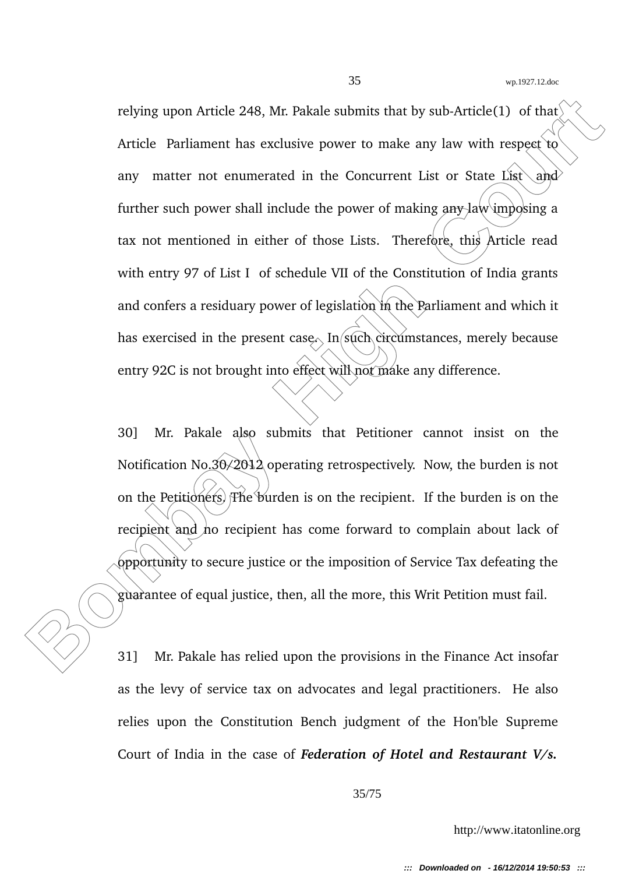relying upon Article 248, Mr. Pakale submits that by sub-Article(1) of that<br>Article Parliament has exclusive power to make any law with respect to<br>any matter not enumerated in the Concurrent List or State List<br>further such relying upon Article 248, Mr. Pakale submits that by sub-Article(1) of that Article Parliament has exclusive power to make any law with respect to any matter not enumerated in the Concurrent List or State List  $\alpha$ nd further such power shall include the power of making any law imposing a tax not mentioned in either of those Lists. Therefore, this Article read with entry 97 of List I of schedule VII of the Constitution of India grants and confers a residuary power of legislation in the Parliament and which it has exercised in the present case. In such circumstances, merely because entry 92C is not brought into effect will not make any difference.

30] Mr. Pakale also submits that Petitioner cannot insist on the Notification No.30 $\angle$ 2012 operating retrospectively. Now, the burden is not on the Petitioners. The burden is on the recipient. If the burden is on the recipient and ho recipient has come forward to complain about lack of opportunity to secure justice or the imposition of Service Tax defeating the guarantee of equal justice, then, all the more, this Writ Petition must fail.

31] Mr. Pakale has relied upon the provisions in the Finance Act insofar as the levy of service tax on advocates and legal practitioners. He also relies upon the Constitution Bench judgment of the Hon'ble Supreme Court of India in the case of *Federation of Hotel and Restaurant V/s.*

35/75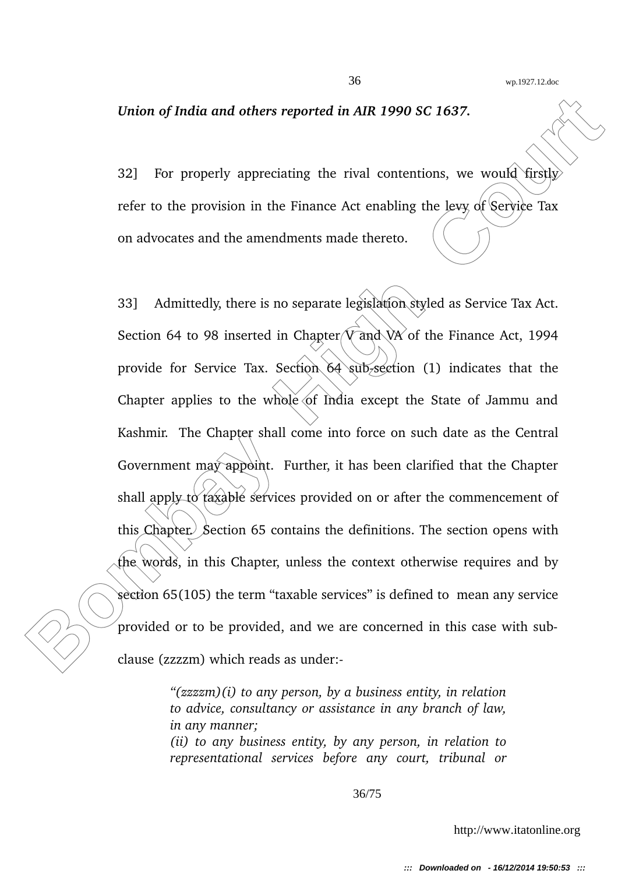#### *Union of India and others reported in AIR 1990 SC 1637.*

32] For properly appreciating the rival contentions, we would firstly refer to the provision in the Finance Act enabling the levy of Service Tax on advocates and the amendments made thereto.

Union of India and others reported in AIR 1990 SC 1637.<br>
22] For properly appreciating the rival contentions, we would firstly<br>
refer to the provision in the Finance Art enabling the levy of Service Tax<br>
on advocates and t 33] Admittedly, there is no separate legislation styled as Service Tax Act. Section 64 to 98 inserted in Chapter  $\sqrt{V}$  and  $\sqrt{W}$  of the Finance Act, 1994 provide for Service Tax. Section 64 sub-section (1) indicates that the Chapter applies to the whole of India except the State of Jammu and Kashmir. The Chapter shall come into force on such date as the Central Government may appoint. Further, it has been clarified that the Chapter shall apply to taxable services provided on or after the commencement of this Chapter. Section 65 contains the definitions. The section opens with the words, in this Chapter, unless the context otherwise requires and by section 65(105) the term "taxable services" is defined to mean any service provided or to be provided, and we are concerned in this case with subclause (zzzzm) which reads as under:

> *"(zzzzm)(i) to any person, by a business entity, in relation to advice, consultancy or assistance in any branch of law, in any manner;*

> *(ii) to any business entity, by any person, in relation to representational services before any court, tribunal or*

> > 36/75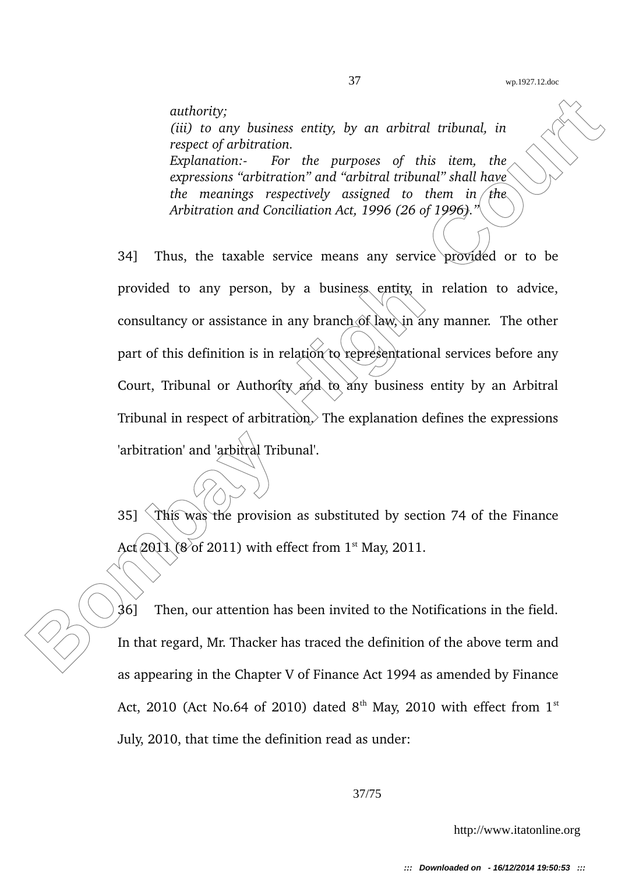*authority; (iii) to any business entity, by an arbitral tribunal, in respect of arbitration. Explanation: For the purposes of this item, the expressions "arbitration" and "arbitral tribunal" shall have the meanings respectively assigned to them in the Arbitration and Conciliation Act, 1996 (26 of 1996)."*

authority;<br>
(iii) to any business entity, by an arbitral tribunal, in<br>
respect of arbitration.<br>
Explanation-<br>
Experiments of this tiem, the<br>
expressions "arbitration" and "arbitral cribunal" shall have<br>
the meanings respec 34] Thus, the taxable service means any service provided or to be provided to any person, by a business entity, in relation to advice, consultancy or assistance in any branch of law, in any manner. The other part of this definition is in relation to representational services before any Court, Tribunal or Authority and to any business entity by an Arbitral Tribunal in respect of arbitration. The explanation defines the expressions 'arbitration' and 'arbitral Tribunal'.

35]  $\hat{\ }$  This was the provision as substituted by section 74 of the Finance Act  $201\sqrt{8}$  of 2011) with effect from 1<sup>st</sup> May, 2011.

36] Then, our attention has been invited to the Notifications in the field. In that regard, Mr. Thacker has traced the definition of the above term and as appearing in the Chapter V of Finance Act 1994 as amended by Finance Act, 2010 (Act No.64 of 2010) dated  $8<sup>th</sup>$  May, 2010 with effect from  $1<sup>st</sup>$ July, 2010, that time the definition read as under: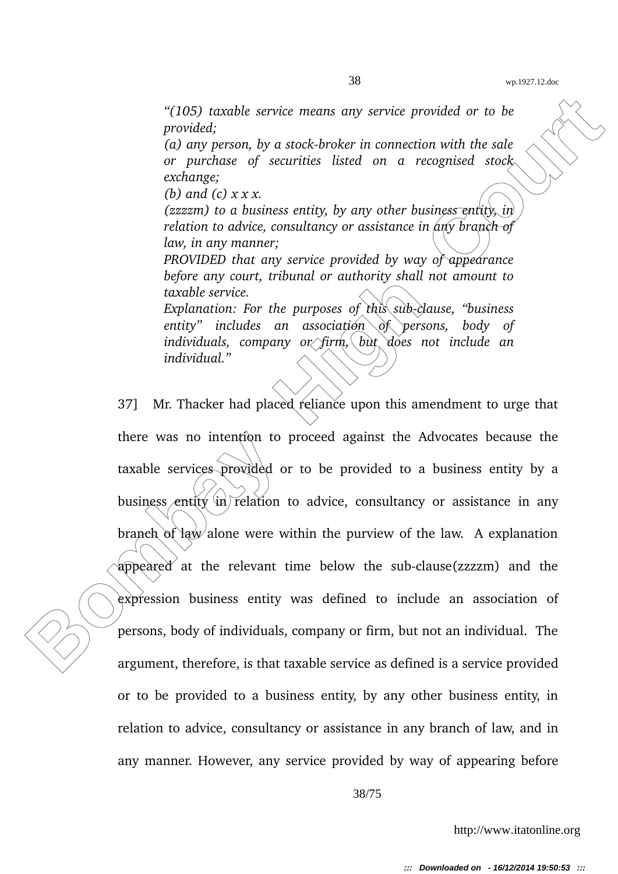*"(105) taxable service means any service provided or to be provided;*

(a) any person, by a stock-broker in connection with the sale *or purchase of securities listed on a recognised stock exchange;*

*(b) and (c) x x x.*

*(zzzzm) to a business entity, by any other business entity, in relation to advice, consultancy or assistance in any branch of law, in any manner;*

*PROVIDED that any service provided by way of appearance before any court, tribunal or authority shall not amount to taxable service.*

*Explanation: For the purposes of this sub-clause, "business entity" includes an association of persons, body of individuals, company or firm, but does not include an individual."*

(105) traxable service means any service provided or to be<br>
provided;<br>
for the provided or to the control of the control of the control of the control of the control of the control of the control of the control of the cont 37] Mr. Thacker had placed reliance upon this amendment to urge that there was no intention to proceed against the Advocates because the taxable services provided or to be provided to a business entity by a business entity in relation to advice, consultancy or assistance in any branch of law alone were within the purview of the law. A explanation appeared at the relevant time below the sub-clause(zzzzm) and the expression business entity was defined to include an association of persons, body of individuals, company or firm, but not an individual. The argument, therefore, is that taxable service as defined is a service provided or to be provided to a business entity, by any other business entity, in relation to advice, consultancy or assistance in any branch of law, and in any manner. However, any service provided by way of appearing before

38/75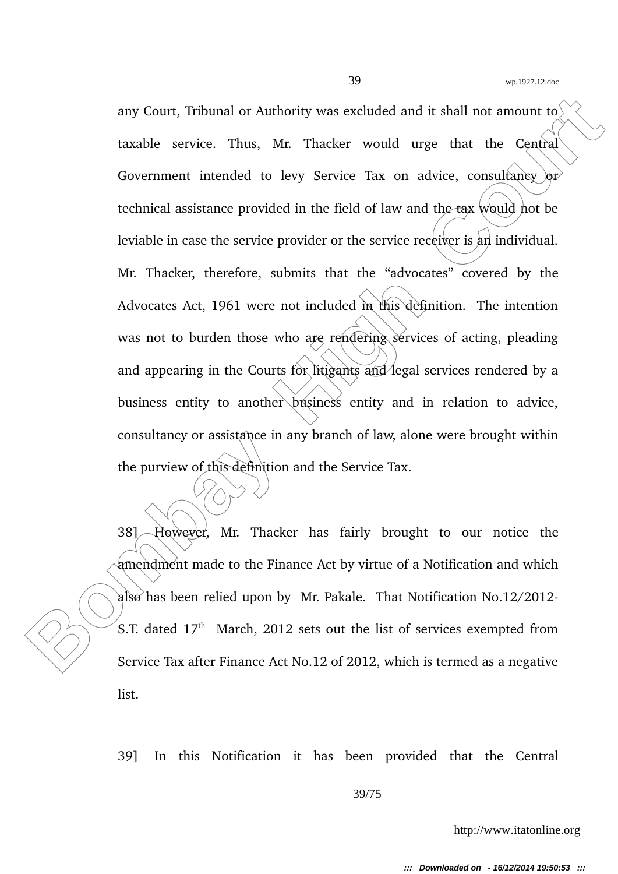any Court, Tribunal or Authority was excluded and it shall not amount to<br>
taxable service. Thus, Mr. Thacker would urge that the Central<br>
Government intended to levy Service Tax on advice, consultancy or<br>
technical assista any Court, Tribunal or Authority was excluded and it shall not amount to taxable service. Thus, Mr. Thacker would urge that the Central Government intended to levy Service Tax on advice, consultancy  $\alpha r$ technical assistance provided in the field of law and the tax would not be leviable in case the service provider or the service receiver is an individual. Mr. Thacker, therefore, submits that the "advocates" covered by the Advocates Act, 1961 were not included in this definition. The intention was not to burden those who are rendering services of acting, pleading and appearing in the Courts for litigants and legal services rendered by a business entity to another business entity and in relation to advice, consultancy or assistance in any branch of law, alone were brought within the purview of this definition and the Service Tax.

38] However, Mr. Thacker has fairly brought to our notice the amendment made to the Finance Act by virtue of a Notification and which also has been relied upon by Mr. Pakale. That Notification  $No.12/2012-$ S.T. dated  $17<sup>th</sup>$  March, 2012 sets out the list of services exempted from Service Tax after Finance Act No.12 of 2012, which is termed as a negative list.

39] In this Notification it has been provided that the Central

## 39/75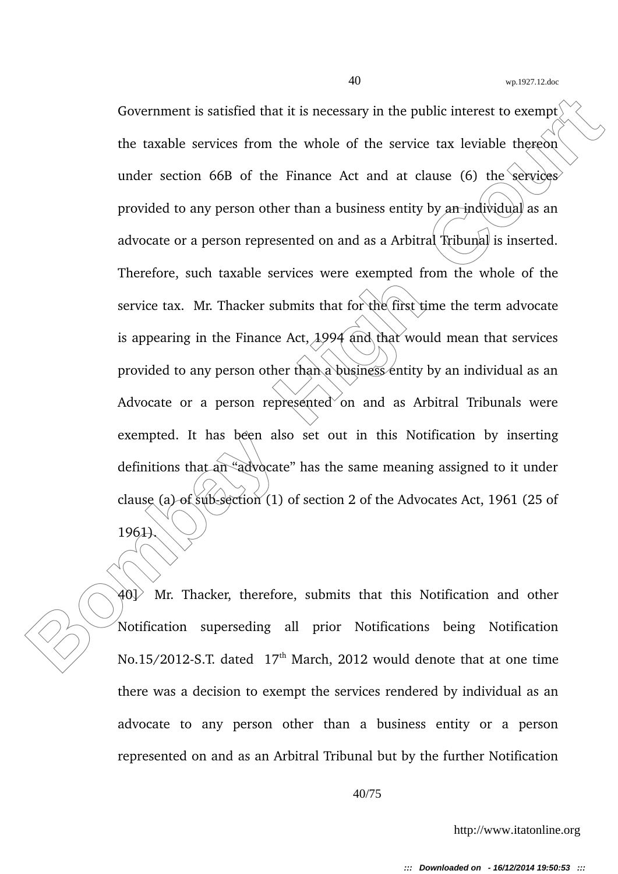**Bovernment is satisfied that it is necessary in the public interest to excempt<br>
the taxable services from the whole of the service tax leviable thereon<br>
under section 66B of the Finance Act and at clause (6) the services<br>** Government is satisfied that it is necessary in the public interest to exempt<sup> $\langle$ </sup> the taxable services from the whole of the service tax leviable thereon under section  $66B$  of the Finance Act and at clause  $(6)$  the services provided to any person other than a business entity by an individual as an advocate or a person represented on and as a Arbitral Tribunal is inserted. Therefore, such taxable services were exempted from the whole of the service tax. Mr. Thacker submits that for the first time the term advocate is appearing in the Finance Act,  $1994$  and that would mean that services provided to any person other than a business entity by an individual as an Advocate or a person represented on and as Arbitral Tribunals were exempted. It has been also set out in this Notification by inserting definitions that an "advocate" has the same meaning assigned to it under clause (a) of sub-section (1) of section 2 of the Advocates Act, 1961 (25 of 1961).

 $40$ ) Mr. Thacker, therefore, submits that this Notification and other Notification superseding all prior Notifications being Notification No.15/2012-S.T. dated 17<sup>th</sup> March, 2012 would denote that at one time there was a decision to exempt the services rendered by individual as an advocate to any person other than a business entity or a person represented on and as an Arbitral Tribunal but by the further Notification

40/75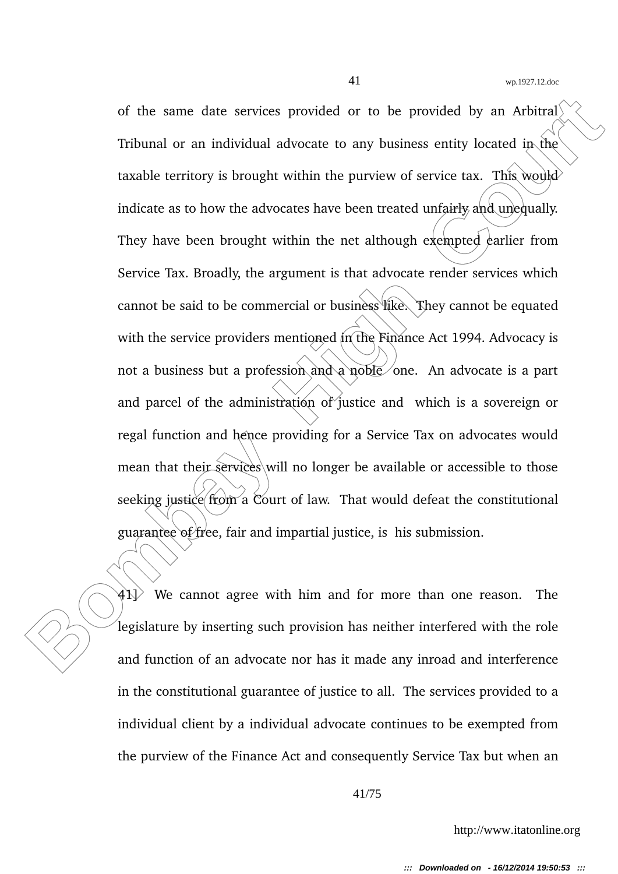of the same date services provided or to be provided by an Arbitral<sup>1</sup><br> **Tribunal or an individual advocate to any business entity located in the<br>
taxable territory is brought within the purview of service tax. This would<br>** of the same date services provided or to be provided by an Arbitral<sup> $\ell$ </sup> Tribunal or an individual advocate to any business entity located in the taxable territory is brought within the purview of service tax. This would indicate as to how the advocates have been treated unfairly and unequally. They have been brought within the net although exempted earlier from Service Tax. Broadly, the argument is that advocate render services which cannot be said to be commercial or business like. They cannot be equated with the service providers mentioned in the Finance Act 1994. Advocacy is not a business but a profession and a noble one. An advocate is a part and parcel of the administration of justice and which is a sovereign or regal function and hence providing for a Service Tax on advocates would mean that their-services will no longer be available or accessible to those seeking justice from a Court of law. That would defeat the constitutional guarantee of free, fair and impartial justice, is his submission.

 $41$ ) We cannot agree with him and for more than one reason. The legislature by inserting such provision has neither interfered with the role and function of an advocate nor has it made any inroad and interference in the constitutional guarantee of justice to all. The services provided to a individual client by a individual advocate continues to be exempted from the purview of the Finance Act and consequently Service Tax but when an

41/75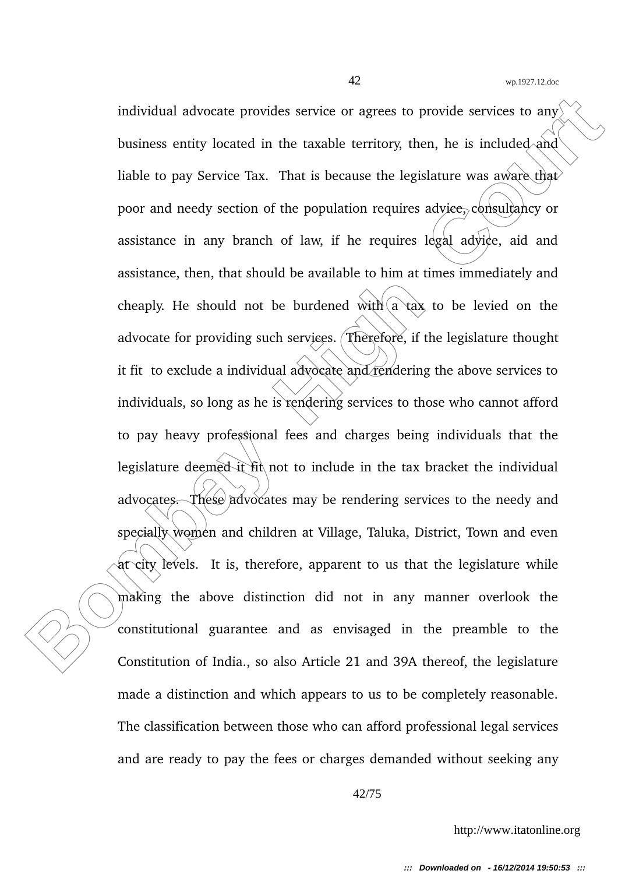individual advocate provides service or agrees to provide services to any<br>business entity located in the taxable territory, then, he is included and<br>liable to pay Service Tax. That is because the legislature was aware than individual advocate provides service or agrees to provide services to any business entity located in the taxable territory, then, he is included and liable to pay Service Tax. That is because the legislature was aware that poor and needy section of the population requires advice, consultancy or assistance in any branch of law, if he requires legal advice, aid and assistance, then, that should be available to him at times immediately and cheaply. He should not be burdened with  $\alpha$  tax to be levied on the advocate for providing such services. Therefore, if the legislature thought it fit to exclude a individual advocate and rendering the above services to individuals, so long as he is rendering services to those who cannot afford to pay heavy professional fees and charges being individuals that the legislature deemed it fit not to include in the tax bracket the individual advocates. These advocates may be rendering services to the needy and specially women and children at Village, Taluka, District, Town and even at city levels. It is, therefore, apparent to us that the legislature while making the above distinction did not in any manner overlook the constitutional guarantee and as envisaged in the preamble to the Constitution of India., so also Article 21 and 39A thereof, the legislature made a distinction and which appears to us to be completely reasonable. The classification between those who can afford professional legal services and are ready to pay the fees or charges demanded without seeking any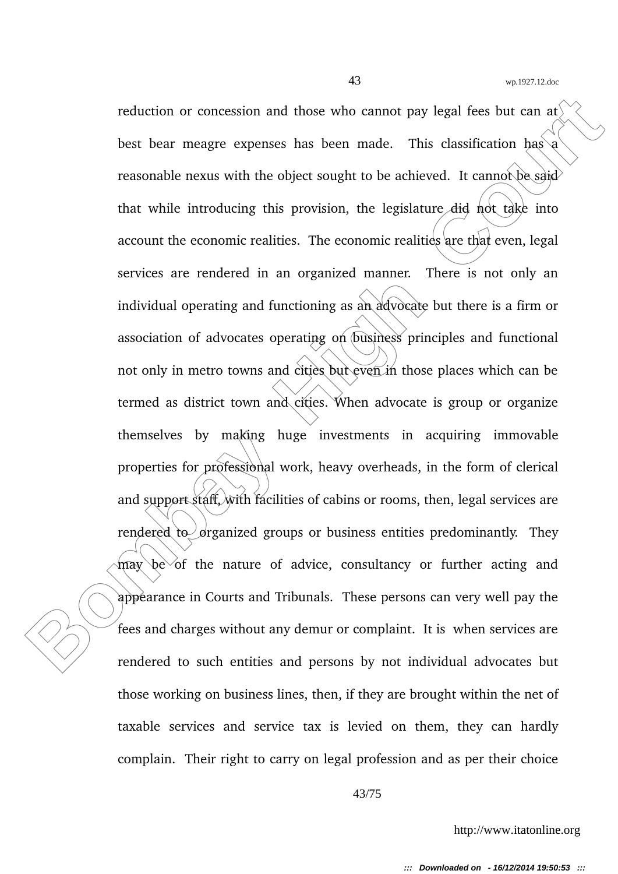reduction or concession and those who cannot pay legal fees but can are<br>best bear meagre expenses has been made. This classification has a<br>reasonable nexus with the object sought to be achieved. It cannot be said<br>that whil reduction or concession and those who cannot pay legal fees but can at best bear meagre expenses has been made. This classification  $\text{has} \$ a reasonable nexus with the object sought to be achieved. It cannot be said that while introducing this provision, the legislature did not take into account the economic realities. The economic realities are that even, legal services are rendered in an organized manner. There is not only an individual operating and functioning as an advocate but there is a firm or association of advocates operating on business principles and functional not only in metro towns and cities but even in those places which can be termed as district town and cities. When advocate is group or organize themselves by making huge investments in acquiring immovable properties for professional work, heavy overheads, in the form of clerical and support staff, with facilities of cabins or rooms, then, legal services are rendered to  $\sigma$  granized groups or business entities predominantly. They may be of the nature of advice, consultancy or further acting and appearance in Courts and Tribunals. These persons can very well pay the fees and charges without any demur or complaint. It is when services are rendered to such entities and persons by not individual advocates but those working on business lines, then, if they are brought within the net of taxable services and service tax is levied on them, they can hardly complain. Their right to carry on legal profession and as per their choice

43/75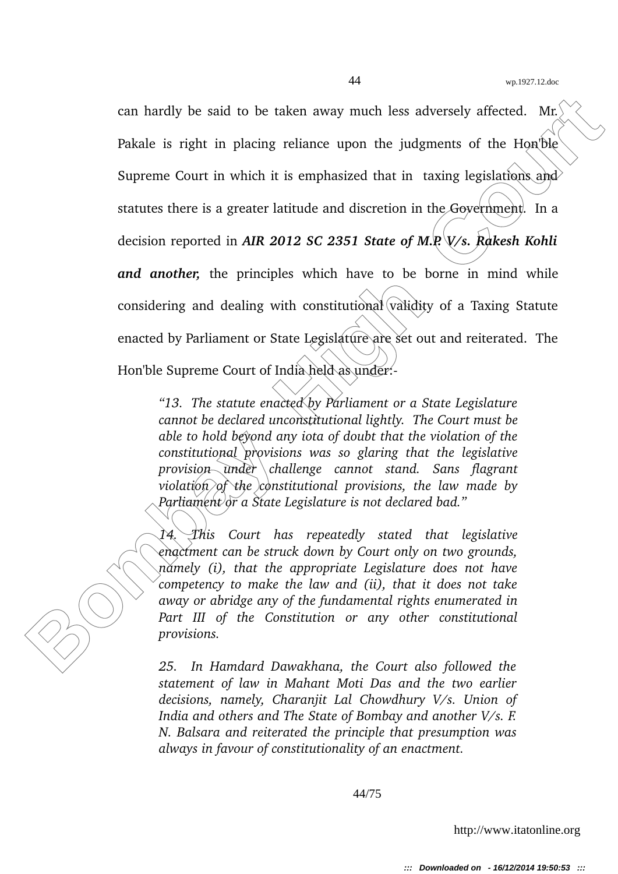can hardly be said to be taken away much less adversely affected. Mr.<br> **Pakale is right in placing reliance upon the judgments of the HonDie<br>
Supreme Court in which it is emphasized that in taxing legislations and<br>
statut** can hardly be said to be taken away much less adversely affected. Mr. Pakale is right in placing reliance upon the judgments of the Hon'ble Supreme Court in which it is emphasized that in taxing legislations and statutes there is a greater latitude and discretion in the Government. In a decision reported in *AIR 2012 SC 2351 State of M.P. V/s. Rakesh Kohli and another*, the principles which have to be borne in mind while considering and dealing with constitutional validity of a Taxing Statute enacted by Parliament or State Legislature are set out and reiterated. The Hon'ble Supreme Court of India held as under:-

*"13. The statute enacted by Parliament or a State Legislature cannot be declared unconstitutional lightly. The Court must be able to hold beyond any iota of doubt that the violation of the constitutional provisions was so glaring that the legislative provision under challenge cannot stand. Sans flagrant violation of the constitutional provisions, the law made by Parliament or a State Legislature is not declared bad."*

*14. This Court has repeatedly stated that legislative enactment can be struck down by Court only on two grounds, namely (i), that the appropriate Legislature does not have competency to make the law and (ii), that it does not take away or abridge any of the fundamental rights enumerated in* Part III of the Constitution or any other constitutional *provisions.*

*25. In Hamdard Dawakhana, the Court also followed the statement of law in Mahant Moti Das and the two earlier decisions, namely, Charanjit Lal Chowdhury V/s. Union of India and others and The State of Bombay and another V/s. F. N. Balsara and reiterated the principle that presumption was always in favour of constitutionality of an enactment.*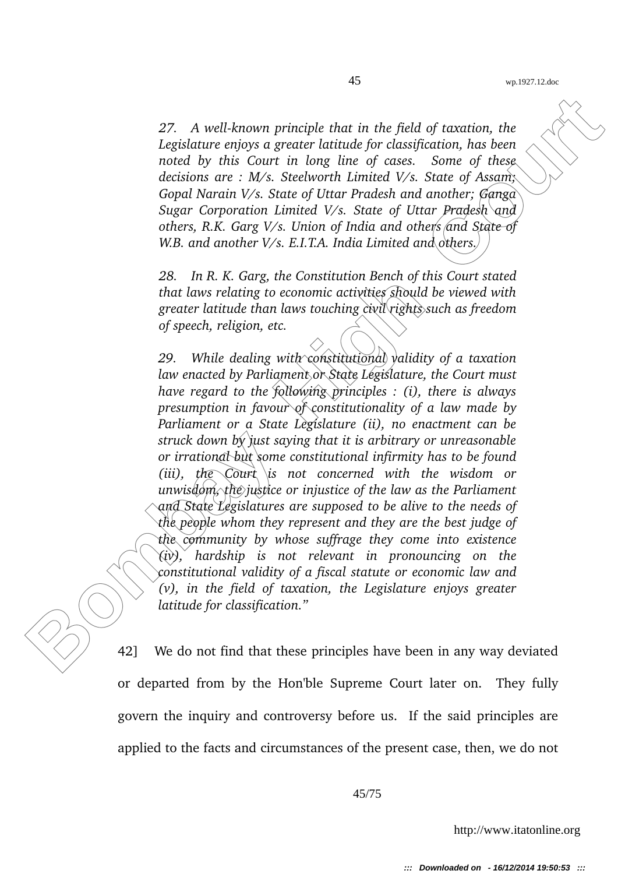27. A well-known principle that in the field of taxation, the *Legislature enjoys a greater latitude for classification, has been noted by this Court in long line of cases. Some of these decisions are : M/s. Steelworth Limited V/s. State of Assam; Gopal Narain V/s. State of Uttar Pradesh and another; Ganga Sugar Corporation Limited V/s. State of Uttar Pradesh and others, R.K. Garg V/s. Union of India and others and State of W.B. and another V/s. E.I.T.A. India Limited and others.*

*28. In R. K. Garg, the Constitution Bench of this Court stated that laws relating to economic activities should be viewed with greater latitude than laws touching civil rights such as freedom of speech, religion, etc.*

27. A well-known principle that in the field of taxation, the Legislature eriogs a greater latitude for classification, has been noted by this Court in long line of cases. Some of these decisions are :  $M/s$ . Stelevorth Li *29. While dealing with constitutional validity of a taxation law enacted by Parliament or State Legislature, the Court must have regard to the following principles : (i), there is always presumption in favour of constitutionality of a law made by Parliament or a State Legislature (ii), no enactment can be struck down by just saying that it is arbitrary or unreasonable or irrational but some constitutional infirmity has to be found (iii), the Court is not concerned with the wisdom or unwisdom, the justice or injustice of the law as the Parliament and State Legislatures are supposed to be alive to the needs of the people whom they represent and they are the best judge of the community by whose suffrage they come into existence (iv), hardship is not relevant in pronouncing on the constitutional validity of a fiscal statute or economic law and (v), in the field of taxation, the Legislature enjoys greater latitude for classification."*

42] We do not find that these principles have been in any way deviated or departed from by the Hon'ble Supreme Court later on. They fully govern the inquiry and controversy before us. If the said principles are applied to the facts and circumstances of the present case, then, we do not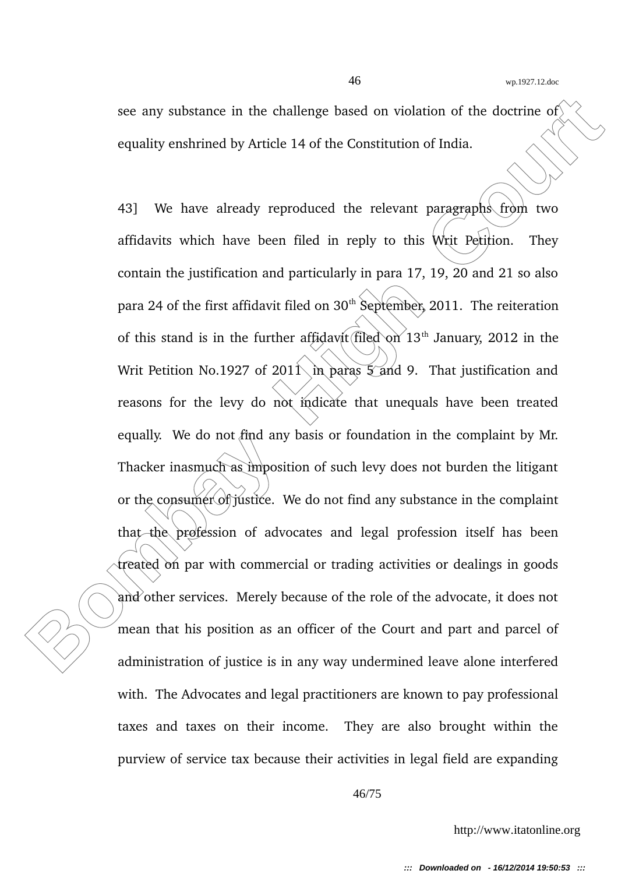see any substance in the challenge based on violation of the doctrine of equality enshrined by Article 14 of the Constitution of India.

see any substance in the challenge based on violation of the doctrine of<br>equality enshrined by Article 14 of the Constitution of India.<br>
43] We have already reproduced the relevant paragraphs from two<br>
affidavits which hav 43] We have already reproduced the relevant paragraphs from two affidavits which have been filed in reply to this Writ Petition. They contain the justification and particularly in para 17, 19, 20 and 21 so also para 24 of the first affidavit filed on  $30<sup>th</sup>$  September, 2011. The reiteration of this stand is in the further affidavit filed on  $13<sup>th</sup>$  January, 2012 in the Writ Petition No.1927 of 2011 in paras  $\frac{5}{4}$  and 9. That justification and reasons for the levy do not indicate that unequals have been treated equally. We do not find any basis or foundation in the complaint by Mr. Thacker inasmuch as imposition of such levy does not burden the litigant or the consumer of justice. We do not find any substance in the complaint that the profession of advocates and legal profession itself has been treated on par with commercial or trading activities or dealings in goods and other services. Merely because of the role of the advocate, it does not mean that his position as an officer of the Court and part and parcel of administration of justice is in any way undermined leave alone interfered with. The Advocates and legal practitioners are known to pay professional taxes and taxes on their income. They are also brought within the purview of service tax because their activities in legal field are expanding

46/75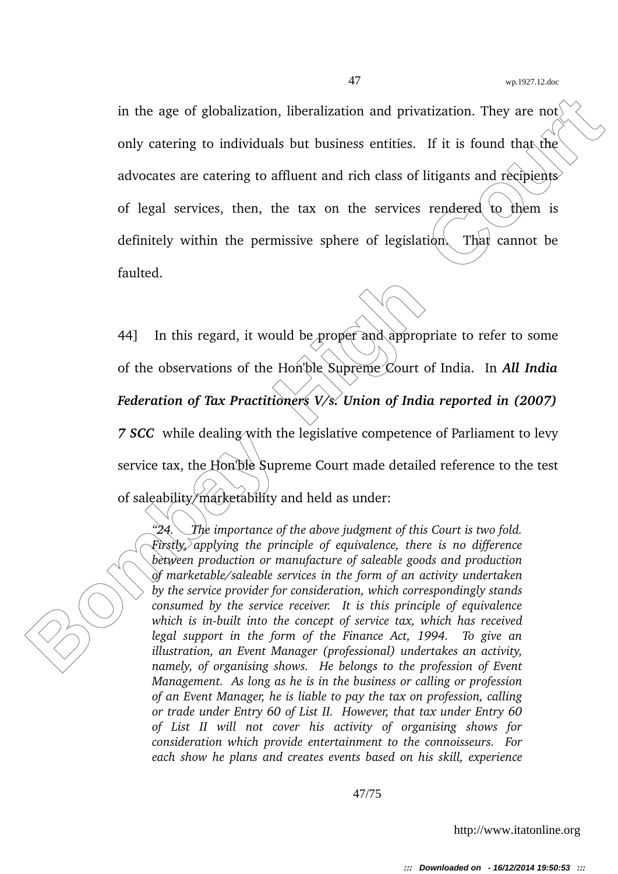in the age of globalization, liberalization and privatization. They are not only catering to individuals but business entities. If it is found that the advocates are catering to affluent and rich class of litigants and recipients of legal services, then, the tax on the services rendered to them is definitely within the permissive sphere of legislation. That cannot be faulted.

in the age of globalization, liberalization and privatization. They are not<br>
only catering to individuals but business entities. If it is found that the<br>
advocates are catering to affluent and rich class of litigants and 44] In this regard, it would be proper and appropriate to refer to some of the observations of the Hon'ble Supreme Court of India. In *All India Federation of Tax Practitioners V/s. Union of India reported in (2007) 7 SCC* while dealing with the legislative competence of Parliament to levy service tax, the Hon'ble Supreme Court made detailed reference to the test of saleability/marketability and held as under:

*"24. The importance of the above judgment of this Court is two fold. Firstly, applying the principle of equivalence, there is no difference between production or manufacture of saleable goods and production of marketable/saleable services in the form of an activity undertaken by the service provider for consideration, which correspondingly stands consumed by the service receiver. It is this principle of equivalence* which is in-built into the concept of service tax, which has received *legal support in the form of the Finance Act, 1994. To give an illustration, an Event Manager (professional) undertakes an activity, namely, of organising shows. He belongs to the profession of Event Management. As long as he is in the business or calling or profession of an Event Manager, he is liable to pay the tax on profession, calling or trade under Entry 60 of List II. However, that tax under Entry 60 of List II will not cover his activity of organising shows for consideration which provide entertainment to the connoisseurs. For each show he plans and creates events based on his skill, experience*

47/75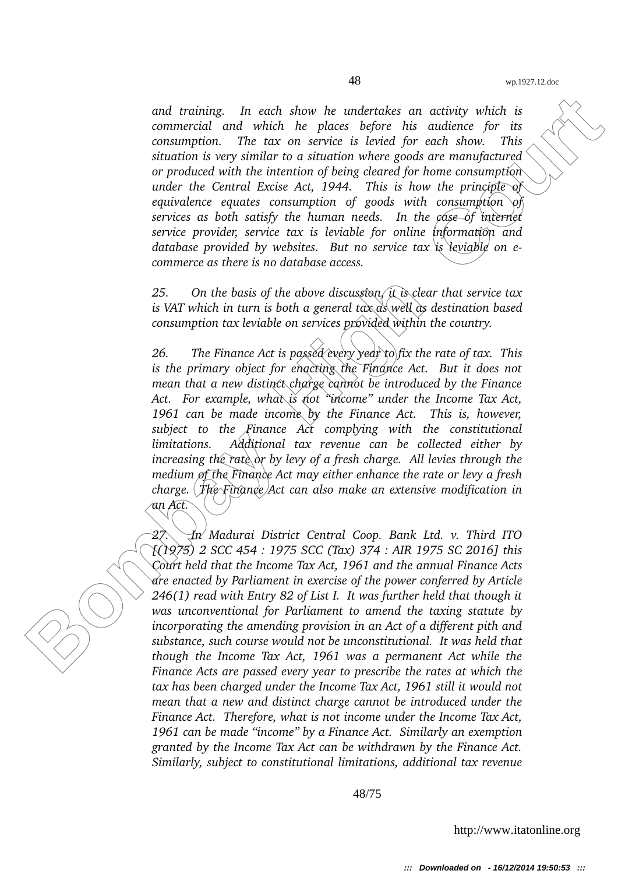*and training. In each show he undertakes an activity which is commercial and which he places before his audience for its consumption. The tax on service is levied for each show. This situation is very similar to a situation where goods are manufactured or produced with the intention of being cleared for home consumption under the Central Excise Act, 1944. This is how the principle of equivalence equates consumption of goods with consumption of services as both satisfy the human needs. In the case of internet service provider, service tax is leviable for online information and database provided by websites. But no service tax is leviable on ecommerce as there is no database access.*

*25. On the basis of the above discussion, it is clear that service tax is VAT which in turn is both a general tax as well as destination based consumption tax leviable on services provided within the country.*

and training. In each show he undertakes an activity which is commercied and which he places before his unitance for the court of contained the place of the court of the place of the court of the product of the product of *26. The Finance Act is passed every year to fix the rate of tax. This is the primary object for enacting the Finance Act. But it does not mean that a new distinct charge cannot be introduced by the Finance Act. For example, what is not "income" under the Income Tax Act, 1961 can be made income by the Finance Act. This is, however, subject to the Finance Act complying with the constitutional limitations. Additional tax revenue can be collected either by increasing the rate or by levy of a fresh charge. All levies through the medium of the Finance Act may either enhance the rate or levy a fresh charge. The Finance Act can also make an extensive modification in an Act.*

*27. In Madurai District Central Coop. Bank Ltd. v. Third ITO [(1975) 2 SCC 454 : 1975 SCC (Tax) 374 : AIR 1975 SC 2016] this Court held that the Income Tax Act, 1961 and the annual Finance Acts are enacted by Parliament in exercise of the power conferred by Article 246(1) read with Entry 82 of List I. It was further held that though it was unconventional for Parliament to amend the taxing statute by incorporating the amending provision in an Act of a different pith and substance, such course would not be unconstitutional. It was held that though the Income Tax Act, 1961 was a permanent Act while the Finance Acts are passed every year to prescribe the rates at which the tax has been charged under the Income Tax Act, 1961 still it would not mean that a new and distinct charge cannot be introduced under the Finance Act. Therefore, what is not income under the Income Tax Act, 1961 can be made "income" by a Finance Act. Similarly an exemption granted by the Income Tax Act can be withdrawn by the Finance Act. Similarly, subject to constitutional limitations, additional tax revenue*

48/75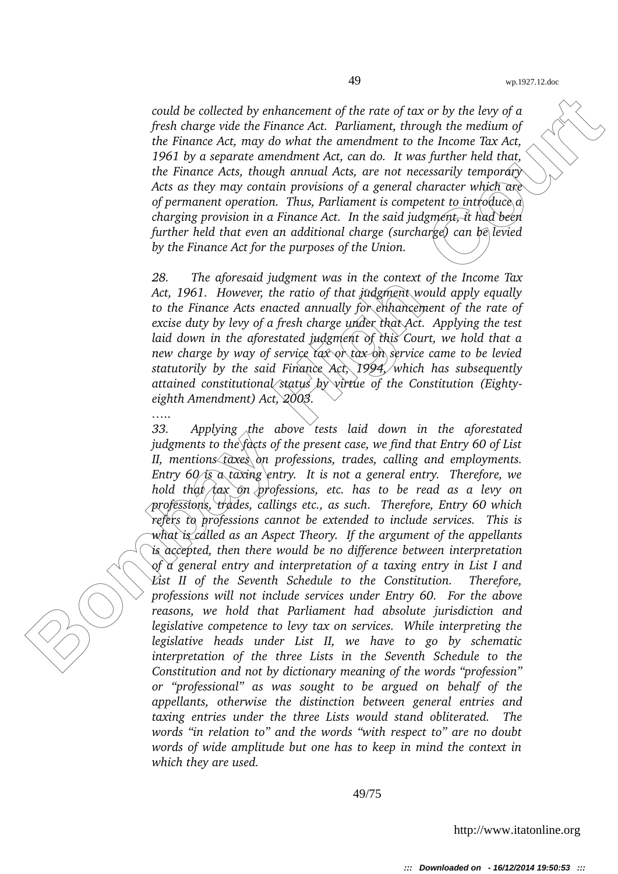*could be collected by enhancement of the rate of tax or by the levy of a fresh charge vide the Finance Act. Parliament, through the medium of the Finance Act, may do what the amendment to the Income Tax Act, 1961 by a separate amendment Act, can do. It was further held that, the Finance Acts, though annual Acts, are not necessarily temporary Acts as they may contain provisions of a general character which are of permanent operation. Thus, Parliament is competent to introduce a charging provision in a Finance Act. In the said judgment, it had been further held that even an additional charge (surcharge) can be levied by the Finance Act for the purposes of the Union.*

*28. The aforesaid judgment was in the context of the Income Tax Act, 1961. However, the ratio of that judgment would apply equally to the Finance Acts enacted annually for enhancement of the rate of excise duty by levy of a fresh charge under that Act. Applying the test laid down in the aforestated judgment of this Court, we hold that a new charge by way of service tax or tax on service came to be levied statutorily by the said Finance Act, 1994, which has subsequently attained constitutional status by virtue of the Constitution (Eightyeighth Amendment) Act, 2003.*

*…..*

could be collected by enhancement of the rate of tax or by the leny of a fresh change vide the kinance Act, Parliament, through the melliament of the finance Act, Parliament, through the melliament of the finance Act, Par *33. Applying the above tests laid down in the aforestated judgments to the facts of the present case, we find that Entry 60 of List II, mentions taxes on professions, trades, calling and employments. Entry 60 is a taxing entry. It is not a general entry. Therefore, we hold that tax on professions, etc. has to be read as a levy on professions, trades, callings etc., as such. Therefore, Entry 60 which refers to professions cannot be extended to include services. This is what is called as an Aspect Theory. If the argument of the appellants is accepted, then there would be no difference between interpretation of a general entry and interpretation of a taxing entry in List I and List II of the Seventh Schedule to the Constitution. Therefore, professions will not include services under Entry 60. For the above reasons, we hold that Parliament had absolute jurisdiction and legislative competence to levy tax on services. While interpreting the legislative heads under List II, we have to go by schematic interpretation of the three Lists in the Seventh Schedule to the Constitution and not by dictionary meaning of the words "profession" or "professional" as was sought to be argued on behalf of the appellants, otherwise the distinction between general entries and taxing entries under the three Lists would stand obliterated. The words "in relation to" and the words "with respect to" are no doubt words of wide amplitude but one has to keep in mind the context in which they are used.*

49/75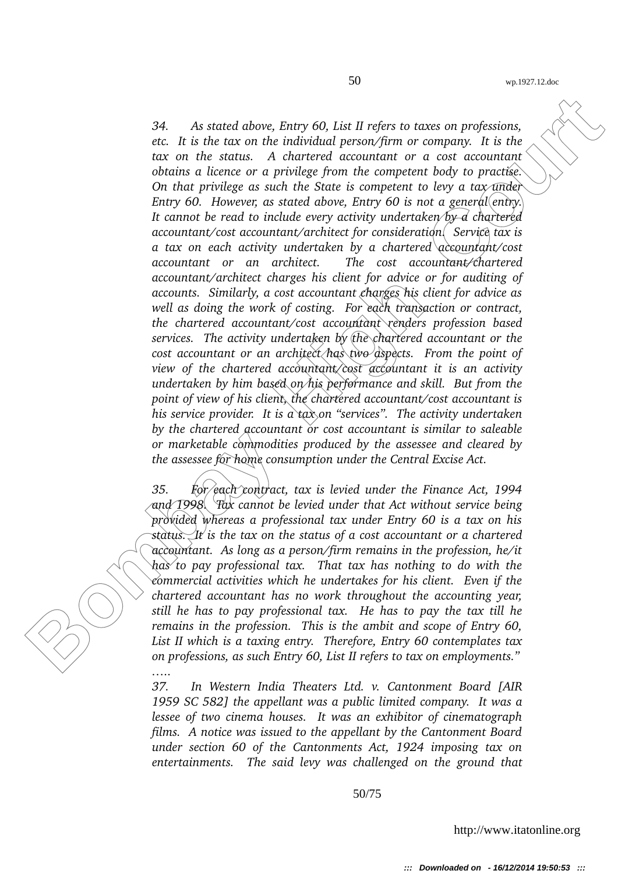34. As stured above, kinty 60, List II refers to itares on professions,<br>etc. It is the teach on the individual person/firm or company. It is the<br>court on the states and Achieved accountant or a cost accountable person for *34. As stated above, Entry 60, List II refers to taxes on professions, etc. It is the tax on the individual person/firm or company. It is the tax on the status. A chartered accountant or a cost accountant obtains a licence or a privilege from the competent body to practise. On that privilege as such the State is competent to levy a tax under Entry 60. However, as stated above, Entry 60 is not a general (entry.) It cannot be read to include every activity undertaken by a chartered accountant/cost accountant/architect for consideration. Service tax is a tax on each activity undertaken by a chartered accountant/cost accountant or an architect. The cost accountant/chartered accountant/architect charges his client for advice or for auditing of accounts. Similarly, a cost accountant charges his client for advice as well as doing the work of costing. For each transaction or contract, the chartered accountant/cost accountant renders profession based services. The activity undertaken by the chartered accountant or the cost accountant or an architect has two aspects. From the point of view of the chartered accountant/cost accountant it is an activity undertaken by him based on his performance and skill. But from the point of view of his client, the chartered accountant/cost accountant is his service provider. It is a tax on "services". The activity undertaken by the chartered accountant or cost accountant is similar to saleable or marketable commodities produced by the assessee and cleared by the assessee for home consumption under the Central Excise Act.*

*35. For each contract, tax is levied under the Finance Act, 1994 and 1998. Tax cannot be levied under that Act without service being provided whereas a professional tax under Entry 60 is a tax on his status. It is the tax on the status of a cost accountant or a chartered accountant. As long as a person/firm remains in the profession, he/it has to pay professional tax. That tax has nothing to do with the commercial activities which he undertakes for his client. Even if the chartered accountant has no work throughout the accounting year, still he has to pay professional tax. He has to pay the tax till he remains in the profession. This is the ambit and scope of Entry 60, List II which is a taxing entry. Therefore, Entry 60 contemplates tax on professions, as such Entry 60, List II refers to tax on employments." …..*

*37. In Western India Theaters Ltd. v. Cantonment Board [AIR 1959 SC 582] the appellant was a public limited company. It was a lessee of two cinema houses. It was an exhibitor of cinematograph films. A notice was issued to the appellant by the Cantonment Board under section 60 of the Cantonments Act, 1924 imposing tax on entertainments. The said levy was challenged on the ground that*

50/75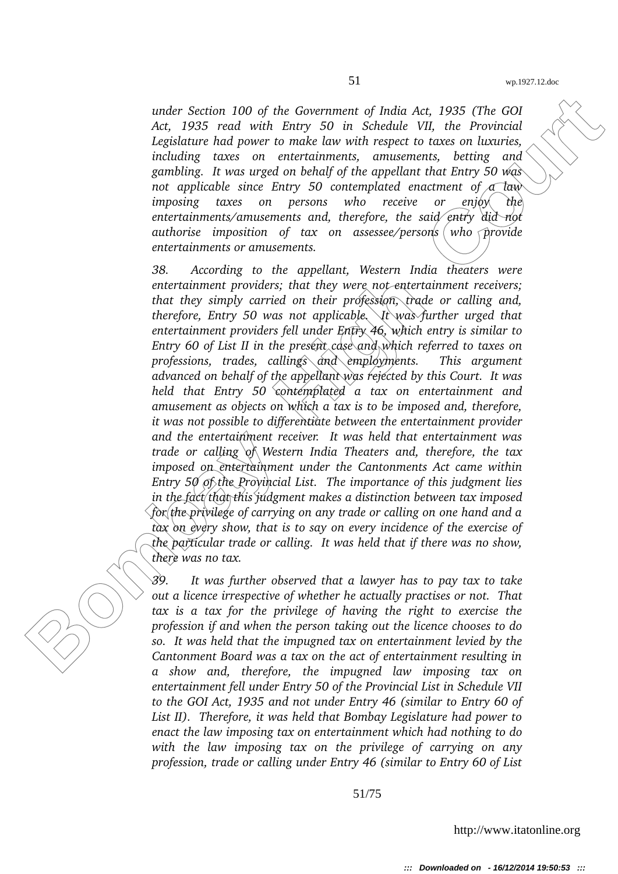*under Section 100 of the Government of India Act, 1935 (The GOI Act, 1935 read with Entry 50 in Schedule VII, the Provincial Legislature had power to make law with respect to taxes on luxuries, including taxes on entertainments, amusements, betting and gambling. It was urged on behalf of the appellant that Entry 50 was* not applicable since Entry 50 contemplated enactment of *a law imposing taxes on persons who receive or enjoy the entertainments/amusements and, therefore, the said entry did not authorise imposition of tax on assessee/persons who provide entertainments or amusements.*

under Section 100 of the Government of India Ast, 1935 (The GOI<br>Act, 1935 read with king 50 in Schellati VII, the Forminal<br>Legislature had power to make law with respect to these on harmonic<br>distance had a power to make l *38. According to the appellant, Western India theaters were entertainment providers; that they were not entertainment receivers; that they simply carried on their profession, trade or calling and, therefore, Entry 50 was not applicable. It was further urged that entertainment providers fell under Entry 46, which entry is similar to Entry 60 of List II in the present case and which referred to taxes on professions, trades, callings and employments. This argument advanced on behalf of the appellant was rejected by this Court. It was held that Entry 50 contemplated a tax on entertainment and amusement as objects on which a tax is to be imposed and, therefore, it was not possible to differentiate between the entertainment provider and the entertainment receiver. It was held that entertainment was trade or calling of Western India Theaters and, therefore, the tax imposed on entertainment under the Cantonments Act came within Entry 50 of the Provincial List. The importance of this judgment lies in the fact that this judgment makes a distinction between tax imposed for the privilege of carrying on any trade or calling on one hand and a tax on every show, that is to say on every incidence of the exercise of the particular trade or calling. It was held that if there was no show, there was no tax.*

*39. It was further observed that a lawyer has to pay tax to take out a licence irrespective of whether he actually practises or not. That tax is a tax for the privilege of having the right to exercise the profession if and when the person taking out the licence chooses to do so. It was held that the impugned tax on entertainment levied by the Cantonment Board was a tax on the act of entertainment resulting in a show and, therefore, the impugned law imposing tax on entertainment fell under Entry 50 of the Provincial List in Schedule VII to the GOI Act, 1935 and not under Entry 46 (similar to Entry 60 of List II). Therefore, it was held that Bombay Legislature had power to enact the law imposing tax on entertainment which had nothing to do with the law imposing tax on the privilege of carrying on any profession, trade or calling under Entry 46 (similar to Entry 60 of List*

51/75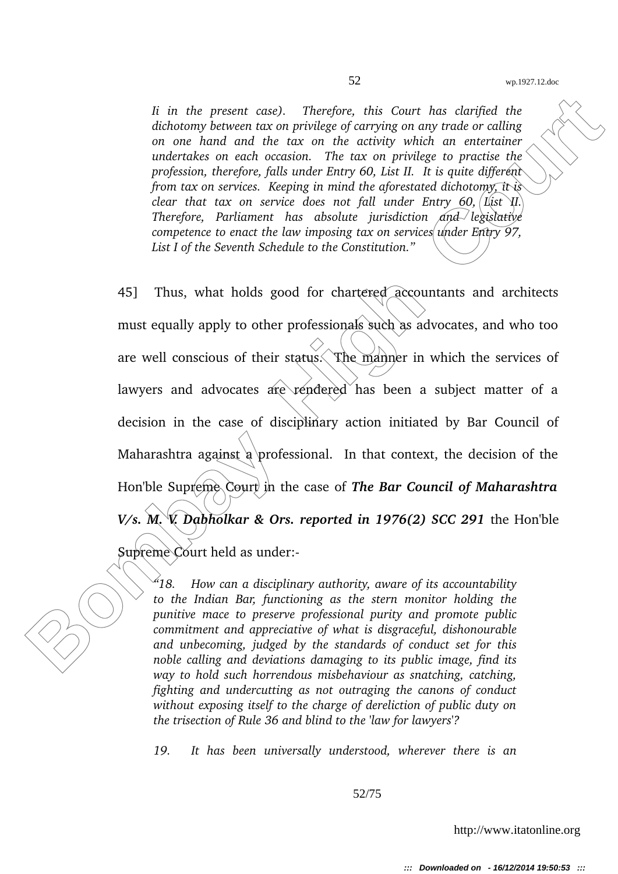*Ii in the present case). Therefore, this Court has clarified the dichotomy between tax on privilege of carrying on any trade or calling on one hand and the tax on the activity which an entertainer undertakes on each occasion. The tax on privilege to practise the profession, therefore, falls under Entry 60, List II. It is quite different from tax on services. Keeping in mind the aforestated dichotomy, it is clear that tax on service does not fall under Entry 60,*  $\left|$  *List II. Therefore, Parliament has absolute jurisdiction and legislative competence to enact the law imposing tax on services under Entry 97, List I of the Seventh Schedule to the Constitution."*

It in the present case). Therefore, this Court has clarifed the<br>
debroom behaves are on phriduge of earrings on any trails or calling<br>
on one hand and the tax on the activity which on entertains<br>
undertakes on each occasi 45] Thus, what holds good for chartered accountants and architects must equally apply to other professionals such as advocates, and who too are well conscious of their status. The manner in which the services of lawyers and advocates  $\text{area}$  rendered has been a subject matter of a decision in the case of disciplinary action initiated by Bar Council of Maharashtra against a professional. In that context, the decision of the Hon'ble Supreme Court in the case of **The Bar Council of Maharashtra** *V/s. M. V. Dabholkar & Ors. reported in 1976(2) SCC 291* the Hon'ble

Supreme Court held as under:

*"18. How can a disciplinary authority, aware of its accountability to the Indian Bar, functioning as the stern monitor holding the punitive mace to preserve professional purity and promote public commitment and appreciative of what is disgraceful, dishonourable and unbecoming, judged by the standards of conduct set for this noble calling and deviations damaging to its public image, find its way to hold such horrendous misbehaviour as snatching, catching, fighting and undercutting as not outraging the canons of conduct without exposing itself to the charge of dereliction of public duty on the trisection of Rule 36 and blind to the 'law for lawyers'?*

*19. It has been universally understood, wherever there is an*

52/75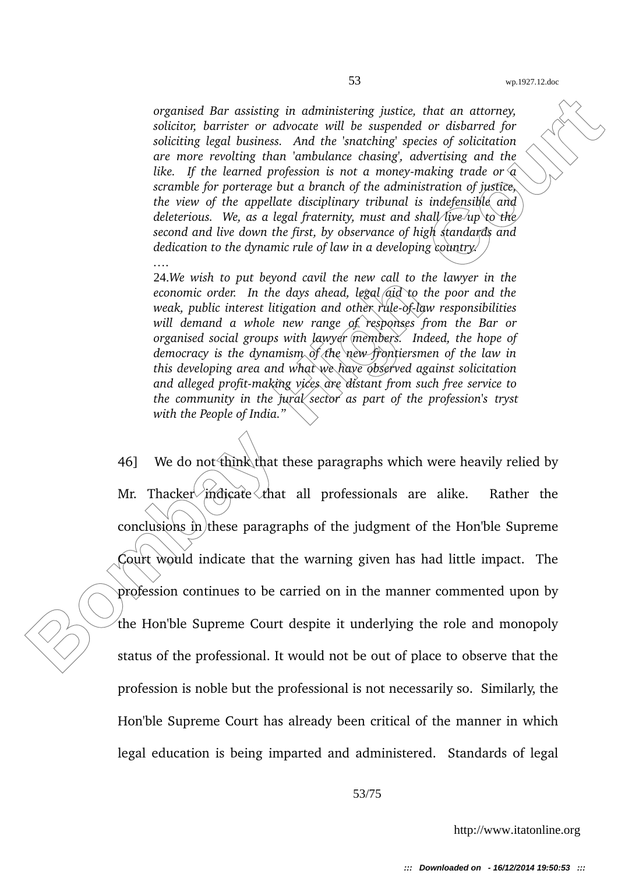*organised Bar assisting in administering justice, that an attorney, solicitor, barrister or advocate will be suspended or disbarred for soliciting legal business. And the 'snatching' species of solicitation are more revolting than 'ambulance chasing', advertising and the* like. If the learned profession is not a money-making trade or  $\hat{a}$ *scramble for porterage but a branch of the administration of justice, the view of the appellate disciplinary tribunal is indefensible and deleterious. We, as a legal fraternity, must and shall live up to the second and live down the first, by observance of high standards and dedication to the dynamic rule of law in a developing country.*

24.*We wish to put beyond cavil the new call to the lawyer in the economic order. In the days ahead, legal aid to the poor and the weak, public interest litigation and other rule-of-law responsibilities will demand a whole new range of responses from the Bar or organised social groups with lawyer members. Indeed, the hope of democracy is the dynamism of the new frontiersmen of the law in this developing area and what we have observed against solicitation* and alleged profit-making vices are distant from such free service to *the community in the jural sector as part of the profession's tryst with the People of India."*

*….*

organised Bar assisting in administering justice, that an attorney,<br>solition, herister or advocate will be superplaced or diskored for<br>soliting legal to mission estation of the summary energy and the court<br>of the court of 46] We do not think that these paragraphs which were heavily relied by Mr. Thacker indicate that all professionals are alike. Rather the conclusions in these paragraphs of the judgment of the Hon'ble Supreme Court would indicate that the warning given has had little impact. The profession continues to be carried on in the manner commented upon by the Hon'ble Supreme Court despite it underlying the role and monopoly status of the professional. It would not be out of place to observe that the profession is noble but the professional is not necessarily so. Similarly, the Hon'ble Supreme Court has already been critical of the manner in which legal education is being imparted and administered. Standards of legal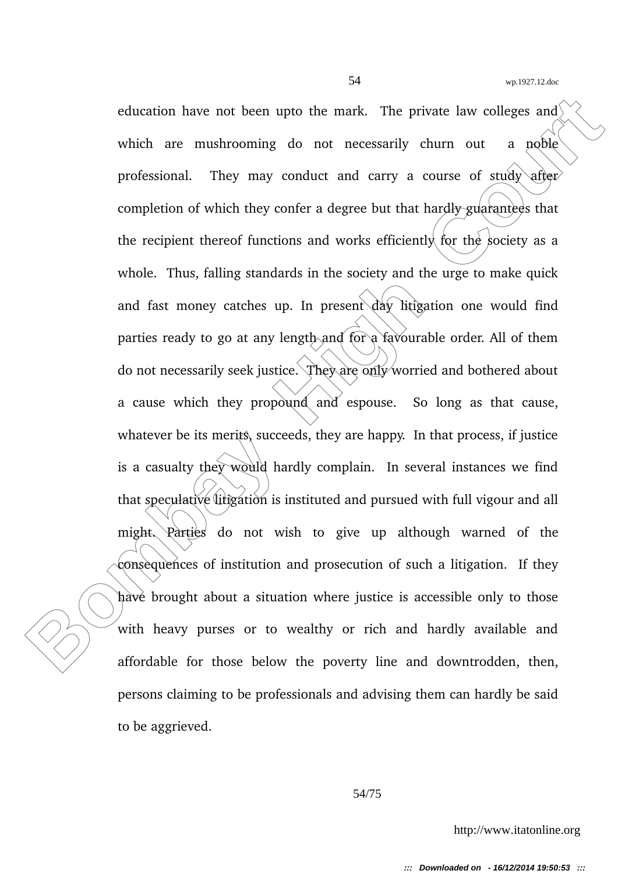colucation have not been upto the mark. The private law colleges and<br>which are mushrooming do not necessarily churn out a noble<br>professional. They may conduct and carry a course of study office<br>completion of which they con education have not been upto the mark. The private law colleges and which are mushrooming do not necessarily churn out a noble professional. They may conduct and carry a course of study after completion of which they confer a degree but that hardly guarantees that the recipient thereof functions and works efficiently for the society as a whole. Thus, falling standards in the society and the urge to make quick and fast money catches up. In present day litigation one would find parties ready to go at any length and for a favourable order. All of them do not necessarily seek justice. They are only worried and bothered about a cause which they propound and espouse. So long as that cause, whatever be its merits, succeeds, they are happy. In that process, if justice is a casualty they would hardly complain. In several instances we find that speculative litigation is instituted and pursued with full vigour and all might. Parties do not wish to give up although warned of the consequences of institution and prosecution of such a litigation. If they have brought about a situation where justice is accessible only to those with heavy purses or to wealthy or rich and hardly available and affordable for those below the poverty line and downtrodden, then, persons claiming to be professionals and advising them can hardly be said to be aggrieved.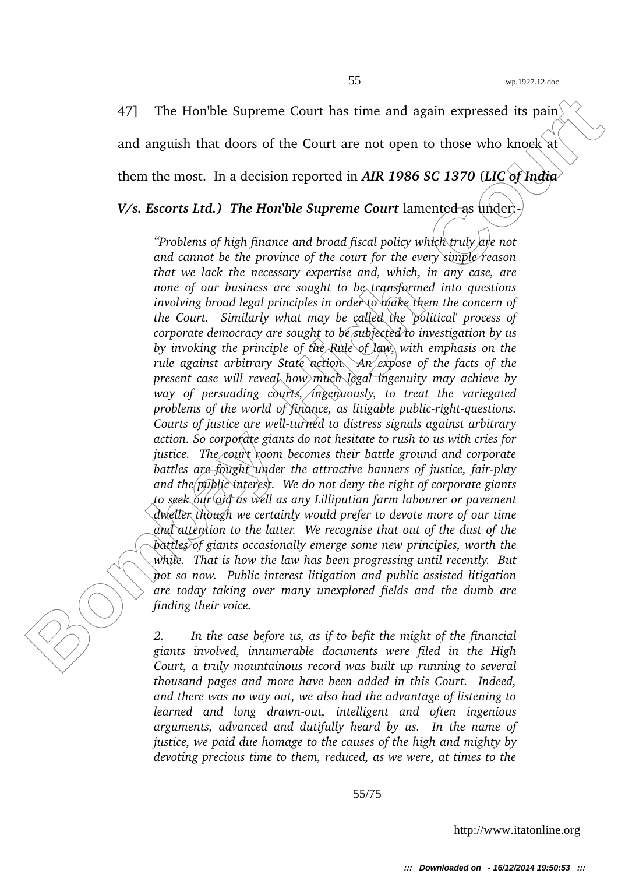47] The Hon'ble Supreme Court has time and again expressed its pain<sup> $\ell$ </sup> and anguish that doors of the Court are not open to those who knock at

them the most. In a decision reported in *AIR 1986 SC 1370* (*LIC of India*

*V/s. Escorts Ltd.) The Hon'ble Supreme Court* lamented as under:

47] The Honble Supreme Court has time and again expressed its pain<br>
and angulish that doors of the Court are not open to those who knock at<br>
them the most. In a decision reported in AIR 1986 SC 1370 (*HC* of fradia)<br> *Vs. "Problems of high finance and broad fiscal policy which truly are not and cannot be the province of the court for the every simple reason that we lack the necessary expertise and, which, in any case, are none of our business are sought to be transformed into questions involving broad legal principles in order to make them the concern of the Court. Similarly what may be called the 'political' process of corporate democracy are sought to be subjected to investigation by us by invoking the principle of the Rule of law, with emphasis on the rule against arbitrary State action. An expose of the facts of the present case will reveal how much legal ingenuity may achieve by way of persuading courts, ingenuously, to treat the variegated problems of the world of finance, as litigable public-right-questions. Courts of justice are well-turned to distress signals against arbitrary action. So corporate giants do not hesitate to rush to us with cries for* justice. The court room becomes their battle ground and corporate *battles are fought under the attractive banners of justice, fair-play and the public interest. We do not deny the right of corporate giants to seek our aid as well as any Lilliputian farm labourer or pavement dweller though we certainly would prefer to devote more of our time and attention to the latter. We recognise that out of the dust of the battles of giants occasionally emerge some new principles, worth the while. That is how the law has been progressing until recently. But not so now. Public interest litigation and public assisted litigation are today taking over many unexplored fields and the dumb are finding their voice.*

*2. In the case before us, as if to befit the might of the financial giants involved, innumerable documents were filed in the High Court, a truly mountainous record was built up running to several thousand pages and more have been added in this Court. Indeed, and there was no way out, we also had the advantage of listening to learned and long drawn-out, intelligent and often ingenious arguments, advanced and dutifully heard by us. In the name of justice, we paid due homage to the causes of the high and mighty by devoting precious time to them, reduced, as we were, at times to the*

55/75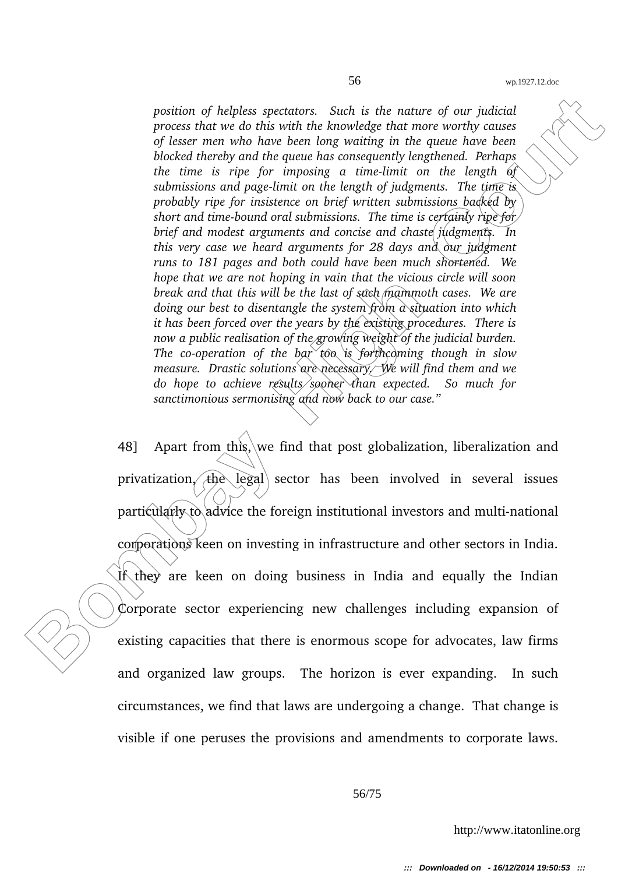position of helpless spectators. Such is the nature of our judicial<br>process that we do this with the knowledge that more twortly causes<br>of hease mem who have heren long waiting in the gates have been<br>deceled there is rise *position of helpless spectators. Such is the nature of our judicial process that we do this with the knowledge that more worthy causes of lesser men who have been long waiting in the queue have been blocked thereby and the queue has consequently lengthened. Perhaps the time is ripe for imposing a timelimit on the length of submissions and pagelimit on the length of judgments. The time is probably ripe for insistence on brief written submissions backed by short and time-bound oral submissions. The time is certainly ripe for/ brief and modest arguments and concise and chaste judgments. In this very case we heard arguments for 28 days and our judgment runs to 181 pages and both could have been much shortened. We hope that we are not hoping in vain that the vicious circle will soon break and that this will be the last of such mammoth cases. We are doing our best to disentangle the system from a situation into which it has been forced over the years by the existing procedures. There is now a public realisation of the growing weight of the judicial burden. The co-operation of the bar*  $\cos$  is *forthcoming though in slow measure. Drastic solutions are necessary. We will find them and we do hope to achieve results sooner than expected. So much for sanctimonious sermonising and now back to our case."*

48] Apart from this, we find that post globalization, liberalization and privatization, the legal sector has been involved in several issues  $partically to \dot{\alpha}$  advice the foreign institutional investors and multi-national corporations keen on investing in infrastructure and other sectors in India. If they are keen on doing business in India and equally the Indian Corporate sector experiencing new challenges including expansion of existing capacities that there is enormous scope for advocates, law firms and organized law groups. The horizon is ever expanding. In such circumstances, we find that laws are undergoing a change. That change is visible if one peruses the provisions and amendments to corporate laws.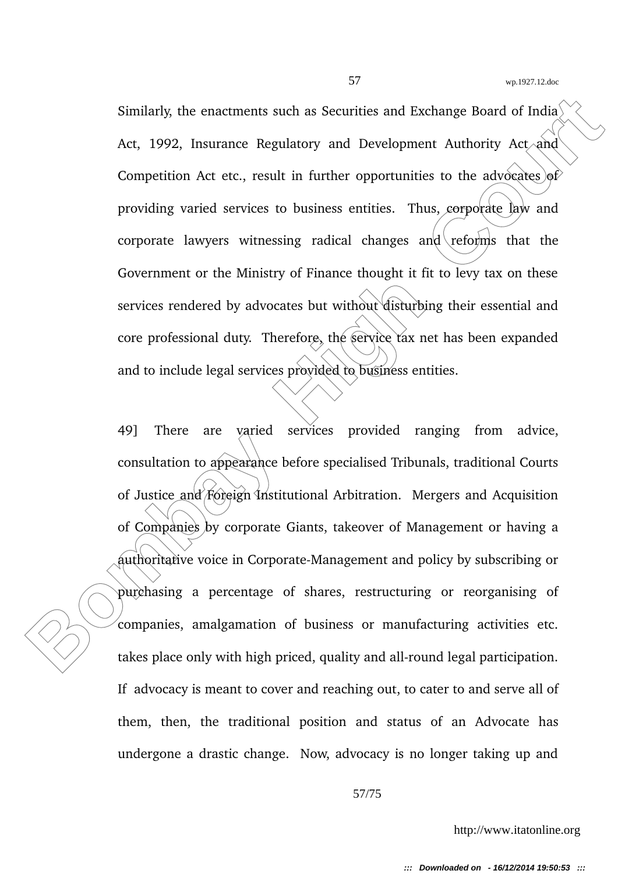Similarly, the enactments such as Securities and Exchange Board of India<br>Act, 1992, Insurance Regulatory and Development Authority Act and<br>Competition Act etc., result in further opportunities to the advocates of<br>providing Similarly, the enactments such as Securities and Exchange Board of India<sup> $\langle$ </sup> Act, 1992, Insurance Regulatory and Development Authority Act and Competition Act etc., result in further opportunities to the advocates of providing varied services to business entities. Thus, corporate law and corporate lawyers witnessing radical changes and reforms that the Government or the Ministry of Finance thought it fit to levy tax on these services rendered by advocates but without disturbing their essential and core professional duty. Therefore, the service tax net has been expanded and to include legal services provided to business entities.

49] There are varied services provided ranging from advice, consultation to appearance before specialised Tribunals, traditional Courts of Justice and Foreign Institutional Arbitration. Mergers and Acquisition of Companies by corporate Giants, takeover of Management or having a authoritative voice in Corporate-Management and policy by subscribing or purchasing a percentage of shares, restructuring or reorganising of companies, amalgamation of business or manufacturing activities etc. takes place only with high priced, quality and all-round legal participation. If advocacy is meant to cover and reaching out, to cater to and serve all of them, then, the traditional position and status of an Advocate has undergone a drastic change. Now, advocacy is no longer taking up and

57/75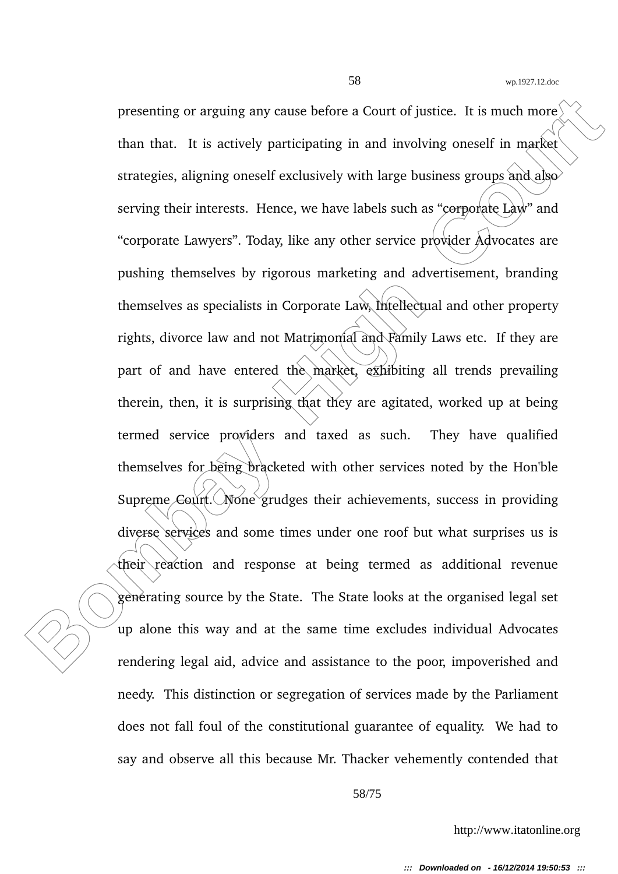presenting or arguing any cause before a Court of justice. It is much more than that. It is actively participating in and involving oneself in market strategies, aligning oneself exclusively with large business groups and presenting or arguing any cause before a Court of justice. It is much more than that. It is actively participating in and involving oneself in market strategies, aligning oneself exclusively with large business groups and also serving their interests. Hence, we have labels such as "eorporate Law" and "corporate Lawyers". Today, like any other service provider Advocates are pushing themselves by rigorous marketing and advertisement, branding themselves as specialists in Corporate Law, Intellectual and other property rights, divorce law and not Matrimonial and Family Laws etc. If they are part of and have entered the market, exhibiting all trends prevailing therein, then, it is surprising that they are agitated, worked up at being termed service providers and taxed as such. They have qualified themselves for being bracketed with other services noted by the Hon'ble Supreme  $\text{Cour}($ . None grudges their achievements, success in providing diverse services and some times under one roof but what surprises us is their reaction and response at being termed as additional revenue generating source by the State. The State looks at the organised legal set up alone this way and at the same time excludes individual Advocates rendering legal aid, advice and assistance to the poor, impoverished and needy. This distinction or segregation of services made by the Parliament does not fall foul of the constitutional guarantee of equality. We had to say and observe all this because Mr. Thacker vehemently contended that

58/75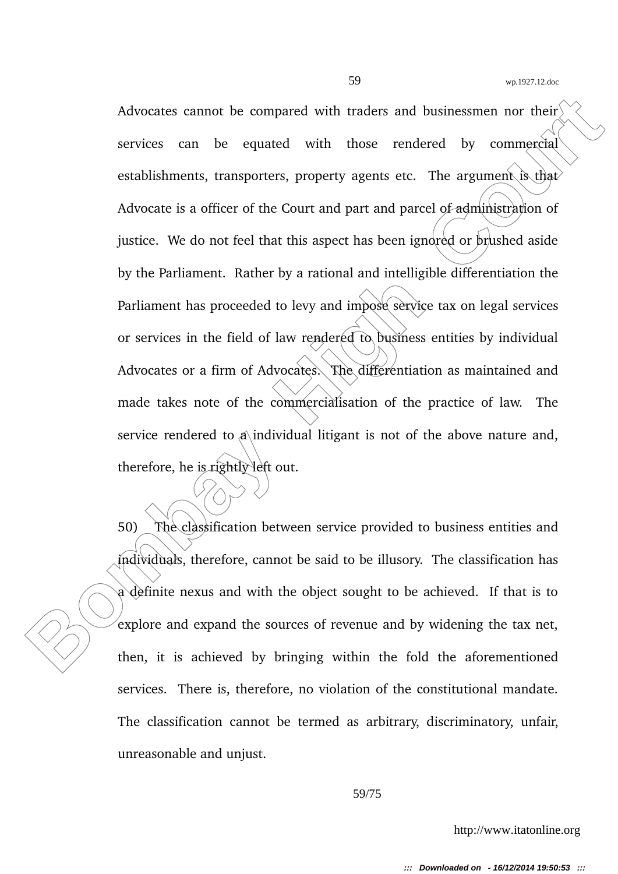Advocates cannot be compared with traders and businessmen nor their<br>services can be equated with those rendered by commercial<br>cstablishments, transporters, property agents etc. The argument Suffiar<br>Advocate is a officer of Advocates cannot be compared with traders and businessmen nor their services can be equated with those rendered by commercial establishments, transporters, property agents etc. The argument is that Advocate is a officer of the Court and part and parcel of administration of justice. We do not feel that this aspect has been ignored or prushed aside by the Parliament. Rather by a rational and intelligible differentiation the Parliament has proceeded to levy and impose service tax on legal services or services in the field of law rendered to business entities by individual Advocates or a firm of Advocates. The differentiation as maintained and made takes note of the commercialisation of the practice of law. The service rendered to  $\phi$  individual litigant is not of the above nature and, therefore, he is rightly left out.

50) The classification between service provided to business entities and individuals, therefore, cannot be said to be illusory. The classification has a definite nexus and with the object sought to be achieved. If that is to explore and expand the sources of revenue and by widening the tax net, then, it is achieved by bringing within the fold the aforementioned services. There is, therefore, no violation of the constitutional mandate. The classification cannot be termed as arbitrary, discriminatory, unfair, unreasonable and unjust.

## 59/75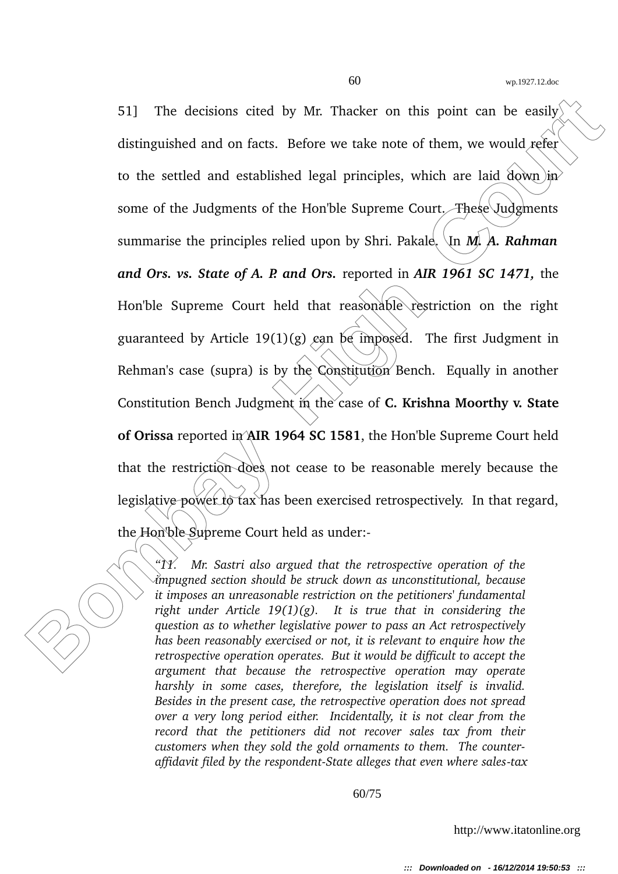51] The decisions cited by Mr. Thacker on this point can be easily<br>distinguished and on facts. Before we take note of them, we would refer<br>to the settled and established legal principles, which are laid down in<br>some of th 51] The decisions cited by Mr. Thacker on this point can be easily distinguished and on facts. Before we take note of them, we would refer to the settled and established legal principles, which are laid down  $\overline{p}$ some of the Judgments of the Hon'ble Supreme Court. These Judgments summarise the principles relied upon by Shri. Pakale. In  $\dot{M}$ . A. Rahman *and Ors. vs. State of A. P. and Ors.* reported in *AIR 1961 SC 1471,* the Hon'ble Supreme Court held that reasonable restriction on the right guaranteed by Article 19(1)(g) can be imposed. The first Judgment in Rehman's case (supra) is by the Constitution Bench. Equally in another Constitution Bench Judgment in the case of **C. Krishna Moorthy v. State of Orissa** reported in AIR 1964 SC 1581, the Hon'ble Supreme Court held that the restriction does not cease to be reasonable merely because the legislative power to tax has been exercised retrospectively. In that regard, the Hon'ble Supreme Court held as under:

*"11. Mr. Sastri also argued that the retrospective operation of the impugned section should be struck down as unconstitutional, because it imposes an unreasonable restriction on the petitioners' fundamental right under Article 19(1)(g). It is true that in considering the question as to whether legislative power to pass an Act retrospectively has been reasonably exercised or not, it is relevant to enquire how the retrospective operation operates. But it would be difficult to accept the argument that because the retrospective operation may operate harshly in some cases, therefore, the legislation itself is invalid. Besides in the present case, the retrospective operation does not spread over a very long period either. Incidentally, it is not clear from the record that the petitioners did not recover sales tax from their customers when they sold the gold ornaments to them. The counteraffidavit filed by the respondentState alleges that even where salestax*

60/75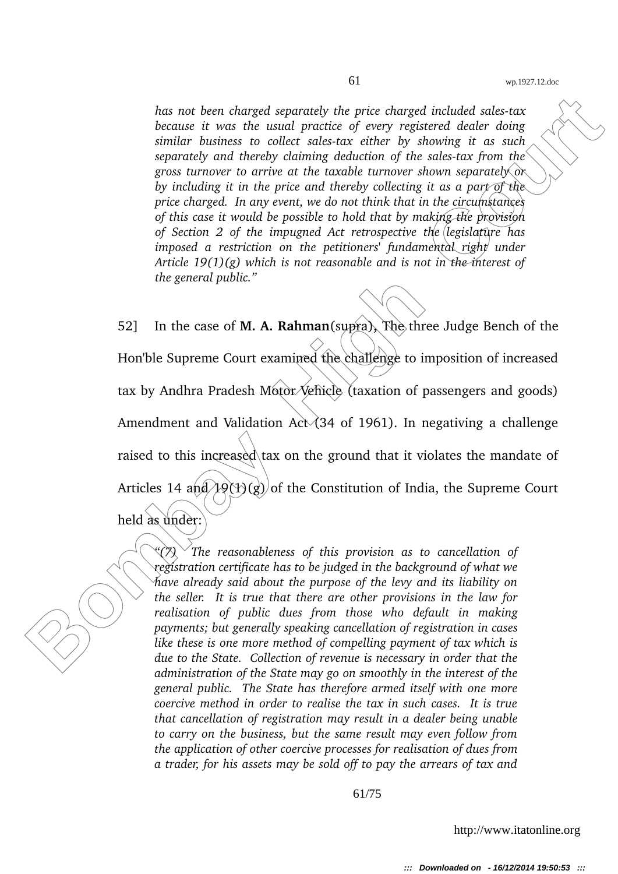*has not been charged separately the price charged included salestax because it was the usual practice of every registered dealer doing similar business to collect salestax either by showing it as such separately and thereby claiming deduction of the sales-tax from the gross turnover to arrive at the taxable turnover shown separately or by including it in the price and thereby collecting it as a part of the price charged. In any event, we do not think that in the circumstances of this case it would be possible to hold that by making the provision of Section 2 of the impugned Act retrospective the legislature has imposed a restriction on the petitioners' fundamental right under Article 19(1)(g) which is not reasonable and is not in the interest of the general public."*

has not been charged separately the price charged included seles-tax<br>because the used practice of every registered dealer doing<br>similar business to collect solicity of every registered declines<br>growthy and the space surfa 52] In the case of **M. A. Rahman**(supra)**,** The three Judge Bench of the Hon'ble Supreme Court examined the challenge to imposition of increased tax by Andhra Pradesh Motor Vehicle (taxation of passengers and goods) Amendment and Validation Act $\chi$  (34 of 1961). In negativing a challenge raised to this increased tax on the ground that it violates the mandate of Articles 14 and  $\left(\frac{1}{2}(1)(g)\right)$  of the Constitution of India, the Supreme Court held as under:

*"(7) The reasonableness of this provision as to cancellation of registration certificate has to be judged in the background of what we have already said about the purpose of the levy and its liability on the seller. It is true that there are other provisions in the law for realisation of public dues from those who default in making payments; but generally speaking cancellation of registration in cases like these is one more method of compelling payment of tax which is due to the State. Collection of revenue is necessary in order that the administration of the State may go on smoothly in the interest of the general public. The State has therefore armed itself with one more coercive method in order to realise the tax in such cases. It is true that cancellation of registration may result in a dealer being unable to carry on the business, but the same result may even follow from the application of other coercive processes for realisation of dues from a trader, for his assets may be sold off to pay the arrears of tax and*

61/75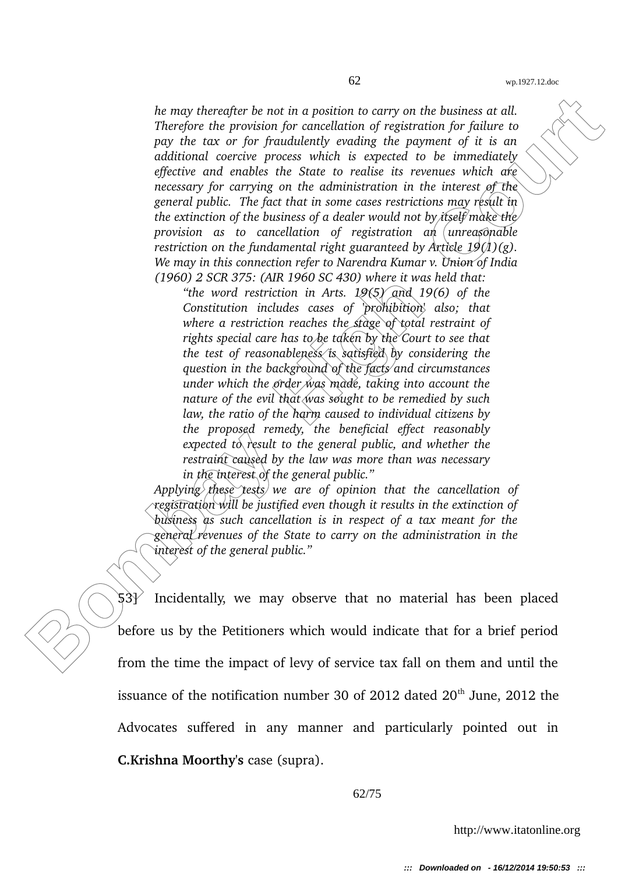Ite may thereafter be not in a position to carry on the business at all.<br>They ofte the providently for carried intition of yegients in for the<br>line to the properties of the properties of the properties of the controllatio *he may thereafter be not in a position to carry on the business at all. Therefore the provision for cancellation of registration for failure to pay the tax or for fraudulently evading the payment of it is an additional coercive process which is expected to be immediately effective and enables the State to realise its revenues which are necessary for carrying on the administration in the interest of the general public. The fact that in some cases restrictions may result in the extinction of the business of a dealer would not by itself make the provision as to cancellation of registration an unreasonable restriction on the fundamental right guaranteed by Article 19(1)(g). We may in this connection refer to Narendra Kumar v. Union of India (1960) 2 SCR 375: (AIR 1960 SC 430) where it was held that:*

*"the word restriction in Arts. 19(5) and 19(6) of the Constitution includes cases of 'prohibition' also; that where a restriction reaches the stage of total restraint of rights special care has to be taken by the Court to see that the test of reasonableness is satisfied by considering the question in the background of the facts and circumstances under which the order was made, taking into account the nature of the evil that was sought to be remedied by such law, the ratio of the harm caused to individual citizens by the proposed remedy, the beneficial effect reasonably expected to result to the general public, and whether the restraint caused by the law was more than was necessary in the interest of the general public."*

*Applying these tests we are of opinion that the cancellation of registration will be justified even though it results in the extinction of business as such cancellation is in respect of a tax meant for the general revenues of the State to carry on the administration in the interest of the general public."*

 $53$ ) Incidentally, we may observe that no material has been placed before us by the Petitioners which would indicate that for a brief period from the time the impact of levy of service tax fall on them and until the issuance of the notification number 30 of 2012 dated  $20<sup>th</sup>$  June, 2012 the Advocates suffered in any manner and particularly pointed out in **C.Krishna Moorthy's** case (supra).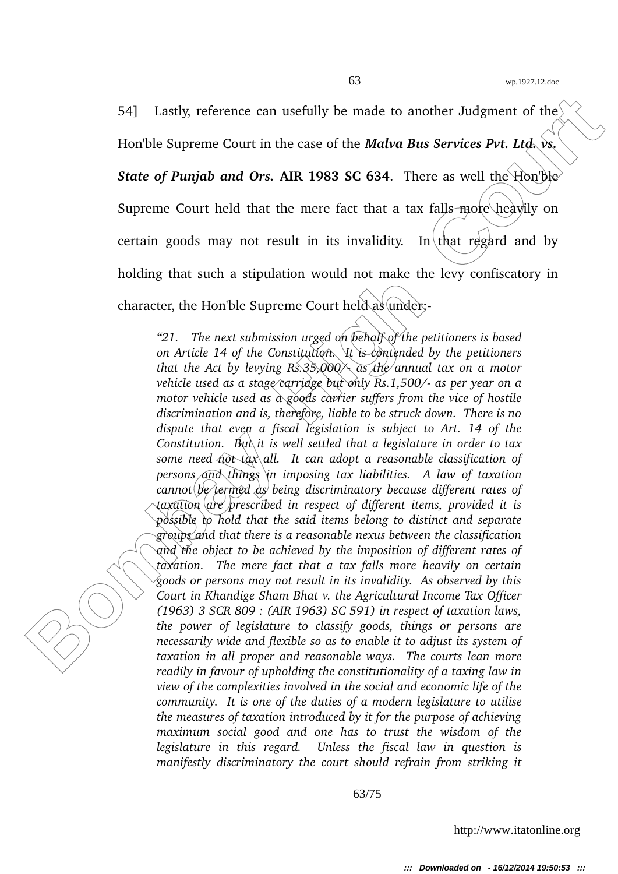54] Lastly, reference can usefully be made to another Judgment of the Hon'ble Supreme Court in the case of the *Malva Bus Services Pvt. Ltd.* vs.

*State of Punjab and Ors.* **AIR 1983 SC 634**. There as well the Hon'ble

Supreme Court held that the mere fact that a tax falls more heavily on

certain goods may not result in its invalidity. In that regard and by

holding that such a stipulation would not make the levy confiscatory in

character, the Hon'ble Supreme Court held as under:-

54] Lastly, reference can usefully be made to another Judgment of the<br>
Homble Supreme Court in the case of the **Malva Bus Services Pvt.** Ltd., we<br>
State of Panjab and Ors. AIR 1983 SC 634. There as well the Homble<br>
Suprem *"21. The next submission urged on behalf of the petitioners is based on Article 14 of the Constitution. It is contended by the petitioners that the Act by levying Rs.35,000/ as the annual tax on a motor vehicle used as a stage carriage but only Rs.1,500/ as per year on a motor vehicle used as a goods carrier suffers from the vice of hostile discrimination and is, therefore, liable to be struck down. There is no dispute that even a fiscal legislation is subject to Art. 14 of the Constitution. But it is well settled that a legislature in order to tax some need not tax all. It can adopt a reasonable classification of persons and things in imposing tax liabilities. A law of taxation cannot be termed as being discriminatory because different rates of taxation are prescribed in respect of different items, provided it is possible to hold that the said items belong to distinct and separate groups and that there is a reasonable nexus between the classification and the object to be achieved by the imposition of different rates of taxation. The mere fact that a tax falls more heavily on certain goods or persons may not result in its invalidity. As observed by this Court in Khandige Sham Bhat v. the Agricultural Income Tax Officer (1963) 3 SCR 809 : (AIR 1963) SC 591) in respect of taxation laws, the power of legislature to classify goods, things or persons are necessarily wide and flexible so as to enable it to adjust its system of taxation in all proper and reasonable ways. The courts lean more readily in favour of upholding the constitutionality of a taxing law in view of the complexities involved in the social and economic life of the community. It is one of the duties of a modern legislature to utilise the measures of taxation introduced by it for the purpose of achieving maximum social good and one has to trust the wisdom of the legislature in this regard. Unless the fiscal law in question is manifestly discriminatory the court should refrain from striking it*

63/75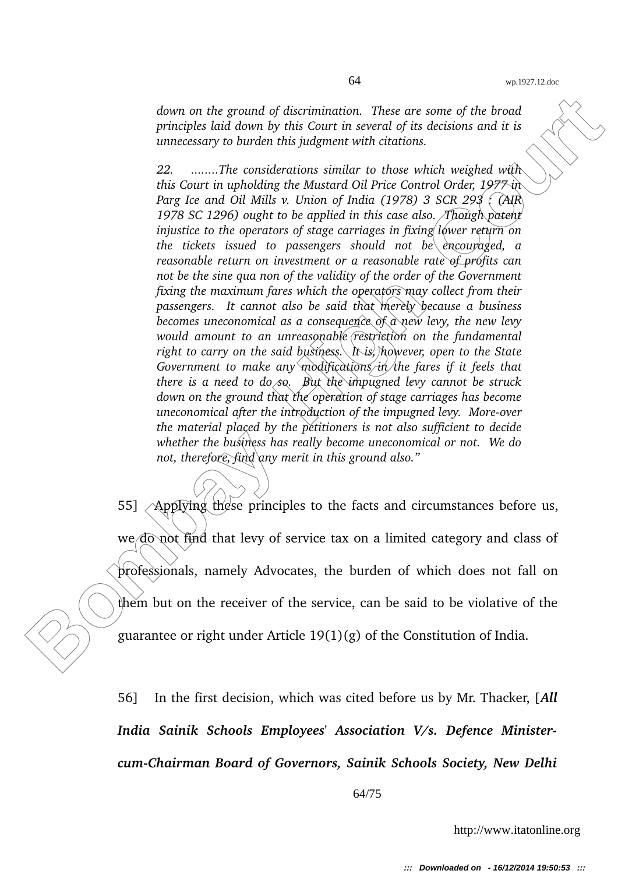*down on the ground of discrimination. These are some of the broad principles laid down by this Court in several of its decisions and it is unnecessary to burden this judgment with citations.*

down on the ground of discrimination. These are some of the broad<br>principles kial down by this Gaure in several of tis clacisions and it is<br>principles kial down by this Gaure in several of tis clacisions and it is<br> $22$ .... *22. ........The considerations similar to those which weighed with this Court in upholding the Mustard Oil Price Control Order, 1977 in Parg Ice and Oil Mills v. Union of India (1978) 3 SCR 293 : (AIR 1978 SC 1296) ought to be applied in this case also. Though patent injustice to the operators of stage carriages in fixing lower return on the tickets issued to passengers should not be encouraged, a reasonable return on investment or a reasonable rate of profits can not be the sine qua non of the validity of the order of the Government fixing the maximum fares which the operators may collect from their passengers. It cannot also be said that merely because a business becomes uneconomical as a consequence of a new levy, the new levy would amount to an unreasonable restriction on the fundamental right to carry on the said business. It is, however, open to the State Government to make any modifications in the fares if it feels that there is a need to do so. But the impugned levy cannot be struck down on the ground that the operation of stage carriages has become uneconomical after the introduction of the impugned levy. More-over the material placed by the petitioners is not also sufficient to decide whether the business has really become uneconomical or not. We do not, therefore, find any merit in this ground also."*

55] Applying these principles to the facts and circumstances before us, we do not find that levy of service tax on a limited category and class of professionals, namely Advocates, the burden of which does not fall on them but on the receiver of the service, can be said to be violative of the guarantee or right under Article 19(1)(g) of the Constitution of India.

56] In the first decision, which was cited before us by Mr. Thacker, [*All India Sainik Schools Employees' Association V/s. Defence MinistercumChairman Board of Governors, Sainik Schools Society, New Delhi*

64/75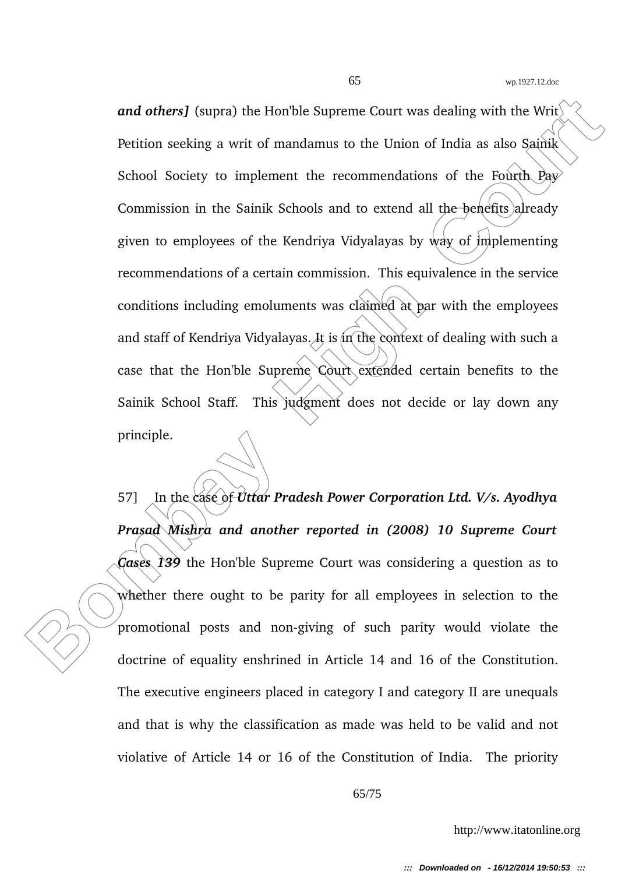and others] (supra) the Hon'ble Supreme Court was dealing with the Write<br>
Petition seeking a writ of mandamus to the Union of India as also Sainik<br>
Sehool Society to implement the recommendations of the Fourth Paye<br>
Commis *and others]* (supra) the Hon'ble Supreme Court was dealing with the Writ Petition seeking a writ of mandamus to the Union of India as also Sainik School Society to implement the recommendations of the Fourth  $Pay$ Commission in the Sainik Schools and to extend all the benefits) already given to employees of the Kendriya Vidyalayas by way of implementing recommendations of a certain commission. This equivalence in the service conditions including emoluments was claimed at par with the employees and staff of Kendriya Vidyalayas. It is in the context of dealing with such a case that the Hon'ble Supreme Court extended certain benefits to the Sainik School Staff. This judgment does not decide or lay down any principle.

57] In the case of *Uttar Pradesh Power Corporation Ltd. V/s. Ayodhya Prasad Mishra and another reported in (2008) 10 Supreme Court Cases 139* the Hon'ble Supreme Court was considering a question as to whether there ought to be parity for all employees in selection to the promotional posts and non-giving of such parity would violate the doctrine of equality enshrined in Article 14 and 16 of the Constitution. The executive engineers placed in category I and category II are unequals and that is why the classification as made was held to be valid and not violative of Article 14 or 16 of the Constitution of India. The priority

65/75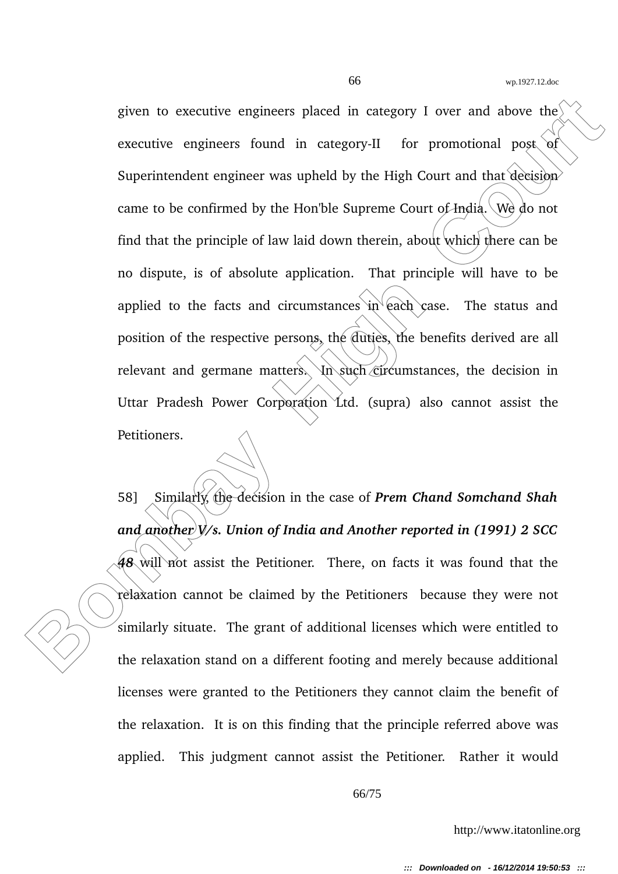given to executive engineers placed in category I over and above the<br>
executive engineers found in category-II for promotional post of<br>
Superintendent engineer was upheld by the High Court and that the<br>
came to be confirme given to executive engineers placed in category I over and above the executive engineers found in category-II for promotional post of Superintendent engineer was upheld by the High Court and that decision came to be confirmed by the Hon'ble Supreme Court of India. We do not find that the principle of law laid down therein, about which there can be no dispute, is of absolute application. That principle will have to be applied to the facts and circumstances in  $ear^2$  (ach case. The status and position of the respective persons, the duties, the benefits derived are all relevant and germane matters. In such circumstances, the decision in Uttar Pradesh Power Corporation Ltd. (supra) also cannot assist the Petitioners.

58] Similarly, the decision in the case of *Prem Chand Somchand Shah and another V/s. Union of India and Another reported in (1991) 2 SCC* 48 will not assist the Petitioner. There, on facts it was found that the relaxation cannot be claimed by the Petitioners because they were not similarly situate. The grant of additional licenses which were entitled to the relaxation stand on a different footing and merely because additional licenses were granted to the Petitioners they cannot claim the benefit of the relaxation. It is on this finding that the principle referred above was applied. This judgment cannot assist the Petitioner. Rather it would

66/75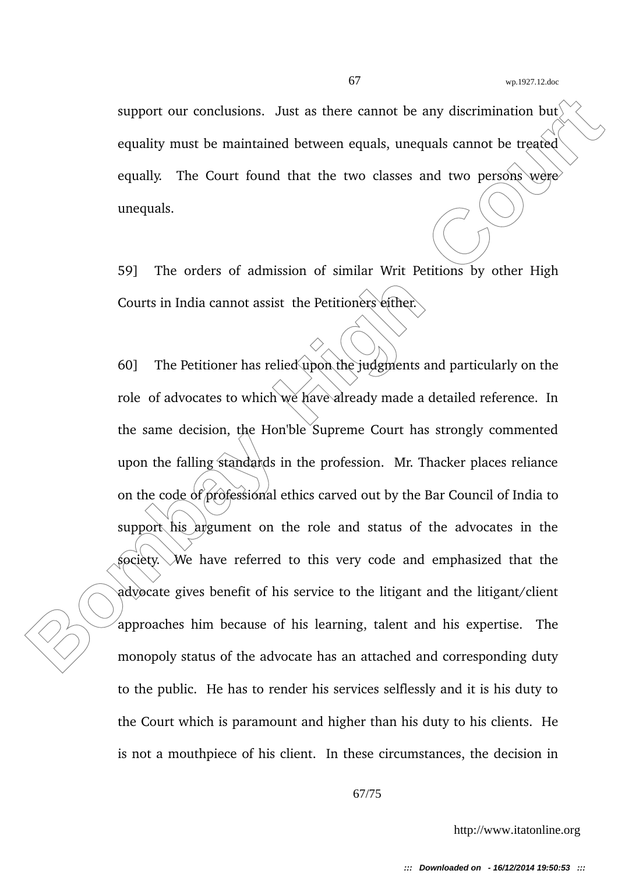support our conclusions. Just as there cannot be any discrimination but equality must be maintained between equals, unequals cannot be treated equally. The Court found that the two classes and two persons were unequals.

59] The orders of admission of similar Writ Petitions by other High Courts in India cannot assist the Petitioners either.

**Bombay High Control Source 2013** as the control be any discrimination but<br> **Bourding The Court found that the two classes and two persons were<br>
the court of found that the two classes and two persons were<br>
unequals.<br>
<b>Bou** 60] The Petitioner has relied upon the judgments and particularly on the role of advocates to which we have already made a detailed reference. In the same decision, the Hon'ble Supreme Court has strongly commented upon the falling standards in the profession. Mr. Thacker places reliance on the code of professional ethics carved out by the Bar Council of India to support his argument on the role and status of the advocates in the society. We have referred to this very code and emphasized that the advocate gives benefit of his service to the litigant and the litigant/client approaches him because of his learning, talent and his expertise. The monopoly status of the advocate has an attached and corresponding duty to the public. He has to render his services selflessly and it is his duty to the Court which is paramount and higher than his duty to his clients. He is not a mouthpiece of his client. In these circumstances, the decision in

67/75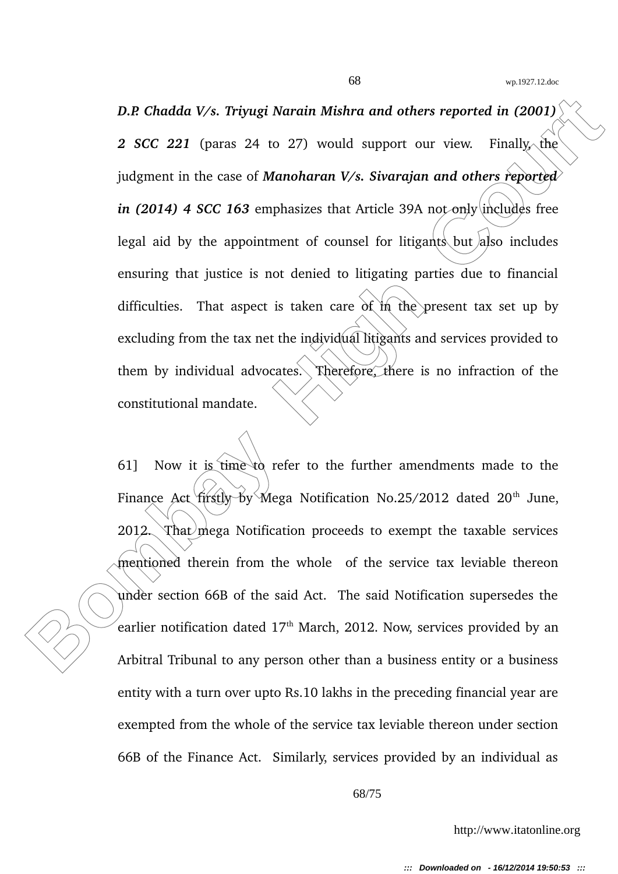**B.R Chadda V/s. Tripugi Narain Mishra and others reported in (2001)<br>
2 SCC 221 (paras 24 to 27) would support our view. Finally, the<br>
judgment in the case of Manoharam V/s. Sivarajan and others reported<br>
in (2014) 4 SCC** *D.P. Chadda V/s. Triyugi Narain Mishra and others reported in (2001)* **2 SCC 221** (paras 24 to 27) would support our view. Finally, the judgment in the case of *Manoharan V/s. Sivarajan and others reported in (2014) 4 SCC 163* emphasizes that Article 39A not only includes free legal aid by the appointment of counsel for litigants but also includes ensuring that justice is not denied to litigating parties due to financial difficulties. That aspect is taken care of in the present tax set up by excluding from the tax net the individual litigants and services provided to them by individual advocates. Therefore, there is no infraction of the constitutional mandate.

61] Now it is time to refer to the further amendments made to the Finance Act  $fix(y_0, by_Mega$  Notification No.25/2012 dated 20<sup>th</sup> June, 2012. That mega Notification proceeds to exempt the taxable services mentioned therein from the whole of the service tax leviable thereon under section 66B of the said Act. The said Notification supersedes the earlier notification dated  $17<sup>th</sup>$  March, 2012. Now, services provided by an Arbitral Tribunal to any person other than a business entity or a business entity with a turn over upto Rs.10 lakhs in the preceding financial year are exempted from the whole of the service tax leviable thereon under section 66B of the Finance Act. Similarly, services provided by an individual as

68/75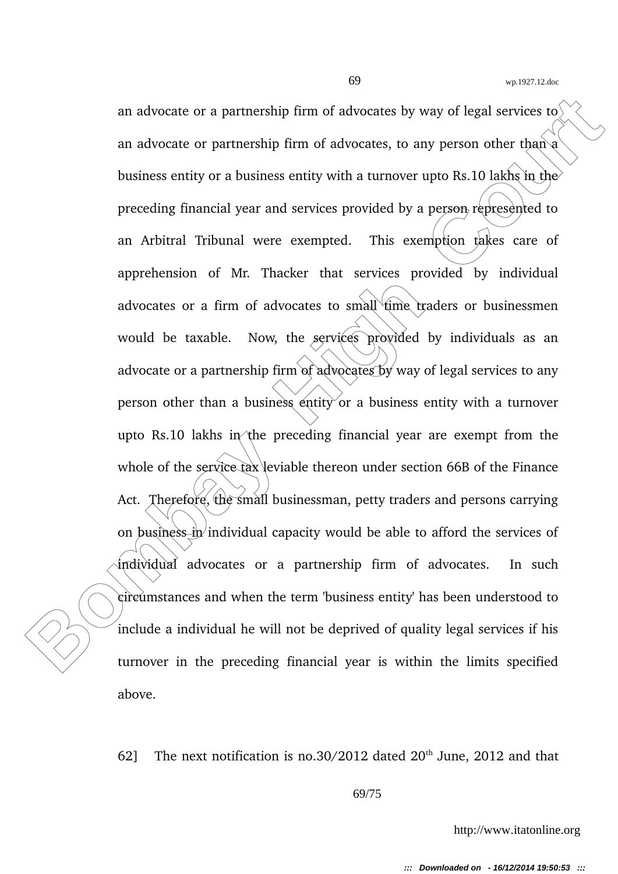an advocate or a partnership firm of advocates by way of legal services to<br>
an advocate or partnership firm of advocates, to any person other than a<br>
business entity or a business entity with a turnover upto Rs. 10 labbs i an advocate or a partnership firm of advocates by way of legal services to an advocate or partnership firm of advocates, to any person other than a business entity or a business entity with a turnover upto Rs.10 lakhs in the preceding financial year and services provided by a person represented to an Arbitral Tribunal were exempted. This exemption takes care of apprehension of Mr. Thacker that services provided by individual advocates or a firm of advocates to small time traders or businessmen would be taxable. Now, the services provided by individuals as an advocate or a partnership firm of advocates by way of legal services to any person other than a business entity or a business entity with a turnover upto Rs.10 lakhs in the preceding financial year are exempt from the whole of the service tax leviable thereon under section 66B of the Finance Act. Therefore, the small businessman, petty traders and persons carrying on business in individual capacity would be able to afford the services of individual advocates or a partnership firm of advocates. In such circumstances and when the term 'business entity' has been understood to include a individual he will not be deprived of quality legal services if his turnover in the preceding financial year is within the limits specified above.

62] The next notification is no.30/2012 dated  $20<sup>th</sup>$  June, 2012 and that

69/75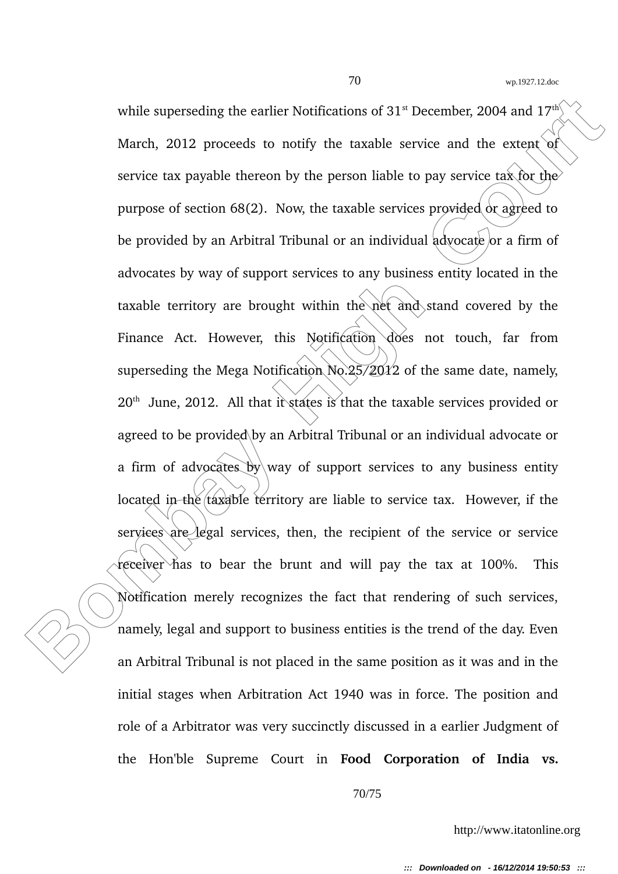while superseding the earlier Notifications of 31<sup>n</sup> December, 2004 and 17<sup>o</sup><br>March, 2012 proceeds to notify the taxable service and the extent of<br>service tax payable thereon by the person liable to pay service tax for th while superseding the earlier Notifications of  $31<sup>st</sup>$  December, 2004 and  $17<sup>th</sup>$ March, 2012 proceeds to notify the taxable service and the extent of service tax payable thereon by the person liable to pay service tax for the purpose of section  $68(2)$ . Now, the taxable services provided or agreed to be provided by an Arbitral Tribunal or an individual advocate or a firm of advocates by way of support services to any business entity located in the taxable territory are brought within the net and stand covered by the Finance Act. However, this Notification does not touch, far from superseding the Mega Notification  $\text{No.}25/\cancel{2012}$  of the same date, namely,  $20<sup>th</sup>$  June, 2012. All that it states is that the taxable services provided or agreed to be provided by an Arbitral Tribunal or an individual advocate or a firm of advocates by way of support services to any business entity located in the taxable territory are liable to service tax. However, if the services are legal services, then, the recipient of the service or service receiver has to bear the brunt and will pay the tax at 100%. This Notification merely recognizes the fact that rendering of such services, namely, legal and support to business entities is the trend of the day. Even an Arbitral Tribunal is not placed in the same position as it was and in the initial stages when Arbitration Act 1940 was in force. The position and role of a Arbitrator was very succinctly discussed in a earlier Judgment of the Hon'ble Supreme Court in **Food Corporation of India vs.**

70/75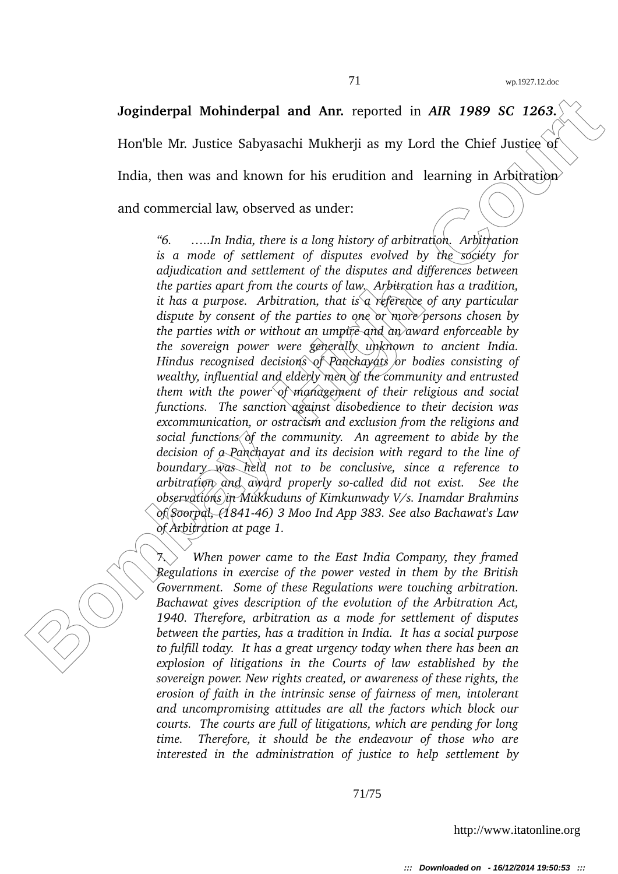**Joginderpal Mohinderpal and Anr.** reported in AIR 1989 SC 1263. Hon'ble Mr. Justice Sabyasachi Mukherii as my Lord the Chief Justice of India, then was and known for his erudition and learning in Arbitration and commercial law, observed as under:

**Joginderpal Mohinderpal and Anr.** reported in AIR 1989 SC 1263.<br>
Horble Mr. Justice Sabyasachi Mukherji as my Lord the Chief Justice of<br>
India, then was and known for his crudition and learning in Arbitration<br>
and commer *"6. …..In India, there is a long history of arbitration. Arbitration is a mode of settlement of disputes evolved by the society for adjudication and settlement of the disputes and differences between the parties apart from the courts of law. Arbitration has a tradition, it has a purpose. Arbitration, that is a reference of any particular dispute by consent of the parties to one or more persons chosen by the parties with or without an umpire and an award enforceable by the sovereign power were generally unknown to ancient India. Hindus recognised decisions of Panchayats or bodies consisting of wealthy, influential and elderly men of the community and entrusted them with the power of management of their religious and social functions. The sanction against disobedience to their decision was excommunication, or ostracism and exclusion from the religions and social functions of the community. An agreement to abide by the decision of a Panchayat and its decision with regard to the line of boundary was held not to be conclusive, since a reference to arbitration and award properly socalled did not exist. See the observations in Mukkuduns of Kimkunwady V/s. Inamdar Brahmins of Soorpal, (184146) 3 Moo Ind App 383. See also Bachawat's Law of Arbitration at page 1.*

7. *When power came to the East India Company, they framed Regulations in exercise of the power vested in them by the British Government. Some of these Regulations were touching arbitration. Bachawat gives description of the evolution of the Arbitration Act, 1940. Therefore, arbitration as a mode for settlement of disputes between the parties, has a tradition in India. It has a social purpose to fulfill today. It has a great urgency today when there has been an explosion of litigations in the Courts of law established by the sovereign power. New rights created, or awareness of these rights, the erosion of faith in the intrinsic sense of fairness of men, intolerant and uncompromising attitudes are all the factors which block our courts. The courts are full of litigations, which are pending for long time. Therefore, it should be the endeavour of those who are interested in the administration of justice to help settlement by*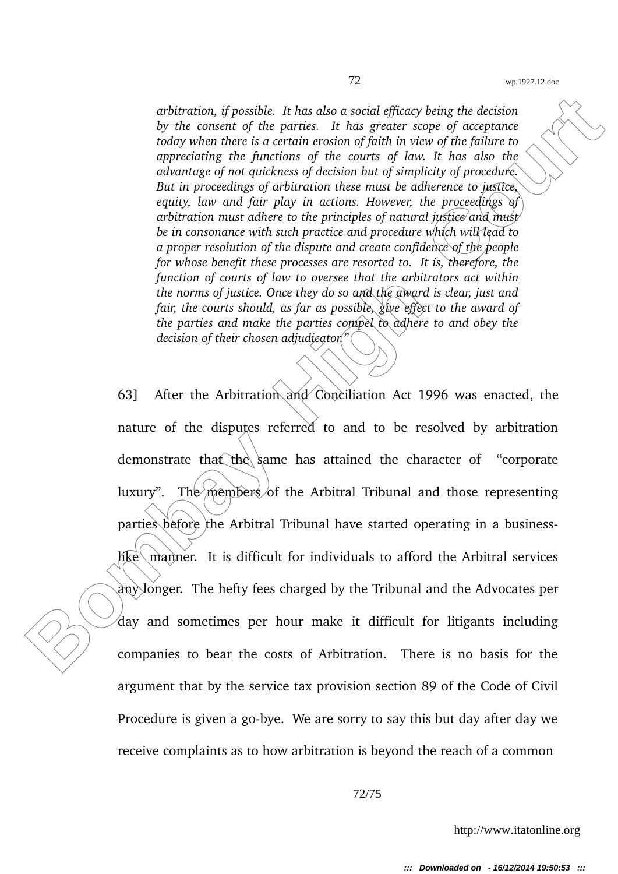*arbitration, if possible. It has also a social efficacy being the decision by the consent of the parties. It has greater scope of acceptance today when there is a certain erosion of faith in view of the failure to appreciating the functions of the courts of law. It has also the advantage of not quickness of decision but of simplicity of procedure. But in proceedings of arbitration these must be adherence to justice, equity, law and fair play in actions. However, the proceedings of arbitration must adhere to the principles of natural justice and must be in consonance with such practice and procedure which will lead to a proper resolution of the dispute and create confidence of the people for whose benefit these processes are resorted to. It is, therefore, the function of courts of law to oversee that the arbitrators act within the norms of justice. Once they do so and the award is clear, just and fair, the courts should, as far as possible, give effect to the award of the parties and make the parties compel to adhere to and obey the decision of their chosen adjudicator."*

arbitration, if possible. It has also a social efficacy being the decision<br>by the consent of the parties. In has greeners seque of accordine<br>today when there is a certain enside of the bound of the fighter to<br>approaching 63] After the Arbitration and Conciliation Act 1996 was enacted, the nature of the disputes referred to and to be resolved by arbitration demonstrate that the same has attained the character of "corporate luxury". The members of the Arbitral Tribunal and those representing parties before the Arbitral Tribunal have started operating in a business- $\widehat{h}$ ke manner. It is difficult for individuals to afford the Arbitral services any longer. The hefty fees charged by the Tribunal and the Advocates per  $\alpha$  and sometimes per hour make it difficult for litigants including companies to bear the costs of Arbitration. There is no basis for the argument that by the service tax provision section 89 of the Code of Civil Procedure is given a go-bye. We are sorry to say this but day after day we receive complaints as to how arbitration is beyond the reach of a common

72/75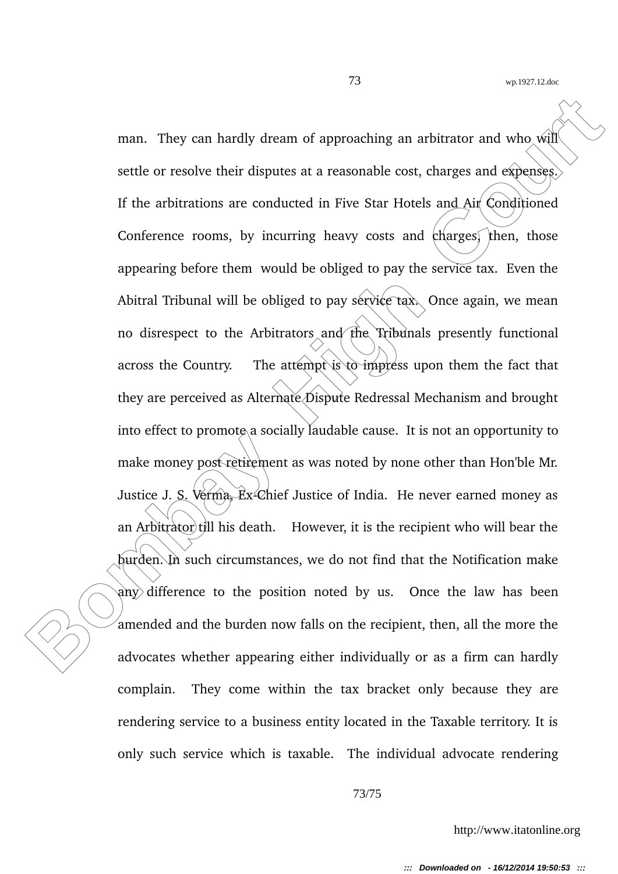man. They can hardly dream of approaching an arbitrator and who will<br>settle or resolve their disputes at a reasonable cost, charges and expenses.<br>If the arbitrations are conducted in Five Star Hotels and Air Conditioned<br>C man. They can hardly dream of approaching an arbitrator and who will settle or resolve their disputes at a reasonable cost, charges and expenses. If the arbitrations are conducted in Five Star Hotels and Air Conditioned Conference rooms, by incurring heavy costs and charges, then, those appearing before them would be obliged to pay the service tax. Even the Abitral Tribunal will be obliged to pay service tax. Once again, we mean no disrespect to the Arbitrators and the Tribunals presently functional across the Country. The attempt is to impress upon them the fact that they are perceived as Alternate Dispute Redressal Mechanism and brought into effect to promote a socially laudable cause. It is not an opportunity to make money post retirement as was noted by none other than Hon'ble Mr. Justice J. S. Verma,  $Ex\text{-}Chief$  Justice of India. He never earned money as an Arbitrator till his death. However, it is the recipient who will bear the burden. In such circumstances, we do not find that the Notification make any difference to the position noted by us. Once the law has been amended and the burden now falls on the recipient, then, all the more the advocates whether appearing either individually or as a firm can hardly complain. They come within the tax bracket only because they are rendering service to a business entity located in the Taxable territory. It is only such service which is taxable. The individual advocate rendering

73/75

http://www.itatonline.org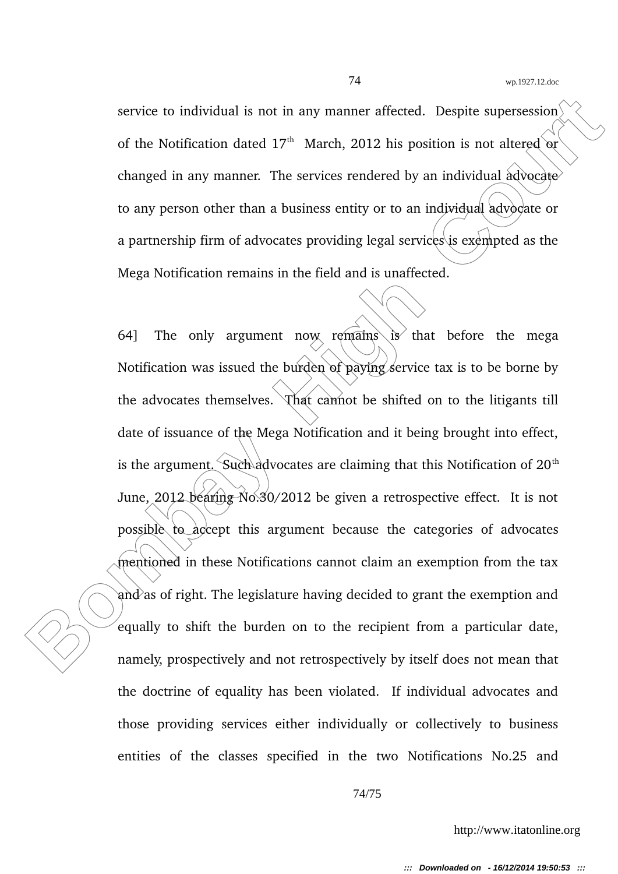service to individual is not in any manner affected. Despite supersession $\langle$ of the Notification dated  $17<sup>th</sup>$  March, 2012 his position is not altered or changed in any manner. The services rendered by an individual advocate to any person other than a business entity or to an individual advocate or a partnership firm of advocates providing legal services is exempted as the Mega Notification remains in the field and is unaffected.

service to individual is not in any manner affected. Despite supersession<br>of the Notification dated  $17^{\circ}$  March, 2012 his position is not altered or<br>changed in any manner. The services rendered by an individual advocat 64] The only argument now remains is that before the mega Notification was issued the burden of paying service tax is to be borne by the advocates themselves. That cannot be shifted on to the litigants till date of issuance of the Mega Notification and it being brought into effect, is the argument. Such advocates are claiming that this Notification of  $20<sup>th</sup>$ June, 2012 bearing No.30/2012 be given a retrospective effect. It is not possible  $\alpha$  accept this argument because the categories of advocates mentioned in these Notifications cannot claim an exemption from the tax and as of right. The legislature having decided to grant the exemption and equally to shift the burden on to the recipient from a particular date, namely, prospectively and not retrospectively by itself does not mean that the doctrine of equality has been violated. If individual advocates and those providing services either individually or collectively to business entities of the classes specified in the two Notifications No.25 and

http://www.itatonline.org